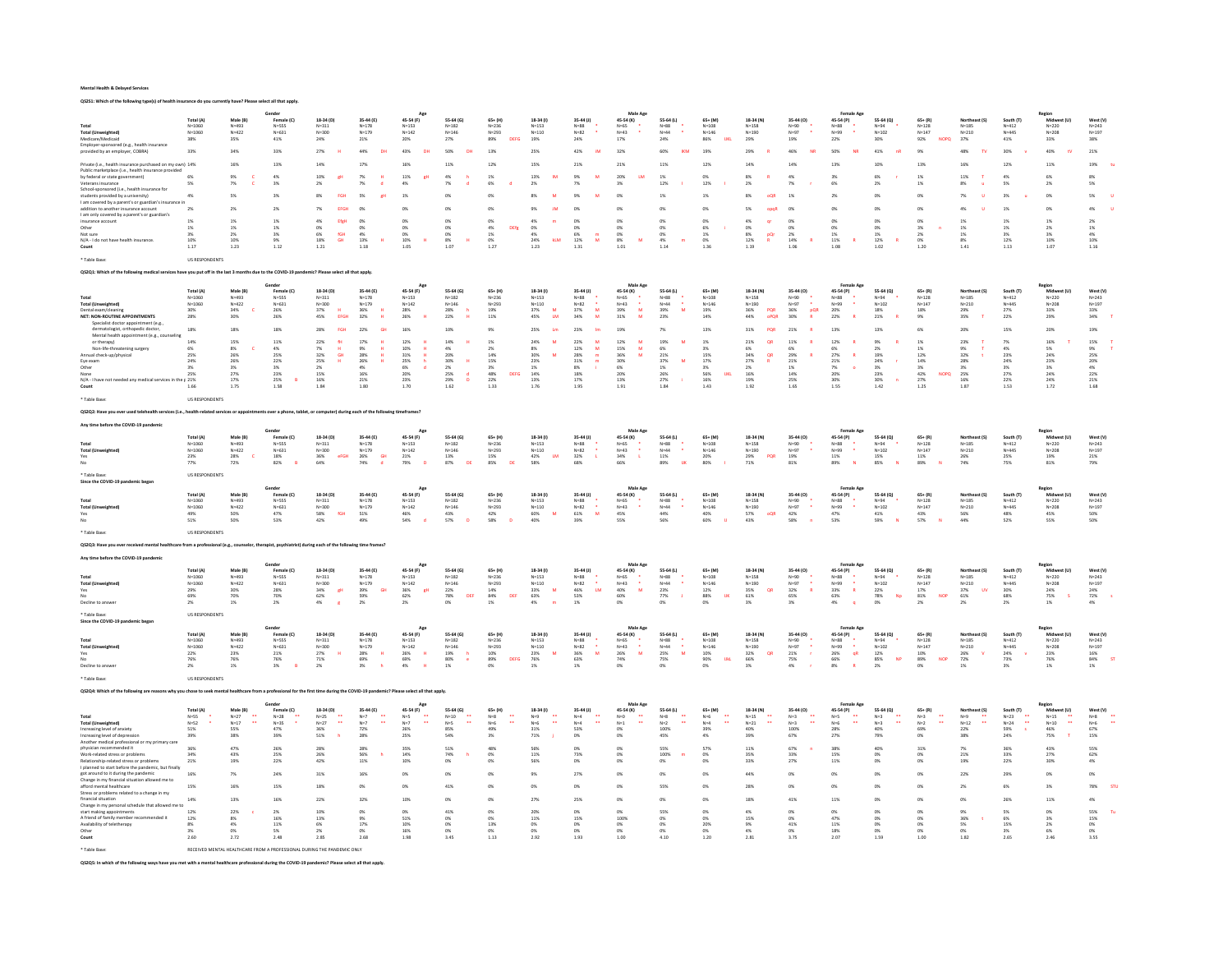QS2S1: Which of the following type(s) of health insurance do you currently have? Please select all that apply.

|                                                                                                                                                                                       |                          |                        | Gende                   |                                               |                                                     | Age                       |                        |                                      |                                          |                                       | Male Age                       |                               |                          |                                |                               | Female Age                     |                            |                                                              |                                             |                        | Region                           |                                   |
|---------------------------------------------------------------------------------------------------------------------------------------------------------------------------------------|--------------------------|------------------------|-------------------------|-----------------------------------------------|-----------------------------------------------------|---------------------------|------------------------|--------------------------------------|------------------------------------------|---------------------------------------|--------------------------------|-------------------------------|--------------------------|--------------------------------|-------------------------------|--------------------------------|----------------------------|--------------------------------------------------------------|---------------------------------------------|------------------------|----------------------------------|-----------------------------------|
| Total                                                                                                                                                                                 | Total (A)<br>$N = 1060$  | Male (B)<br>$N = 493$  | Female (C)<br>$N = 555$ | 18-34 (D)<br>$N = 311$                        | 35-44 (E)<br>$N = 178$                              | 45-54 (F)<br>$N = 153$    | 55-64 (G)<br>$N = 182$ | $65 + (H)$<br>$N = 236$              | 18-34 (1)<br>$N = 153$                   | 35-44 (J)<br>$N = 88$                 | 45-54 (K)<br>$N = 65$          | 55-64 (L)<br>$N = 88$         | $65 + (M)$<br>$N = 108$  | 18-34 (N)<br>$N = 158$         | 35-44 (0)<br>$N=90$           | 45-54 (P)<br>$N = 88$          | 55-64 (Q)<br>$N = 94$      | $65 + (R)$<br>$N = 128$                                      | act (S)<br>$N = 185$                        | South (T)<br>$N = 412$ | Midwest (U)<br>$N = 220$         | West (V)<br>$N = 243$             |
| <b>Total (Unweighted)</b>                                                                                                                                                             | $N = 1060$               | $N = 422$              | $N = 631$               | $N = 300$                                     | $N = 179$                                           | $N = 142$                 | $N = 146$              | $N = 293$                            | $N = 110$                                | $N = R$                               | $N = 43$                       | $N = 44$                      | $N = 146$                | $N = 190$                      | $N = 97$<br>٠                 | $N = 99$                       | $N = 102$                  | $N = 147$                                                    | $N = 210$                                   | $N = 445$              | $N = 20R$                        | $N = 197$                         |
| Medicare/Medicaid<br>Employer-sponsored (e.g., health insurant                                                                                                                        | 38%                      | 35%                    | 41%                     | 24%                                           | 21%                                                 | 20%                       | 27%                    | DEFG<br>89%                          | 19%                                      | 24%                                   | 17%                            | 24%                           | <b>UKL</b><br>86%        | 29%                            | 19%                           | 22%                            | 30%                        | <b>NOPO</b><br>92%                                           | 37%                                         | 41%                    | 33%                              | <b>38%</b>                        |
| provided by an employer. COBRA)                                                                                                                                                       | 33%                      | 34%                    | 33%                     | 27%                                           | 44%                                                 | 43%                       | 50%                    | 13%                                  | 25%                                      | 42%                                   | 32%                            | 60%                           | 19%                      | 29%                            | 46%                           | 50%                            | 41%                        | 9%                                                           | 48%                                         | 30%                    | 40%                              | 21%                               |
| Private (i.e., health insurance purchased on my own) 14%                                                                                                                              |                          | 16%                    | 13%                     | 14%                                           | 17%                                                 | 16%                       | 11%                    | 12%                                  | 15%                                      | 21%                                   | 21%                            | 11%                           | 12%                      | 14%                            | 14%                           | 13%                            | 10%                        | 13%                                                          | 16%                                         | 12%                    | 11%                              | 19%                               |
| Public marketplace (i.e., health insurance provided                                                                                                                                   |                          |                        |                         |                                               |                                                     |                           |                        |                                      |                                          |                                       |                                |                               |                          |                                |                               |                                |                            |                                                              |                                             |                        |                                  |                                   |
| by federal or state government)                                                                                                                                                       | 6%<br>5%                 | 9%<br>$7\%$            | 4%                      | 10%<br>gH                                     | $\frac{7\%}{7\%}$                                   | $\substack{11\% \\ 4\%}$  | 4%                     | 1%                                   | 13%                                      | 9%                                    | 20%                            | 1%                            | m                        | я×.                            | 4%                            | 2K                             | 6%                         | 1%                                                           | 11%                                         | 4%<br>5%               | 6%                               | 8 <sub>0</sub>                    |
| Veterans insurance<br>School-sponsored (i.e., health insurance for                                                                                                                    |                          |                        | 3%                      | 2%                                            |                                                     |                           | 7%                     | 6%                                   | 2%                                       | 7%                                    | $3\%$                          | $12\%$                        | $12\%$                   | 2%                             | 7%                            | 6%                             | $2\%$                      | 1%                                                           | 8%                                          |                        | 2%                               | 5%                                |
| students provided by a university)                                                                                                                                                    | 4%                       | 5%                     | 3%                      |                                               | 5%                                                  |                           |                        |                                      |                                          |                                       | 0%                             | 1%                            | 1%                       |                                | 1%                            | 2%                             |                            | 0%                                                           |                                             |                        | 0%                               |                                   |
| I am covered by a parent's or guardian's insu<br>addition to another insurance account                                                                                                | 2%                       | 2%                     | 2%                      | 7%<br>EEGH                                    | ms                                                  | 0%                        | 0%                     | ms                                   |                                          | CPIG.                                 | n%                             | 0%                            | m                        | S%                             | CPK                           | ow                             | 0%                         | 0%                                                           | 4%                                          | 1%                     | 0%                               | 4%                                |
| I am only covered by a parent's or guardian's                                                                                                                                         |                          |                        |                         |                                               |                                                     |                           |                        |                                      |                                          |                                       |                                |                               |                          |                                |                               |                                |                            |                                                              |                                             |                        |                                  |                                   |
| insurance account                                                                                                                                                                     | 1%                       | 1%                     | 1%                      | 4%<br>EfgH                                    | 0%                                                  | 0%                        | 0%                     | 0%                                   | 4%                                       | O%                                    | 0%                             | 0%                            | 0%                       | 4%                             | 0%                            | 0%                             | O%                         | 0%                                                           | 1%                                          | 1%                     | 1%                               | 2%                                |
| Other<br>Not sure                                                                                                                                                                     | 1%<br>3%                 | 1%<br>2%               | 1%<br>3%                | 0%<br>fGH<br>6%                               | 0%<br>4%                                            | 0%<br>0%                  | 0%<br>$0\%$            | DEfe<br>4%<br>1%                     | 0%<br>4%                                 | 0%<br>6%<br>m                         | 0%<br>0%                       | O%<br>0%                      | 6%<br>1%                 | 0%<br>8%<br>oOr                | 0%<br>2%                      | 0%<br>1%                       | O%<br>$1\%$                | 3%<br>2%                                                     | 1%<br>1%                                    | 1%<br>3%               | 2%<br>3%                         | 1%<br>4%                          |
| N/A - I do not have health insurance.                                                                                                                                                 | 10%                      | 10%                    | 9%                      | 18%<br><b>GH</b>                              | 13%                                                 | $10\%$                    | $8\%$                  | $0\%$                                | $24\%$<br>kLM                            | $12\%$<br>M                           | $8\%$                          | $4\%$                         | 0%                       | $12\%$<br>$\mathbf R$          | $14\%$                        | $11\%$                         | 12%                        | 0%                                                           | 8%                                          | 12%                    | 10%                              | $10\%$                            |
| Count                                                                                                                                                                                 | 1.17                     | 1.23                   | 1.12                    | 1.21                                          | 1.18                                                | 1.05                      | 1.07                   | 1.27                                 | 1.23                                     | 1.31                                  | 1.01                           | 1.14                          | 1.36                     | 1.19                           | 1.06                          | 1.08                           | 1.02                       | 1.20                                                         | 1.41                                        | 1.13                   | 1.07                             | 1.16                              |
| * Table Base                                                                                                                                                                          | <b>US RESPONDENTS</b>    |                        |                         |                                               |                                                     |                           |                        |                                      |                                          |                                       |                                |                               |                          |                                |                               |                                |                            |                                                              |                                             |                        |                                  |                                   |
|                                                                                                                                                                                       |                          |                        |                         |                                               |                                                     |                           |                        |                                      |                                          |                                       |                                |                               |                          |                                |                               |                                |                            |                                                              |                                             |                        |                                  |                                   |
| QS2Q1: Which of the following medical services have you put off in the last 3 months due to the COVID-19 pandemic? Please select all that apply.                                      |                          |                        |                         |                                               |                                                     |                           |                        |                                      |                                          |                                       |                                |                               |                          |                                |                               |                                |                            |                                                              |                                             |                        |                                  |                                   |
|                                                                                                                                                                                       |                          |                        |                         |                                               |                                                     | Age                       |                        |                                      |                                          |                                       | Male Age                       |                               |                          |                                |                               | Female Ago                     |                            |                                                              |                                             |                        |                                  |                                   |
|                                                                                                                                                                                       | Total (A)                | Male (B)               | Female (C)              | 18-34 (D)                                     | 35-44 (E)<br>$N = 178$                              | 45-54 (F)                 | 55-64 (G)              | $65 + (H)$                           | 18-34 (f)                                | 35-44 (J)                             | 45-54 (K)                      | 55-64 (L)                     | $65 + (M)$               | 18-34 (N)                      | 35-44 (0)                     | 45-54 (P)                      | 55-64 (Q)                  | $65 + (R)$                                                   | Northeast (S)                               | South (T)              | Region<br>Midwest (U)            | West (V)                          |
| Total<br><b>Total (Unweighted)</b>                                                                                                                                                    | $N = 1060$<br>$N = 1060$ | $N = 493$<br>$N = 422$ | $N = 555$<br>$N = 631$  | $N = 311$<br>$N = 300$                        | $N = 179$                                           | $N = 153$<br>$N = 142$    | $N = 182$<br>$N = 146$ | $N = 236$<br>$N = 293$               | $N = 153$<br>$N = 110$                   | $N = 88$<br>$N = 82$                  | $N = 65$<br>$N = 43$           | $N = 88$<br>$N = 44$          | $N = 108$<br>$N = 146$   | $N = 158$<br>$N = 190$         | N=90<br>$N = 97$<br>$\bullet$ | $N=88$<br>$N = 99$             | N=94<br>$N = 102$          | $N = 128$<br>$N = 147$                                       | $N = 185$<br>$N = 210$                      | $N = 412$<br>$N = 445$ | $N = 220$<br>$N = 20R$           | $N = 243$<br>$N = 197$            |
| Dental exam/cleaning                                                                                                                                                                  | 30%                      | 34%                    | 26%                     | 37%                                           | 36%                                                 | 28%                       | 28%                    | 19%                                  | 37%                                      | 37%<br>M                              | 39%<br>M                       | 39%<br>M                      | 19%                      | PQR<br>36%                     | 36%<br>pQR                    | 20%                            | 18%                        | 18%                                                          | 29%                                         | 27%                    | 33%                              | 33%                               |
| <b>NET: NON-ROUTINE APPOINTMENTS</b><br>Specialist doctor appointment (e.g.,                                                                                                          | 28%                      | $30\%$                 | $26\%$                  | 45%<br>EEGH                                   | $32\%$                                              | $26\%$                    | 22%                    | $11\%$                               | $45\%$<br><b>LM</b>                      | 34%<br>M                              | 31%<br>$\overline{\mathbf{z}}$ | 23%                           | $14\%$                   | 44%<br>oPQR                    | 30%                           | 22%                            | 21%                        | 9%                                                           | 35%                                         | $22\%$                 | 29%                              | $34\%$                            |
| dermatologist, orthopedic doctor,                                                                                                                                                     | 18%                      | 18%                    | 18%                     | 28%                                           | 22%<br>GH                                           | 169                       | 10%                    | 9%                                   | 25%                                      | 23%                                   | 19%                            | 7%                            | 13%                      | 31%<br>PQF                     | 21%                           | 13%                            | 13%                        | 6%                                                           | 20%                                         | 15%                    | 20%                              | 19%                               |
| Mental health appointment (e.g., counseling                                                                                                                                           |                          |                        |                         |                                               |                                                     |                           |                        |                                      |                                          |                                       |                                |                               |                          |                                |                               |                                |                            |                                                              |                                             |                        |                                  |                                   |
| or therapy)<br>Non-life-threatening surgery                                                                                                                                           | 14%<br>6%                | 15%<br>$8\%$<br>×      | 11%<br>4%               | 22%<br>7%<br>$\mathbf{H}$                     | 17%<br>9%                                           | 12%<br>10%<br>H           | 14%<br>4%              | 1%<br>2%                             | 24%<br>8%                                | 22%<br>12%<br>M                       | $12\%$<br>15%<br>M             | 19)<br>6%                     | 1%<br>3%                 | 21%<br>6%                      | 11%<br>6%                     | 12%<br>6%                      | 9%<br>2%                   | $1\%$<br>1%                                                  | 23%<br>9%                                   | 7%<br>4%               | 16%<br>5%                        | $15\%$<br>$9\%$                   |
| Annual check-up/physical                                                                                                                                                              | 25%                      | 26%                    | 25%                     | 32%<br>$\mathsf{GH}$                          | <b>28%</b>                                          | $31\%$                    | 20%                    | 14%                                  | 30%                                      | <b>28%</b><br>m                       | 36%                            | 21%                           | 15%                      | 34%<br>QF                      | 29%                           | 27%                            | 19%                        | 12%                                                          | $32\%$                                      | <b>23%</b>             | 24%                              | $25\%$                            |
| Eye exam                                                                                                                                                                              | 24%                      | 26%                    | 22%                     | 25%                                           | 26%                                                 | 25%<br>6%                 | 30%<br>$\mathbf{H}$    | 15%                                  | 23%                                      | 31%                                   | 30%                            | 37%<br>$\overline{M}$         | 17%                      | 27%                            | 21%                           | 21%                            | 24%                        | 14%                                                          | 28%                                         | 24%                    | 23%                              | 20%                               |
| Other                                                                                                                                                                                 | 3%<br>25%                | 3%<br>$27\%$           | 3%<br>$23\%$            | 2%<br>15%                                     | 4%<br>16%                                           | d<br>20%                  | 2%<br>25%              | 3%<br>$48\%$<br>DEFG                 | 1%<br>$14\%$                             | $8\%$<br>18%                          | 6%<br>20%                      | $1\%$<br>269                  | 3%<br>56%                | $2\%$<br>16%                   | 1%<br>14%                     | 7%<br>20%                      | $3\%$<br>23%               | 3%<br>42%                                                    | 3%<br>25%                                   | 3%<br>27%              | 3%<br>$24\%$                     | 4%<br>22%                         |
| N/A - I have not needed any medical services in the c 21%                                                                                                                             |                          | 17%                    | 25%<br>B                | 16%                                           | 21%                                                 | 23%                       | 29%<br>$\overline{p}$  | 22%                                  | 13%                                      | 17%                                   | 13%                            | 27%                           | 16%                      | 19%                            | 25%                           | 30%                            | 30%                        | 27%                                                          | 16%                                         | 22%                    | 24%                              | 21%                               |
| Count                                                                                                                                                                                 | 1.66                     | 1.75                   | 1.58                    | 1.84                                          | 1.80                                                | 1.70                      | 1.62                   | 1.33                                 | 1.76                                     | 1.95                                  | 1.91                           | 1.84                          | 1.43                     | 1.92                           | 1.65                          | 1.55                           | 1.42                       | 1.25                                                         | 1.87                                        | 1.53                   | 1.72                             | 1.68                              |
| * Table Base                                                                                                                                                                          | <b>US RESPONDENTS</b>    |                        |                         |                                               |                                                     |                           |                        |                                      |                                          |                                       |                                |                               |                          |                                |                               |                                |                            |                                                              |                                             |                        |                                  |                                   |
|                                                                                                                                                                                       |                          |                        |                         |                                               |                                                     |                           |                        |                                      |                                          |                                       |                                |                               |                          |                                |                               |                                |                            |                                                              |                                             |                        |                                  |                                   |
| QS2Q2: Have you ever used telehealth services (i.e., health-related services or appointments over a phone, tablet, or computer) during each of the following timeframes?              |                          |                        |                         |                                               |                                                     |                           |                        |                                      |                                          |                                       |                                |                               |                          |                                |                               |                                |                            |                                                              |                                             |                        |                                  |                                   |
| Any time before the COVID-19 pandemi                                                                                                                                                  |                          |                        |                         |                                               |                                                     |                           |                        |                                      |                                          |                                       |                                |                               |                          |                                |                               |                                |                            |                                                              |                                             |                        |                                  |                                   |
|                                                                                                                                                                                       |                          |                        | Gende                   |                                               |                                                     |                           |                        |                                      |                                          |                                       | Male Ago                       |                               |                          |                                |                               |                                |                            |                                                              |                                             |                        | Regior                           |                                   |
|                                                                                                                                                                                       | Total (A)                | Male (B)               | Female (C)              | 18-34 (D)                                     | 35-44 (E)                                           | 45-54 (F)                 | 55-64 (G)              | $65 + (H)$                           | $18-34(1)$                               | $35-44$ (J)                           | 45-54 (K)                      | 55-64 (L)                     | 65+ (M)                  | 18-34 (N)                      | 35-44 (0)                     | 45-54 (P)                      | 55-64 (Q)                  | $65 + (R)$                                                   | Northeast (S)                               | South (T)              | Midwest (U)                      | West (V)                          |
| <b>Total (Unweighted)</b>                                                                                                                                                             | $N = 1060$<br>$N = 1060$ | $N = 493$<br>$N = 422$ | $N = 555$<br>$N = 631$  | $N = 311$<br>$N = 300$                        | $N = 178$<br>$N = 179$                              | $N = 153$<br>$N = 142$    | $N = 182$<br>$N = 146$ | $N = 236$<br>$N = 293$               | $N = 153$<br>$N = 110$                   | $N=88$<br>$N = 82$                    | N=65<br>N=43                   | $N=88$<br>$N=44$              | $N = 108$<br>$N = 146$   | $N = 158$<br>$N = 190$         | $N=90$<br>$N=97$              | $N = 88$<br>$N = 99$           | N=94<br>$N = 102$          | $N = 128$<br>$N = 147$                                       | $N = 185$<br>$N = 210$                      | $N = 412$<br>$N = 445$ | $N = 220$<br>$N = 208$           | $N = 243$<br>$N = 197$            |
| Yes                                                                                                                                                                                   | 23%                      | $28\%$<br>c            | $18\%$                  | 36%<br>eFGH                                   | $\mathsf{GH}$<br>$26\%$                             | $21\%$                    | 13%                    | $15\%$                               | <b>LM</b><br>$42\%$                      | $32\%$                                | 34%<br>$\mathbf{t}$            | $11\%$                        | 20%                      | PQR<br>29%                     | $19\%$                        | $11\%$                         | 15%                        | $11\%$                                                       | 26%                                         | 25%                    | $19\%$                           | $21\%$                            |
| No                                                                                                                                                                                    | 77%                      | 72%                    | 82%                     | 64%                                           | 74%                                                 | 79%                       | 87%                    | 85%                                  | 58%                                      | 68%                                   | 66%                            | 89%                           | 80%                      | 71%                            | 81%                           | 89%                            | 85%                        | 89%                                                          | 74%                                         | 75%                    | 81%                              | 79%                               |
| * Table Rase                                                                                                                                                                          | <b>US RESPONDENTS</b>    |                        |                         |                                               |                                                     |                           |                        |                                      |                                          |                                       |                                |                               |                          |                                |                               |                                |                            |                                                              |                                             |                        |                                  |                                   |
| Since the COVID-19 pandemic began                                                                                                                                                     |                          |                        |                         |                                               |                                                     |                           |                        |                                      |                                          |                                       |                                |                               |                          |                                |                               |                                |                            |                                                              |                                             |                        |                                  |                                   |
|                                                                                                                                                                                       |                          |                        |                         |                                               |                                                     |                           |                        |                                      |                                          |                                       |                                |                               |                          |                                |                               |                                |                            |                                                              |                                             |                        |                                  |                                   |
|                                                                                                                                                                                       | Total (A)                | Male (B)               | Female (C)              | 18-34 (D)                                     | 35-44 (E)                                           | 45-54 (F)                 | 55-64 (G)              | $65 + (H)$                           | 18-34 (f)                                | 35-44 (J)                             |                                | 55-64 (L)                     | $65 + (M)$               | 18-34 (N)                      | 35-44 (0)                     | 45-54 (P)                      | 55-64 (Q)                  | $65 + (R)$                                                   | Northeast (S)                               | South (T)              | Region<br>Midwest (U)            | West (V)                          |
| Total                                                                                                                                                                                 | $N = 1060$               | $N = 493$              | $N = 555$               | N=311                                         | $N = 178$                                           | $N = 153$                 | $N = 182$              | $N = 236$                            | $N = 153$                                | $N=88$                                | 45-54 (K)<br>$N = 65$          | $N=88$                        | $N = 108$                | $N = 158$                      | $N=90$                        | N=88                           | N=94                       | $N = 128$                                                    | $N = 185$                                   | $N = 412$              | $N = 220$                        | $N = 243$                         |
| <b>Total (Unweighted)</b>                                                                                                                                                             | $N = 1060$               | $N = 422$              | $N = 631$               | $N = 300$                                     | $N = 179$                                           | $N = 142$                 | $N = 146$              | $N = 293$                            | $N = 110$                                | $N=82$                                | $N=43$                         | $N = 44$                      | $N = 146$                | $N = 190$                      | $N=97$                        | $N = 99$                       | $N = 102$                  | $N = 147$                                                    | $N = 210$                                   | $N = 445$              | $N = 208$                        | $N = 197$                         |
| Yes<br>No                                                                                                                                                                             | 49%<br>51%               | $50\%$<br>50%          | 47%<br>53%              | fGH<br>58%<br>42%                             | 51%<br>49%                                          | $46\%$<br>54%             | 43%<br>57%             | $42\%$<br>58%                        | $60\%$<br>M<br>40%                       | $61\%$<br>M<br>39%                    | 45%<br>55%                     | $44\%$<br>56%                 | 40%<br>60%               | 57%<br>oQR<br>43%              | $42\%$<br>58%                 | 47%<br>53%                     | $41\%$<br>59%              | $43\%$<br>57%                                                | $56\%$<br>44%                               | 48%<br>52%             | 45%<br>55%                       | $50\%$<br>50%                     |
|                                                                                                                                                                                       |                          |                        |                         |                                               |                                                     |                           |                        |                                      |                                          |                                       |                                |                               |                          |                                |                               |                                |                            |                                                              |                                             |                        |                                  |                                   |
| * Table Base                                                                                                                                                                          | US RESPONDENTS           |                        |                         |                                               |                                                     |                           |                        |                                      |                                          |                                       |                                |                               |                          |                                |                               |                                |                            |                                                              |                                             |                        |                                  |                                   |
|                                                                                                                                                                                       |                          |                        |                         |                                               |                                                     |                           |                        |                                      |                                          |                                       |                                |                               |                          |                                |                               |                                |                            |                                                              |                                             |                        |                                  |                                   |
| QS2Q3: Have you ever received mental healthcare from a professional (e.g., counselor, therapist, psychiatrist) during each of the following time frames?                              |                          |                        |                         |                                               |                                                     |                           |                        |                                      |                                          |                                       |                                |                               |                          |                                |                               |                                |                            |                                                              |                                             |                        |                                  |                                   |
| Any time before the COVID-19 pandemi                                                                                                                                                  |                          |                        | Gender                  |                                               |                                                     | Ap                        |                        |                                      |                                          |                                       | Male Ap                        |                               |                          |                                |                               | Female Am                      |                            |                                                              |                                             |                        | Region                           |                                   |
|                                                                                                                                                                                       | Total (A)                | Male (B)               | Female (C)              | 18-34 (D)                                     | 35-44 (E)                                           | 45-54 (F)                 | 55-64 (G)              | $65+$ (H                             | 18-34 (1)                                | 35-44 (J)                             | 45-54 (K)                      | 55-64 (L)                     | 65+ (M)                  | 18-34 (N)                      | 35-44 (0)                     | 45-54 (P)                      | 55-64 (Q)                  | $65+ (R)$                                                    | Northeast (S)                               | South (T)              | Mid                              | West (V)                          |
| Total                                                                                                                                                                                 | $N = 1060$               | $N = 493$              | $N = 555$               | $N = 311$                                     | $N = 178$                                           | $N = 153$                 | $N = 182$              | $N = 236$                            | $N = 153$                                | $N = 88$                              | $N = 65$                       | $N = 88$                      | $N = 108$                | $N = 158$                      | $N=90$<br>$\Delta$            | $N = 88$                       | $N = 94$                   | $N = 128$                                                    | $N = 185$                                   | $N = 412$              | $N = 220$                        | $N = 243$                         |
| <b>Total (Unweighted</b><br>Yes                                                                                                                                                       | $N = 1060$<br>29%        | $N = 422$              | $N = 631$               | $N = 300$                                     | $N = 179$<br>GH                                     | $\mathsf{N}{=}142$<br>яH  | $N = 146$              | $N = 293$                            | $N = 110$<br>M                           | $N=82$<br>46%<br><b>LM</b>            | $N=43$<br>M                    | $N = 44$                      | $N = 146$                | $N = 190$<br>35%<br>OR         | $N=97$<br>R                   | $N = 99$<br>R                  | $N = 102$                  | $N = 147$                                                    | $N = 210$<br><b>UV</b>                      | $N = 445$<br>30%       | $N=208$                          | $N = 197$                         |
|                                                                                                                                                                                       | 69%                      | <b>30%</b><br>70%      | $28\%$<br>70%           | $\frac{34\%}{62\%}$<br>$\mathbf{g}\mathbf{H}$ | $39\%$<br>59%                                       | 36%<br>62%                | 22%<br>DEF<br>78%      | $\frac{14\%}{84\%}$<br>DEF           | $33\%$<br>63%                            | 53%                                   | 40%<br>60%                     | $23\%$<br>77%<br>$\mathbf{I}$ | $12\%$<br>шĸ<br>88%      | 61%                            | 32%<br>65%                    | $33\%$<br>63%                  | 22%<br>78%<br>Np           | $\begin{array}{l} 17\% \\ 81\% \end{array}$<br><b>NOP</b>    | $\begin{array}{l} 37\% \\ 61\% \end{array}$ | 68%                    | 24%<br><b>s</b><br>75%           | $\frac{24\%}{72\%}$               |
|                                                                                                                                                                                       | 2%                       | $1\%$                  | $2\%$                   | 4%                                            | $2\%$                                               | 2%                        | ox                     | 1%                                   | 4%                                       |                                       | 0%                             | O%                            |                          |                                | 3%                            | 4%                             | 0%                         | $2\%$                                                        | $2\%$                                       | $2\%$                  | $1\%$                            | $4\%$                             |
| * Table Base                                                                                                                                                                          | US RESPONDENTS           |                        |                         |                                               |                                                     |                           |                        |                                      |                                          |                                       |                                |                               |                          |                                |                               |                                |                            |                                                              |                                             |                        |                                  |                                   |
| Since the COVID-19 pandemic began                                                                                                                                                     |                          |                        |                         |                                               |                                                     |                           |                        |                                      |                                          |                                       |                                |                               |                          |                                |                               |                                |                            |                                                              |                                             |                        |                                  |                                   |
|                                                                                                                                                                                       | Total (A)                | Male (B)               | Female (C)              | 18-34 (D)                                     | 35-44 (E)                                           | 45-54 (F)                 | 55-64 (G)              | $65 + (H)$                           | 18-34 (f)                                | 35-44 (J)                             | 45-54 (K)                      | 55-64 (L)                     | $65 + (M)$               | 18-34 (N)                      | 35-44 (0)                     | 45-54 (P)                      | 55-64 (Q)                  | $65 + (R)$                                                   | Northeast (S)                               | South (T)              | tegion<br>Midwest (U)            | West (V)                          |
| Total                                                                                                                                                                                 | $N = 1060$               | $N = 493$              | $N = 555$               | $N = 311$                                     | $N = 178$                                           | $N = 153$                 | $N = 182$              | $N = 236$                            | $N = 153$                                | $_{\mathsf{N=}\mathsf{S}\mathsf{S}}$  | $N = 65$                       | $N = 88$                      | $\mathsf{N}{=}108$       | $N = 158$                      | $_{\mathsf{N=90}}$            | $N = 88$                       | $N = 94$                   | $N = 128$                                                    | $N = 185$                                   | $N = 412$              | $N = 220$                        | $N = 243$                         |
| <b>Total (Unweighted</b>                                                                                                                                                              | $N = 1060$               | $N = 422$              | $N = 631$               | $N = 300$                                     | $N = 179$                                           | $N = 142$                 | $N = 146$              | $N = 293$                            | $N = 110$                                | $N=82$                                | $N = 43$<br>٠                  | $N = 44$<br>$\bullet$         | $N = 146$                |                                | $N=97$<br>٠                   |                                | $N = 102$                  | $N = 147$                                                    | $N = 210$                                   | $N = 445$              | $N = 208$                        |                                   |
| Yes<br>Me <sub>n</sub>                                                                                                                                                                | 22%<br>76%               | 23%<br>76%             | 21%<br>76%              | 27%<br>71%                                    | 28%<br>$\mathbf{H}$<br>69%                          | 26%<br>$\mathbf{H}$       | 19%<br>80%             | 10%<br>89%<br><b>DEFG</b>            | 23%<br>76%<br>M                          | 36%<br>$\overline{\mathbf{M}}$<br>63% | 26%<br>74%<br>M                | 25%<br>75%<br>$\overline{M}$  | 10%<br>90%<br><b>TRI</b> | $N=190$<br>$32\%$<br>QR<br>66% | $21\%$<br>$\sim$<br>75%       | $N = 99$<br>$26%$<br>qR<br>66% | $12\%$<br><b>NP</b><br>85% | <b>NOP</b>                                                   | $\mathbf{v}$                                | 24%<br>73%             | 23%<br>76%                       | $N = 197$<br>16%<br>84%<br>$\sim$ |
| Decline to answe                                                                                                                                                                      | 2%                       | 1%                     | $\overline{B}$<br>3%    | 2%                                            | $3\%$                                               | 69%<br>4%<br>$\mathbf{H}$ | $1\%$                  | 0%                                   | 1%                                       | 1%                                    | 0%                             | 0%                            | 0%                       | 3%                             | 4%                            | $8\%$                          | $2\%$                      | 10%<br>89%<br>0%                                             | $\frac{26\%}{72\%}$<br>1%                   | 3%                     | 1%                               | 1%                                |
| * Table Base:                                                                                                                                                                         | <b>US RESPONDENTS</b>    |                        |                         |                                               |                                                     |                           |                        |                                      |                                          |                                       |                                |                               |                          |                                |                               |                                |                            |                                                              |                                             |                        |                                  |                                   |
|                                                                                                                                                                                       |                          |                        |                         |                                               |                                                     |                           |                        |                                      |                                          |                                       |                                |                               |                          |                                |                               |                                |                            |                                                              |                                             |                        |                                  |                                   |
| Q\$2Q4: Which of the following are reasons why you chose to seek mental healthcare from a professional for the first time during the COVID-19 pandemic? Please select all that apply. |                          |                        |                         |                                               |                                                     |                           |                        |                                      |                                          |                                       |                                |                               |                          |                                |                               |                                |                            |                                                              |                                             |                        |                                  |                                   |
|                                                                                                                                                                                       |                          |                        |                         |                                               |                                                     |                           |                        |                                      |                                          |                                       | Male Ag                        |                               |                          |                                |                               | Female Ag                      |                            |                                                              |                                             |                        |                                  |                                   |
|                                                                                                                                                                                       | Total (A)                | Male (B)               | Female (C)              | 18-34 (D)                                     | 35-44 (E)                                           | 45-54 (F)                 | 55-64 (G)              | $65+ (H)$                            | 18-34 (1)                                | 35-44 (J)                             | 45-54 (K)                      | 55-64 (L)                     | $65+ (M)$                | 18-34 (N)                      | 35-44 (0)                     | 45-54 (P)                      | 55-64 (Q)                  | $65 + (R)$                                                   | Northeast (S)                               | South (T)              | Midw<br>est (U)                  | West (V)                          |
| Total<br><b>Total (Unweighted)</b>                                                                                                                                                    | $N = S S$<br>$N = 52$    | $N=27$<br>$N = 17$     | $N = 28$<br>$N = 35$    | $N=25$<br>$\ddot{\phantom{0}}$<br>μ.          | $N = 7$<br>$\bullet\bullet$<br>$\ddot{\phantom{a}}$ |                           | $N=10$<br>$N = 5$      | $N = 8$<br>$\bullet\bullet$<br>$N=6$ | $\bullet\bullet$<br>$\ddot{\phantom{a}}$ | $N=4$                                 | $N = 0$<br>$N=1$               | $N = 8$                       | $N=6$                    | $N = 15$<br>$N = 21$           | $N = 3$<br>$N=3$              | $N = 5$                        | $N=3$<br>$N=3$             | $N = 3$<br>$\bullet\bullet$<br>$\ddot{\phantom{a}}$<br>$N=2$ | $N=9$                                       | $N=23$<br>à.<br>$N=24$ | $N=15$<br>$\mathbf{A}$<br>$N=10$ |                                   |
| Increasing level of anxiety                                                                                                                                                           | 51%                      | 55%                    | 47%                     | $N=27$<br>36%                                 | $N=7$<br>72%                                        | $N=5$<br>$N=7$<br>26%     | 85%                    | 49%                                  | N=9<br>N=6<br>31%                        | $N=4$<br>53%                          | 0%                             | $N=2$<br>100%                 | $N=4$<br>39%             | 40%                            | 100%                          | $N=6$<br>28%                   | 40%                        | 69%                                                          | $N=12$<br>$22\%$                            | 59%                    | 46%                              | $\frac{N=8}{N=6}$<br>$67\%$       |
| Increasing level of depression                                                                                                                                                        | 39%                      | 38%                    | 39%                     | 51%                                           | 28%                                                 | 25%                       | 54%                    | 3%                                   | 71%                                      | $0\%$                                 | 0%                             | 45%                           | 4%                       | 39%                            | 67%                           | 27%                            | 79%                        | 0%                                                           | 38%                                         | 24%                    | 75%                              | 15%                               |
| Another medical professional or my primary care<br>physician recommended it                                                                                                           | 36%                      | 47%                    | 26%                     | 28%                                           | 28%                                                 | 35%                       | 51%                    | 48%                                  | 56%                                      | 0%                                    | 0%                             | 55%                           | 57%                      | 11%                            | 67%                           | 38%                            | 40%                        | 31%                                                          | 7%                                          | 36%                    | 43%                              | 55%                               |
| Work-related stress or problems                                                                                                                                                       | 34%                      | 43%                    | 25%                     | 26%                                           | 56%                                                 | 14%                       | 74%                    | 0%                                   | 11%                                      | 73%                                   | 0%                             | 100%                          | 0%                       | 35%                            | 33%                           | 15%                            | O%                         | 0%                                                           | 21%                                         | 33%                    | 27%                              | 62%                               |
| Relationship-related stress or problems                                                                                                                                               | 21%                      | 19%                    | 22%                     | 42%                                           | 11%                                                 | 10%                       | $0\%$                  | O%                                   | 56%                                      | O%                                    | 0%                             | 0%                            | ON                       | 33%                            | 27%                           | 11%                            | O%                         | 0%                                                           | 19%                                         | 22%                    | 30%                              | 4%                                |
| I planned to start before the pandemic, but finally<br>got around to it during the pandemic                                                                                           | 16%                      | 7%                     | 24%                     | 31%                                           | 16%                                                 | 0%                        | 0%                     | nw.                                  | 9%                                       | 27%                                   | 0%                             | 0%                            | 0%                       | 44%                            | n%                            | 0%                             | <b>ON</b>                  | 0%                                                           | 22%                                         | 29%                    | n%                               | 0%                                |
| Change in my financial situation allowed me to                                                                                                                                        |                          |                        |                         |                                               |                                                     |                           |                        |                                      |                                          |                                       |                                |                               |                          |                                |                               |                                |                            |                                                              |                                             |                        |                                  |                                   |
| afford mental healthcare                                                                                                                                                              | 15%                      | 16%                    | 15%                     | 18%                                           | 0%                                                  | 0%                        | 41%                    | 0%                                   | 0%                                       | 0%                                    | 0%                             | 55%                           | ON                       | 28%                            | 0%                            | 0%                             | 0%                         | 0%                                                           | 2%                                          | 6%                     | 3%                               | 78%                               |
| Stress or problems related to a change in my<br>financial situation                                                                                                                   | 14%                      | 13%                    | 16%                     | 22%                                           | 32%                                                 | 10%                       | $0\%$                  | 0%                                   | 27%                                      | 25%                                   | 0%                             | 0%                            | ox                       | 18%                            | 41%                           | 11%                            | 0%                         | 0%                                                           | 0%                                          | 26%                    | 11%                              | 4%                                |
| Change in my personal schedule that allowed me to                                                                                                                                     |                          |                        |                         |                                               |                                                     |                           |                        |                                      |                                          |                                       |                                |                               |                          |                                |                               |                                |                            |                                                              |                                             |                        |                                  |                                   |
| start making appointments                                                                                                                                                             | 12%                      | 22%                    | 2%                      |                                               | O%                                                  | 0%                        | 41%                    | 0%                                   | 20%                                      |                                       | 0%                             | 55%                           |                          |                                | 0%                            |                                |                            | 0%                                                           |                                             |                        | 0%                               | 55%                               |
| A friend of family member recommended it<br>Availability of teletherapy                                                                                                               | 12%<br>8%                | 8%<br>4%               | 16%<br>$11\%$           | 13%<br>6%                                     | 9%<br>17%                                           | 51%<br>10%                | 0%<br>0%               | 0%<br>13%                            | 11%<br>0%                                | 15%<br>0%                             | 100%<br>0%                     | 0%<br>0%                      | ow<br>20%                | 15%<br>9%                      | O%<br>41%                     | 47%<br>$11\%$                  | O%<br>O%                   | 0%<br>0%                                                     | 36%<br>5%                                   | 6%<br>15%              | 3%<br>2%                         | 15%<br>$0\%$                      |
| Other                                                                                                                                                                                 | 3%                       | n%                     | 5%                      | 2 <sub>N</sub>                                | CPIG.                                               | 16%                       | <b>ON</b>              | O%                                   | CON.                                     | ms                                    | n%                             | 0%                            | m6                       | A%                             | ms                            | 18%                            | n <sub>K</sub>             | n%                                                           | C <sub>N</sub>                              | 3%                     | 6%                               |                                   |
| Count<br>* Table Base                                                                                                                                                                 | 2.60                     | 2.72                   | 2.48                    | 2.85                                          | 2.68                                                | 1.98                      | 3.45                   | 1.13                                 | 2.92                                     | 1.93                                  | 1.00                           | 4.10                          | 1.20                     | 2.81                           | 3.75                          | 2.07                           | 1.59                       | 1.00                                                         | 1.82                                        | 2.65                   | 2.46                             | 0%<br>3.55                        |

QS2Q5: In which of the following ways have you met with a mental healthcare professional during the COVID-19 pandemic? Please select all that apply.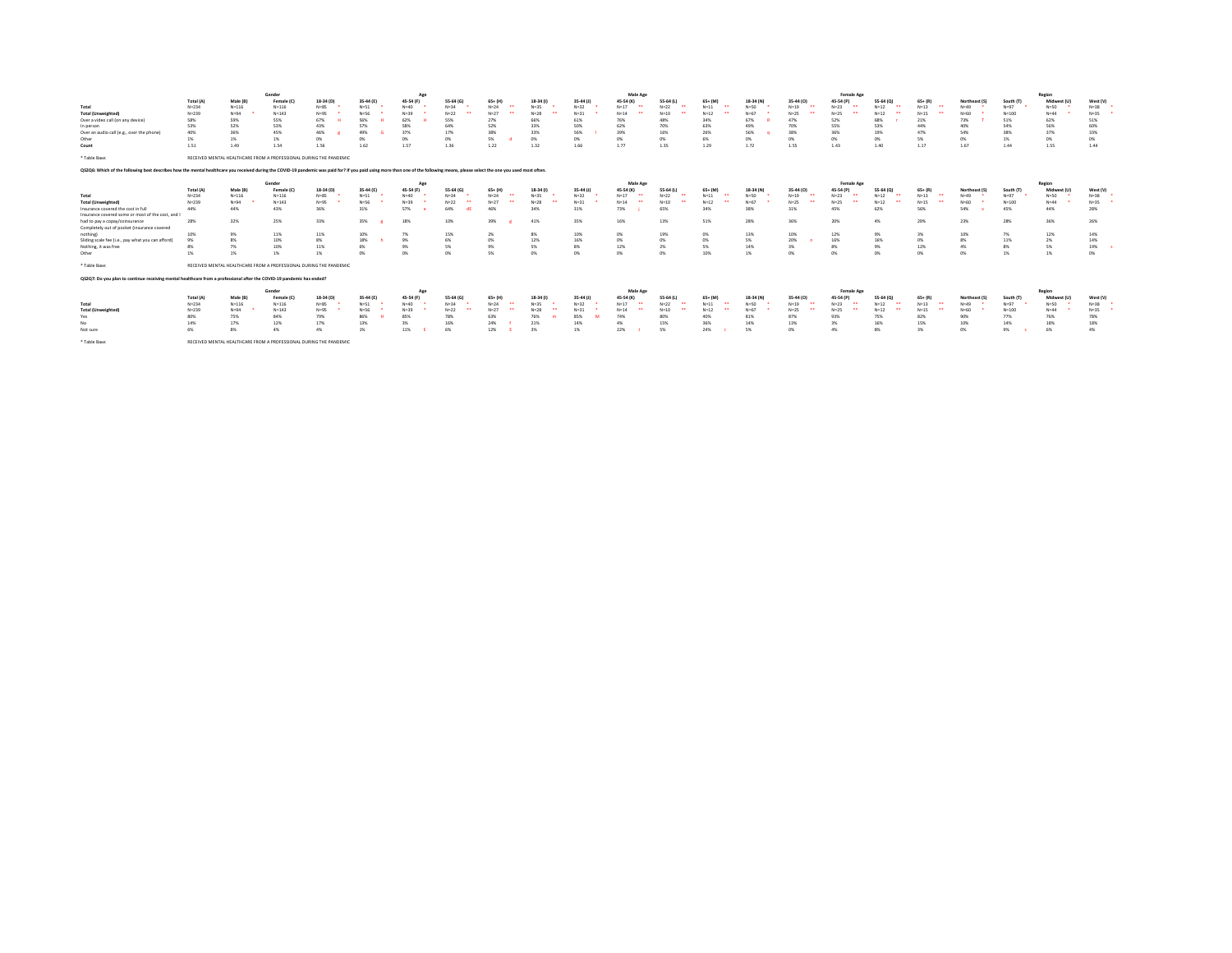|                                                                                                                                                                                                                                | Gender<br>Age |                                                                    |            |           |           |           |                                |               |           | Male Age    |                                  |           |            |           | Female Age |            |                                |           |               | Region    |             |          |
|--------------------------------------------------------------------------------------------------------------------------------------------------------------------------------------------------------------------------------|---------------|--------------------------------------------------------------------|------------|-----------|-----------|-----------|--------------------------------|---------------|-----------|-------------|----------------------------------|-----------|------------|-----------|------------|------------|--------------------------------|-----------|---------------|-----------|-------------|----------|
|                                                                                                                                                                                                                                | Total (A)     | Male (B)                                                           | Female (C  | 18-34 (D) | 35-44 (E) | 45-54 (F) | 55-64 (G)                      | $65 + (H)$    | 18-34 (f) | $35-44$ (J) | 45-54 (K)                        | 55-64 (L) | $65 + (M)$ | 18-34 (N) | 35-44 (0)  | 45-54 (P)  | 55-64 (Q)                      | $65+ (R)$ | Northeast (S) | South (T) | Midwest (U  | West (V) |
| Total                                                                                                                                                                                                                          | $N = 234$     | $N = 116$                                                          | $N = 116$  | $N = 85$  | $N = 51$  | $N = 40$  | $N = 34$                       | $N = 24$<br>. | $N = 35$  | $N=32$      | $N = 17$<br>$\ddot{\phantom{0}}$ | $N = 22$  | $N=11$<br> | $N = 50$  | $N=19$     | $N=23$     | $N=12$<br>. .                  | $N = 13$  | $N = 49$      | $N = 97$  | $N = 50$    | $N = 38$ |
| <b>Total (Unweighted)</b>                                                                                                                                                                                                      | $N = 239$     | $N = 94$                                                           | $N = 143$  | $N = 95$  | $N=56$    | $N = 39$  | $N=22$<br>$\ddot{\phantom{0}}$ | $N=27$        | $N=28$    | $N=31$      | $N = 14$                         | $N = 10$  | $N = 12$   | $N = 67$  | $N=25$     | $N = 25$   | $N=12$<br>$\ddot{\phantom{0}}$ | $N = 15$  | $N=60$        | $N = 100$ | $N = 44$    | $N = 35$ |
| Over a video call (on any device)                                                                                                                                                                                              | 58%           | 59%                                                                | 55%        | 67%       | 56%       | 62%       | 55%                            | 27%           | 66%       | 61%         | 76%                              | 48%       | 34%        | 67%       | 47%        | 52%        | 68%                            | 21%       | 73%           | 51%       | 62%         | 51%      |
| In person                                                                                                                                                                                                                      | 53%           | 52%                                                                | 53%        | 43%       | 57%       | 58%       | 64%                            | 52%           | 33%       | 50%         | 62%                              | 70%       | 63%        | 49%       | 70%        | 55%        | 53%                            | 44%       | 40%           | 54%       | 56%         | 60%      |
| Over an audio call (e.g., over the phone)                                                                                                                                                                                      | 40%           | 36%                                                                | 45%        | 46%       | 49%       | 37%       | 17%                            | 38%           | 33%       | 56%         | 39%                              | 16%       | 26%        | 56%       | 38%        | 36%        | 19%                            | 47%       | 54%           | 38%       | 37%         | 33%      |
| Other                                                                                                                                                                                                                          | 1%            | 1%                                                                 | 1%         | 0%        | 0%        | 0%        | 0%                             | 5%            | 0%        | 0%          | 0%                               | 0%        | 6%         | 0%        | m          | 0%         | 0%                             | 5%        | 0%            | 1%        | 0%          | 0%       |
| Count                                                                                                                                                                                                                          | 1.51          | 1.49                                                               | 1.54       | 1.56      | 1.62      | 1.57      | 1.36                           | 1.22          | 1.32      | 1.66        | 1.77                             | 1.35      | 1.29       | 1.72      | 1.55       | 1.43       | 1.40                           | 1.17      | 1.67          | 1.44      | 1.55        | 1.44     |
|                                                                                                                                                                                                                                |               |                                                                    |            |           |           |           |                                |               |           |             |                                  |           |            |           |            |            |                                |           |               |           |             |          |
| * Table Base:                                                                                                                                                                                                                  |               | RECEIVED MENTAL HEALTHCARE FROM A PROFESSIONAL DURING THE PANDEMIC |            |           |           |           |                                |               |           |             |                                  |           |            |           |            |            |                                |           |               |           |             |          |
| QS2Q6: Which of the following best describes how the mental healthcare you received during the COVID-19 pandemic was paid for? If you paid using more than one of the following means, please select the one you used most oft |               |                                                                    |            |           |           |           |                                |               |           |             |                                  |           |            |           |            |            |                                |           |               |           |             |          |
|                                                                                                                                                                                                                                |               |                                                                    | Gender     |           |           | Age       |                                |               |           |             | Male Age                         |           |            |           |            | Female Age |                                |           |               |           | Region      |          |
|                                                                                                                                                                                                                                | Total (A)     | Male (B)                                                           | Female (C  | 18-34 (D) | 35-44 (E) | 45-54 (F) | 55-64 (G)                      | $65 + (H)$    | 18-34 (f) | $35-44$ (J) | 45-54 (K)                        | 55-64 (L) | $65 + (M)$ | 18-34 (N) | 35-44 (0)  | 45-54 (P)  | 55-64 (Q)                      | $65+ (R)$ | Northeast (S) | South (T) | Midwest (U  | West (V) |
| Total                                                                                                                                                                                                                          | $N = 234$     | $N = 116$                                                          | $N = 116$  | $N = 85$  | $N = 51$  | $N = 40$  | $N = 34$                       | $N = 24$      | $N = 35$  | $N=32$      | $N = 17$<br>. .                  | $N=22$    | $N=11$     | $N=50$    | $N=19$     | $N=23$     | $N=12$<br>$\ddot{\phantom{0}}$ | $N = 13$  | $N = 49$      | $N=97$    | $N = 50$    | $N = 38$ |
| <b>Total (Unweighted)</b>                                                                                                                                                                                                      | $N = 239$     | $N = 94$                                                           | $N = 143$  | $N = 95$  | $N=56$    | $N = 39$  | $N=22$<br>                     | $N=27$        | $N=28$    | $N=31$      | $N = 14$<br>$\ddot{\phantom{0}}$ | $N = 10$  | $N = 12$   | $N = 67$  | $N=25$     | $N=25$<br> | $N=12$<br>$\ddot{\phantom{0}}$ | $N = 15$  | $N = 60$      | $N = 100$ | $N = 44$    | $N = 35$ |
| Insurance covered the cost in full                                                                                                                                                                                             | 44%           | 44%                                                                | 43%        | 36%       | 31%       | 57%       | 64%                            | 46%           | 34%       | 31%         | 73%                              | 65%       | 34%        | 38%       | 31%        | 45%        | 62%                            | 56%       | 54%           | 45%       | 44%         | 28%      |
| Insurance covered some or most of the cost, and I                                                                                                                                                                              |               |                                                                    |            |           |           |           |                                |               |           |             |                                  |           |            |           |            |            |                                |           |               |           |             |          |
| had to pay a copay/coinsurance                                                                                                                                                                                                 | 28%           | 32%                                                                | 25%        | 33%       | 35%       | 18%       | 10%                            | 39%           | 41%       | 35%         | 16%                              | 13%       | 51%        | 28%       | 36%        | 20%        | 4%                             | 29%       | 23%           | 28%       | 36%         | 26%      |
| Completely out of pocket (insurance covered                                                                                                                                                                                    |               |                                                                    |            |           |           |           |                                |               |           |             |                                  |           |            |           |            |            |                                |           |               |           |             |          |
| nothing)                                                                                                                                                                                                                       | 10%           | 9%                                                                 | 11%        | 11%       | 10%       | 7%        | 15%                            | 2%            | 8%        | 10%         | 0%                               | 19%       | 0%         | 13%       | 10%        | 12%        | 9%                             | 3%        | 10%           | 7%        | 12%         | 14%      |
| Sliding scale fee (i.e., pay what you can afford                                                                                                                                                                               | 9%            | 8%                                                                 | 10%        | 8%        | 18%       | 9%        | 6%                             | 0%            | 12%       | 16%         | 0%                               | 0%        | ON         | 5%        | 20%        | 16%        | 16%                            | 0%        | 8%            | 11%       | 2%          | 14%      |
| Nothing, it was free                                                                                                                                                                                                           | 8%            | 7%                                                                 | 10%        | 11%       | 6%        | 9%        | 5%                             | 9%            | 5%        | 8%          | 12%                              | 2%        | 5%         | 14%       | 3%         | 8%         | 9%                             | 12%       | 4%            | 8%        | 5%          | 19%      |
| Other                                                                                                                                                                                                                          | 1%            | 1%                                                                 | 1%         | 1%        | ms        | 0%        | 0%                             | 5%            | ON        | O%          | n%                               | 0%        | 10%        | 1%        | m          | 0%         | 0%                             | 0%        | 0%            | 1%        | 1%          | 0%       |
|                                                                                                                                                                                                                                |               |                                                                    |            |           |           |           |                                |               |           |             |                                  |           |            |           |            |            |                                |           |               |           |             |          |
| * Table Base:                                                                                                                                                                                                                  |               | RECEIVED MENTAL HEALTHCARE FROM A PROFESSIONAL DURING THE PANDEMIC |            |           |           |           |                                |               |           |             |                                  |           |            |           |            |            |                                |           |               |           |             |          |
| Q\$2Q7: Do you plan to continue receiving mental healthcare from a professional after the COVID-19 pandemic has ended?                                                                                                         |               |                                                                    |            |           |           |           |                                |               |           |             |                                  |           |            |           |            |            |                                |           |               |           |             |          |
|                                                                                                                                                                                                                                |               |                                                                    | Gender     |           |           | Age       |                                |               |           |             | Male Age                         |           |            |           |            | Female Age |                                |           |               |           | Region      |          |
|                                                                                                                                                                                                                                | Total (A)     | Male (B)                                                           | Female (C) | 18-34 (D) | 35-44 (E) | 45-54 (F) | 55-64 (G)                      | $65 + (H)$    | 18-34 (f) | $35-44$ (J) | 45-54 (K)                        | 55-64 (L) | $65 + (M)$ | 18-34 (N) | 35-44 (0)  | 45-54 (P)  | 55-64 (Q)                      | $65+ (R)$ | Northeast (S) | South (T) | Midwest (U) | West (V) |
| Total                                                                                                                                                                                                                          | $N = 234$     | $N = 116$                                                          | $N = 116$  | $N = 85$  | $N = 51$  | $N = 40$  | $N = 34$                       | $N = 24$      | $N = 35$  | $N = 32$    | $N = 17$<br>$\ddot{\phantom{1}}$ | $N = 22$  | $N=11$     | $N = 50$  | $N=19$     | $N=23$     | $N=12$<br>$\ddot{\phantom{0}}$ | $N = 13$  | $N = 49$      | $N = 97$  | $N = 50$    | $N = 38$ |
| <b>Total (Unweighted</b>                                                                                                                                                                                                       | $N = 239$     | $N = 94$                                                           | $N = 143$  | $N = 95$  | $N=56$    | $N = 39$  | $N=22$                         | $N=27$        | $N=28$    | $N = 31$    | $N = 14$                         | $N = 10$  | $N = 12$   | $N = 67$  | $N=25$     | $N=25$     | $N=12$                         | $N = 15$  | $N = 60$      | $N = 100$ | $N = 44$    | $N = 35$ |
| Yes                                                                                                                                                                                                                            | 80%           | 75%                                                                | 84%        | 79%       | 86%       | 85%       | 78%                            | 63%           | 76%       | 85%         | 74%                              | 80%       | 40%        | 81%       | 87%        | 93%        | 75%                            | 82%       | 90%           | 77%       | 76%         | 78%      |
| No                                                                                                                                                                                                                             | 14%           | 17%                                                                | 12%        | 17%       | 13%       | 3%        | 16%                            | 24%           | 21%       | 14%         | 4%                               | 15%       | 36%        | 14%       | 13%        | 3%         | 16%                            | 15%       | 10%           | 14%       | 18%         | 18%      |
| Not sure                                                                                                                                                                                                                       | 6%            | 8%                                                                 | 4%         | 4%        | 1%        | 11%       | 6%                             | 12%           | 3%        | 1%          | 22%                              | 5%        | 24%        | 5%        | 0%         | 4%         | 8%                             | 3%        | 0%            | 9%        | 6%          | 4%       |
|                                                                                                                                                                                                                                |               |                                                                    |            |           |           |           |                                |               |           |             |                                  |           |            |           |            |            |                                |           |               |           |             |          |
| * Table Base:                                                                                                                                                                                                                  |               | RECEIVED MENTAL HEALTHCARE FROM A PROFESSIONAL DURING THE PANDEMIC |            |           |           |           |                                |               |           |             |                                  |           |            |           |            |            |                                |           |               |           |             |          |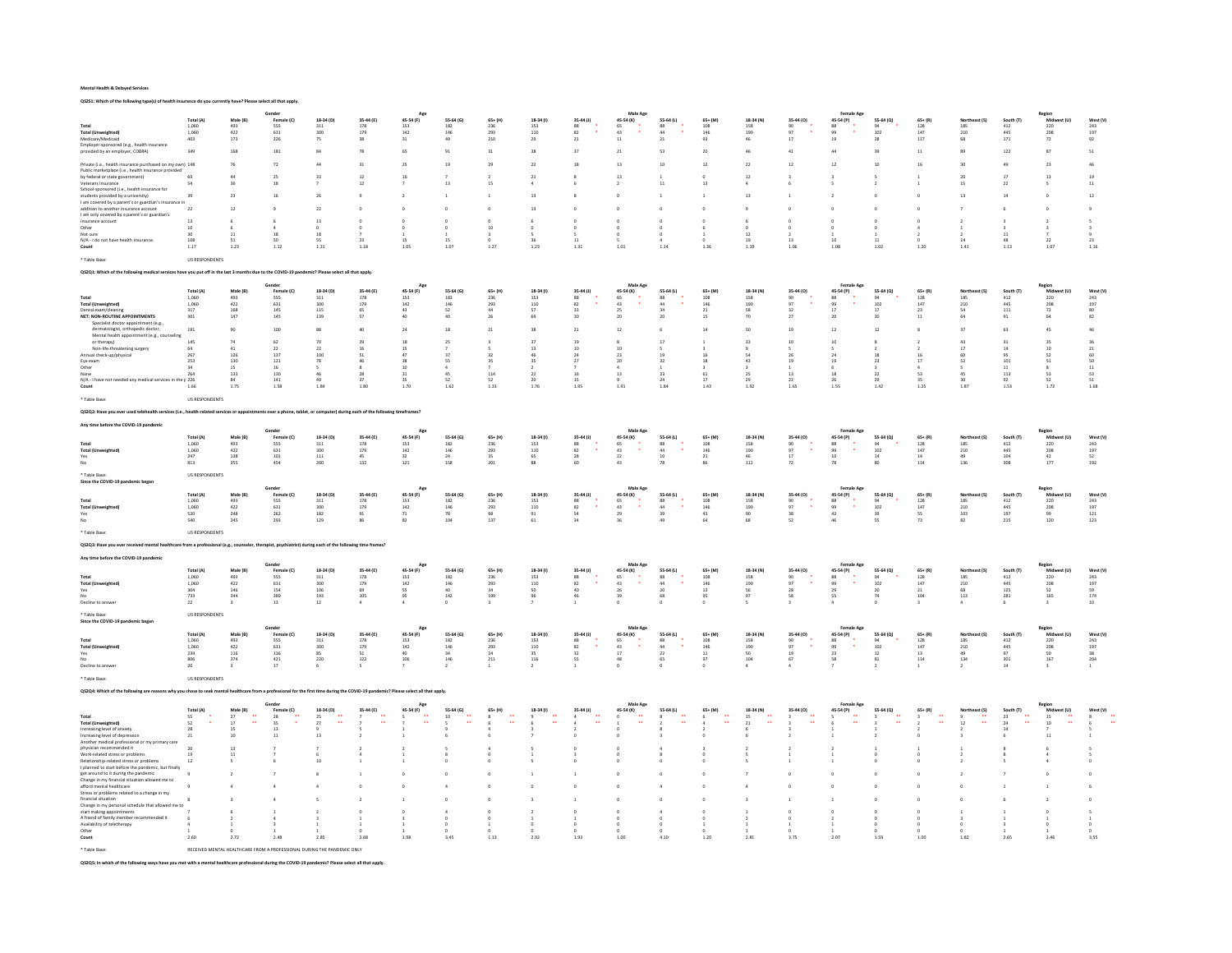QS2S1: Which of the following type(s) of health insurance do you currently have? Please select all that apply.

|                                                                                                                                                                                      |                                               |                                  | Gende                                                                 |                                               |                      |                                                 |                    |                           |                                                 |                                         | Male Ap                                                                                                                  |                                         |                                                       |                         |                                         | Female Ag                                     |                               |                                               |                                           |                                                                          | Region<br>Midw                                  |                                             |
|--------------------------------------------------------------------------------------------------------------------------------------------------------------------------------------|-----------------------------------------------|----------------------------------|-----------------------------------------------------------------------|-----------------------------------------------|----------------------|-------------------------------------------------|--------------------|---------------------------|-------------------------------------------------|-----------------------------------------|--------------------------------------------------------------------------------------------------------------------------|-----------------------------------------|-------------------------------------------------------|-------------------------|-----------------------------------------|-----------------------------------------------|-------------------------------|-----------------------------------------------|-------------------------------------------|--------------------------------------------------------------------------|-------------------------------------------------|---------------------------------------------|
|                                                                                                                                                                                      | Total (A)                                     | Male (B)                         | Female (C)                                                            | 18-34 (D)                                     | 35-44 (E)            | 45-54 (F)                                       | 55-64 (G)          | $65+ (H)$                 | 18-34 (1)                                       | $35-44$ (J)                             | 45-54 (K)                                                                                                                | 55-64 (L)                               | $65 + (M)$                                            | 18-34 (N)               | 35-44 (O)                               | 45-54 (P)                                     | 55-64 (Q)                     | $65 + (R)$                                    | Northeast (S)                             | South (T)                                                                |                                                 | West (V)                                    |
| <b>Total (Unweighted</b>                                                                                                                                                             | $\begin{array}{c} 1,060 \\ 1,060 \end{array}$ | 493<br>422                       | 555<br>631                                                            | 311<br>300                                    | 178<br>179           | $\begin{array}{c} 153 \\ 142 \end{array}$       | 182<br>146         | 236<br>293                | $\begin{array}{c} 153 \\ 110 \end{array}$       | $\begin{array}{c} 88 \\ 82 \end{array}$ | $\begin{array}{c} 65 \\ 43 \end{array}$<br>÷.                                                                            | $\frac{88}{44}$                         | $\frac{108}{146}$                                     | 158<br>190              | 90<br>97                                | 88<br>99<br>$\Delta$                          | $\frac{94}{102}$              | $\begin{array}{c} 128 \\ 147 \end{array}$     | $\frac{185}{210}$                         | $\frac{412}{445}$                                                        | 220<br>208                                      | 243<br>197                                  |
| Medicare/Medicaid<br>Employer-sponsored (e.g., health insurance                                                                                                                      | 403                                           | $173\,$                          | 226                                                                   | 75                                            | 38                   | $_{\rm 31}$                                     | 49                 | 210                       | 29                                              | $\bf 21$                                | $11\,$                                                                                                                   | 21                                      | 93                                                    | 46                      | 17                                      | 19                                            | 28                            | 117                                           | 68                                        | 171                                                                      | 72                                              | 92                                          |
| provided by an employer, COBRA)                                                                                                                                                      | 349                                           | 168                              | 181                                                                   | ò,                                            | 78                   | 65                                              | 91                 | 31                        | 38                                              | 37                                      | $\bf 21$                                                                                                                 | 53                                      | 20                                                    |                         | 41                                      | $44\,$                                        | 39                            | $\overline{\mathbf{11}}$                      |                                           | $122\,$                                                                  | 87                                              | ${\sf s}_1$                                 |
|                                                                                                                                                                                      |                                               |                                  |                                                                       |                                               |                      |                                                 |                    |                           |                                                 | 18                                      |                                                                                                                          | 10                                      |                                                       |                         |                                         |                                               |                               |                                               |                                           |                                                                          |                                                 |                                             |
| Private (i.e., health insurance purchased on my own) 148<br>Public marketplace (i.e., health insurance provided                                                                      |                                               |                                  |                                                                       |                                               | 31                   | 25                                              | 15                 |                           | 22                                              |                                         | 13                                                                                                                       |                                         | $\overline{12}$                                       |                         |                                         | $\overline{12}$                               |                               |                                               |                                           |                                                                          | $\overline{23}$                                 |                                             |
| by federal or state government)                                                                                                                                                      | 69                                            |                                  |                                                                       |                                               | $12\,$               | 16                                              |                    |                           | 21                                              |                                         | 13                                                                                                                       |                                         |                                                       | 12                      |                                         |                                               |                               |                                               |                                           |                                                                          | 13                                              | 19                                          |
| Veterans insurance<br>School-sponsored (i.e., health insurance for                                                                                                                   |                                               | 36                               | 18                                                                    |                                               | 12                   |                                                 | 13                 |                           |                                                 |                                         |                                                                                                                          | 11                                      | 13                                                    |                         |                                         |                                               |                               |                                               | 15                                        | 22                                                                       |                                                 | 11                                          |
| students provided by a university)                                                                                                                                                   | 39                                            | 23                               | 16                                                                    | 26                                            |                      | $\rightarrow$                                   |                    |                           | 13                                              |                                         |                                                                                                                          |                                         |                                                       | 13                      |                                         |                                               |                               |                                               | 13                                        | 14                                                                       |                                                 | 12                                          |
| I am covered by a parent's or guardian's insurance in<br>addition to another insurance account                                                                                       | 22                                            | 12                               |                                                                       | $\overline{\mathbf{z}}$                       |                      |                                                 |                    |                           | 13                                              |                                         |                                                                                                                          |                                         |                                                       |                         |                                         |                                               |                               |                                               |                                           |                                                                          |                                                 |                                             |
| I am only covered by a parent's or guardian's                                                                                                                                        |                                               |                                  |                                                                       |                                               |                      |                                                 |                    |                           |                                                 |                                         |                                                                                                                          |                                         |                                                       |                         |                                         |                                               |                               |                                               |                                           |                                                                          |                                                 |                                             |
| insurance account                                                                                                                                                                    | 13                                            |                                  |                                                                       | 13                                            |                      |                                                 |                    |                           |                                                 |                                         |                                                                                                                          |                                         |                                                       |                         |                                         |                                               |                               |                                               |                                           |                                                                          |                                                 |                                             |
| Other                                                                                                                                                                                | 10<br>30                                      | $11$                             | 18                                                                    |                                               |                      |                                                 |                    | 10                        | $\Omega$                                        |                                         |                                                                                                                          |                                         |                                                       | 12                      |                                         |                                               |                               |                                               |                                           |                                                                          |                                                 |                                             |
| Not sure<br>N/A - I do not have health insurance.                                                                                                                                    | 108                                           | 51                               | 50                                                                    | 55                                            | 23                   | 15                                              | 15                 |                           |                                                 | 11                                      |                                                                                                                          |                                         |                                                       | 19                      | 13                                      | 10                                            | 11                            |                                               | 14                                        | 48                                                                       | 22                                              | 23                                          |
| $_{\text{Count}}$                                                                                                                                                                    | $1.17\,$                                      | $1.23\,$                         | $1.12\,$                                                              | 1.21                                          | $1.18\,$             | 1.05                                            | 1.07               | $1.27\,$                  | $1.23\,$                                        | 1.31                                    | 1.01                                                                                                                     | 1.14                                    | 1.36                                                  | 1.19                    | 1.06                                    | 1.08                                          | 1.02                          | 1.20                                          | $1.41\,$                                  | $1.13\,$                                                                 | 1.07                                            | 1.16                                        |
| * Table Base:                                                                                                                                                                        | US RESPONDENTS                                |                                  |                                                                       |                                               |                      |                                                 |                    |                           |                                                 |                                         |                                                                                                                          |                                         |                                                       |                         |                                         |                                               |                               |                                               |                                           |                                                                          |                                                 |                                             |
| Q\$2Q1: Which of the following medical services have you put off in the last 3 months due to the COVID-19 pandemic? Please select all that apply.                                    |                                               |                                  |                                                                       |                                               |                      |                                                 |                    |                           |                                                 |                                         |                                                                                                                          |                                         |                                                       |                         |                                         |                                               |                               |                                               |                                           |                                                                          |                                                 |                                             |
|                                                                                                                                                                                      |                                               |                                  |                                                                       |                                               |                      |                                                 |                    |                           |                                                 |                                         |                                                                                                                          |                                         |                                                       |                         |                                         |                                               |                               |                                               |                                           |                                                                          |                                                 |                                             |
|                                                                                                                                                                                      |                                               |                                  | Gende                                                                 |                                               |                      | App                                             |                    |                           |                                                 |                                         | Male Age                                                                                                                 |                                         |                                                       |                         |                                         | Female Age                                    |                               |                                               |                                           |                                                                          |                                                 |                                             |
| Total                                                                                                                                                                                | Total (A)<br>1,060                            | Male (B)<br>493                  | Femal<br>555                                                          | 18-34 (D)<br>311                              | 35-44 (E)<br>178     | 45-54 (F)<br>153                                | 55-64 (G)<br>182   | $65+ (H)$<br>236          | 18-34 (1)<br>153                                | 35-44 (J)<br>88                         | 45-54 (K)<br>65                                                                                                          | 55-64 (L)<br>88                         | $65 + (M)$<br>108                                     | 18-34 (N)<br>158        | 35-44 (O)<br>90                         | 45-54 (P)<br>88                               | 55-64 (Q)<br>94               | $\begin{array}{c} 65+ (R) \\ 128 \end{array}$ | 185                                       | South (T) $412$                                                          | Region<br>Mid:<br>220                           | West (V) $_{243}$                           |
| <b>Total (Unweighted)</b>                                                                                                                                                            | 1,060                                         | 422                              | $631\,$                                                               | 300                                           | 179                  | $142\,$                                         | 146                | 293                       | $110\,$                                         | $\bf 82$                                | 43                                                                                                                       | $44\,$                                  | 146                                                   | 190                     | q <sub>7</sub>                          | 99                                            | 102                           | 147                                           | 210                                       | 445                                                                      | 208                                             | 197                                         |
| Dental exam/cleaning<br><b>NET: NON-ROUTINE APPOINTMENTS</b>                                                                                                                         | 317<br>$301\,$                                | 168<br>147                       | 145<br>$145\,$                                                        | 115<br>139                                    | 65<br>${\sf S7}$     | 43<br>$40\,$                                    | 52<br>40           | 44<br>26                  | 57<br>69                                        | 33<br>30                                | 25<br>$20\,$                                                                                                             | 34<br>$20$                              | 21<br>15                                              | 58<br>70                | 32<br>$27\,$                            | 17<br>$20\,$                                  | 17<br>$\bf{20}$               | 23<br>$\overline{\mathbf{1}}$                 | 54<br>64                                  | 111<br>91                                                                | 72<br>64                                        | 80<br>$^{\rm 82}$                           |
| Specialist doctor appointment (e.g.,                                                                                                                                                 |                                               |                                  |                                                                       |                                               |                      |                                                 |                    |                           |                                                 |                                         |                                                                                                                          |                                         |                                                       |                         |                                         |                                               |                               |                                               |                                           |                                                                          |                                                 |                                             |
| dermatologist, orthopedic doctor,                                                                                                                                                    | 191                                           | 90                               | 100                                                                   | 88                                            | 40                   | 24                                              | 18                 | 21                        | 38                                              | $_{21}$                                 | 12                                                                                                                       |                                         | 14                                                    |                         | 19                                      | 12                                            | 12                            |                                               | 37                                        | 63                                                                       | 45                                              | 46                                          |
| Mental health appointment (e.g., counseling<br>or therapy)                                                                                                                           | $14\mathrm{S}$                                | 74                               | 62                                                                    | 70                                            | 29                   | 18                                              | 25                 |                           | 37                                              | 19                                      | 8                                                                                                                        | 17                                      |                                                       | 33                      |                                         | 10                                            |                               |                                               | 43                                        | 31                                                                       | 35                                              | 36                                          |
| Non-life-threatening surgery                                                                                                                                                         | $\frac{64}{267}$                              | 41                               | 22                                                                    | 22                                            | 16                   | 15                                              |                    |                           | 13                                              | 10                                      | 10 <sub>10</sub>                                                                                                         |                                         |                                                       |                         |                                         |                                               |                               |                                               | 17                                        | 14                                                                       | 10                                              | $\bf 21$                                    |
| Annual check-up/physical                                                                                                                                                             |                                               | 126                              | 137                                                                   | 100<br>78                                     | 51<br>AC.            | 47<br>38                                        | 37<br>\$S          | 32                        | 35                                              | 24<br>$\overline{27}$                   | 23<br>20                                                                                                                 | 19<br>32                                | 16<br>18                                              | 54<br>43                |                                         | 24                                            | 18                            | 16<br>$17$                                    | 60<br>52                                  | 95                                                                       | 52<br>51                                        | 60                                          |
| Eye exam<br>Other                                                                                                                                                                    | 253<br>34                                     | 130<br>15                        | $121\,$<br>16                                                         |                                               | $\mathbf{x}$         | 10                                              | 4                  |                           |                                                 |                                         | $\Delta$                                                                                                                 |                                         |                                                       |                         |                                         | 19                                            | 23                            |                                               |                                           | $101\,$<br>11                                                            | $\mathbf{R}$                                    | $50\,$<br>11                                |
| None                                                                                                                                                                                 | 264                                           | 133                              | 130                                                                   |                                               | 28                   | 31                                              | 45                 | 114                       | 22                                              |                                         | $13\,$                                                                                                                   | 23                                      |                                                       | 25                      |                                         | 18                                            | $_{22}$                       | 53                                            |                                           | $113\,$                                                                  | 53                                              | 53                                          |
| N/A - I have not needed any medical services in the p 226<br>Count                                                                                                                   | 1.66                                          | 84<br>$1.75\,$                   | 141<br>$1.58\,$                                                       | 49<br>1.84                                    | 37<br>$1.80\,$       | 35<br>1.70                                      | 52<br>1.62         | 52<br>$1.33\,$            | 20<br>$1.76\,$                                  | 15<br>1.95                              | 1.91                                                                                                                     | 24<br>$_{\rm 1.84}$                     | 17<br>1.43                                            | 29<br>1.92              | $\overline{22}$<br>1.65                 | 26<br>$1.55\,$                                | 29<br>1.42                    | 35<br>1.25                                    | 30 <sub>2</sub><br>$1.87\,$               | 92<br>$1.53\,$                                                           | 52<br>$1.72\,$                                  | 51<br>1.68                                  |
|                                                                                                                                                                                      |                                               |                                  |                                                                       |                                               |                      |                                                 |                    |                           |                                                 |                                         |                                                                                                                          |                                         |                                                       |                         |                                         |                                               |                               |                                               |                                           |                                                                          |                                                 |                                             |
| * Table Base:                                                                                                                                                                        | <b>US RESPONDENTS</b>                         |                                  |                                                                       |                                               |                      |                                                 |                    |                           |                                                 |                                         |                                                                                                                          |                                         |                                                       |                         |                                         |                                               |                               |                                               |                                           |                                                                          |                                                 |                                             |
| Q\$2Q2: Have you ever used telehealth services (i.e., health-related services or appointments over a phone, tablet, or computer) during each of the following timeframes?            |                                               |                                  |                                                                       |                                               |                      |                                                 |                    |                           |                                                 |                                         |                                                                                                                          |                                         |                                                       |                         |                                         |                                               |                               |                                               |                                           |                                                                          |                                                 |                                             |
|                                                                                                                                                                                      |                                               |                                  |                                                                       |                                               |                      |                                                 |                    |                           |                                                 |                                         |                                                                                                                          |                                         |                                                       |                         |                                         |                                               |                               |                                               |                                           |                                                                          |                                                 |                                             |
| Any time before the COVID-19 pandemi                                                                                                                                                 |                                               |                                  |                                                                       |                                               |                      |                                                 |                    |                           |                                                 |                                         |                                                                                                                          |                                         |                                                       |                         |                                         |                                               |                               |                                               |                                           |                                                                          | Region                                          |                                             |
|                                                                                                                                                                                      | Total (A)                                     | Male (B)                         | Female (C)                                                            | 18-34 (D)                                     | 35-44 (E)            | 45-54 (F)                                       | 55-64 (G)          | $65+$ (H)                 | 18-34 (f)                                       | $35-44$ (J)                             | 45-54 (K)                                                                                                                | 55-64 (L)                               | $65 + (M)$                                            | 18-34 (N)               | 35-44 (0)                               | 45-54 (P)                                     | 55-64 (Q)                     | $65 + (R)$                                    | Northeast (S)                             | South (T)                                                                | Midwest (U)                                     | West (V)                                    |
| <b>Total (Unweighted)</b>                                                                                                                                                            | $1,060$<br>$1,060$                            | 493<br>422                       | $555$<br>$631$                                                        | $\frac{311}{300}$                             | 178<br>179           | $\begin{array}{c} 153 \\ 142 \\ 32 \end{array}$ | $\frac{182}{146}$  | 236<br>293                | $\begin{array}{c} 153 \\ 110 \end{array}$       | $\begin{array}{c} 88 \\ 82 \end{array}$ | 65<br>43                                                                                                                 | $\begin{array}{c} 88 \\ 44 \end{array}$ | $\frac{108}{146}$                                     | 158<br>190              | $\begin{array}{c} 90 \\ 97 \end{array}$ | $\begin{array}{c} 88 \\ 99 \\ 10 \end{array}$ | $\frac{94}{102}$              | $\begin{array}{c} 128 \\ 147 \end{array}$     | $\begin{array}{c} 185 \\ 210 \end{array}$ | $412$<br>$445$                                                           | 220<br>208<br>42<br>42<br>177                   | 243<br>197<br>52<br>192                     |
| $\gamma_{\mbox{\scriptsize{ES}}}$                                                                                                                                                    | 247                                           | 138                              | $101\,$                                                               | $_{111}$                                      | $45\,$               |                                                 | $^{24}$            | 35                        | $65\,$                                          | $_{\rm 28}$                             | $\bf{22}$                                                                                                                | $10\,$                                  | $\bf{21}$                                             | 46                      | $17\,$                                  |                                               | $_{\rm 14}$                   | $\frac{1}{4}$                                 | 49                                        | $104\,$                                                                  |                                                 |                                             |
| No                                                                                                                                                                                   | 813                                           | 355                              | 454                                                                   | 200                                           | 132                  | 121                                             | 158                | 201                       | 88                                              | 60                                      | 43                                                                                                                       | 78                                      | 86                                                    | 112                     | 72                                      | 78                                            | 80                            | 114                                           | 136                                       | 308                                                                      |                                                 |                                             |
| * Table Rase:                                                                                                                                                                        | <b>US RESPONDENTS</b>                         |                                  |                                                                       |                                               |                      |                                                 |                    |                           |                                                 |                                         |                                                                                                                          |                                         |                                                       |                         |                                         |                                               |                               |                                               |                                           |                                                                          |                                                 |                                             |
|                                                                                                                                                                                      |                                               |                                  |                                                                       |                                               |                      |                                                 |                    |                           |                                                 |                                         |                                                                                                                          |                                         |                                                       |                         |                                         |                                               |                               |                                               |                                           |                                                                          |                                                 |                                             |
| Since the COVID-19 pandemic began                                                                                                                                                    |                                               |                                  |                                                                       |                                               |                      |                                                 |                    |                           |                                                 |                                         |                                                                                                                          |                                         |                                                       |                         |                                         |                                               |                               |                                               |                                           |                                                                          |                                                 |                                             |
|                                                                                                                                                                                      |                                               |                                  |                                                                       |                                               |                      |                                                 |                    |                           |                                                 |                                         |                                                                                                                          |                                         |                                                       |                         |                                         |                                               |                               |                                               |                                           |                                                                          |                                                 |                                             |
| Total                                                                                                                                                                                | Total (A)                                     | Male (B)                         | Female (C)                                                            | 18-34 (D)                                     | 35-44 (E)            | 45-54 (F)                                       | 55-64 (G)          | $65+ (H)$                 | 18-34 (f)                                       |                                         | 45-54 (K)                                                                                                                | 55-64 (L)                               | $65+$ (M)                                             | 18-34 (N)               |                                         | 45-54 (P)                                     | 55-64 (Q)                     | $65 + (R)$                                    | Northeast (S)                             | South (T)                                                                | Region<br>Midwest (U)                           | West (V)                                    |
| <b>Total (Unweighted</b>                                                                                                                                                             | 1,060<br>1,060                                | 493<br>422                       | $555$<br>$631$                                                        | $\frac{311}{300}$                             | $\frac{178}{179}$    | $\frac{153}{142}$                               | $\frac{182}{146}$  | $\frac{236}{293}$         | $\frac{153}{110}$                               | 35-44 (J)<br>88<br>82                   | $65$<br>$43$<br>à,                                                                                                       | $\begin{array}{c} 88 \\ 44 \end{array}$ | $\frac{108}{146}$                                     | $\frac{158}{190}$       | 35-44 (O)<br>90<br>97                   | $88$<br>99                                    | $\frac{94}{102}$              | $\frac{128}{147}$                             | $\frac{185}{210}$                         | $\frac{412}{445}$                                                        | $\frac{220}{208}$                               |                                             |
| $\mathsf{Yes}$                                                                                                                                                                       | 520                                           | $_{\rm 248}$                     | ${\bf 262}$                                                           | 182                                           | $\mathsf{91}$        | $71\,$                                          | ${\bf 78}$         | 98                        | 91                                              | 54                                      | 29                                                                                                                       | 39                                      | 43                                                    | $90\,$                  | 38                                      | $42\,$                                        | 39                            | ${\sf s} {\sf s}$                             | $103\,$                                   | 197                                                                      | 99                                              |                                             |
| No                                                                                                                                                                                   | 540                                           | 245                              | 293                                                                   | 129                                           | 86                   | 82                                              | 104                | 137                       | 61                                              | 34                                      | 36                                                                                                                       | 49                                      | 64                                                    | 68                      | 52                                      | 46                                            | <sub>55</sub>                 | 73                                            | 82                                        | 215                                                                      | 120                                             | 243<br>197<br>121<br>123                    |
| * Table Base:                                                                                                                                                                        | <b>US RESPONDENTS</b>                         |                                  |                                                                       |                                               |                      |                                                 |                    |                           |                                                 |                                         |                                                                                                                          |                                         |                                                       |                         |                                         |                                               |                               |                                               |                                           |                                                                          |                                                 |                                             |
|                                                                                                                                                                                      |                                               |                                  |                                                                       |                                               |                      |                                                 |                    |                           |                                                 |                                         |                                                                                                                          |                                         |                                                       |                         |                                         |                                               |                               |                                               |                                           |                                                                          |                                                 |                                             |
| QS2Q3: Have you eve                                                                                                                                                                  | from a pro                                    | al (e.g., cou                    |                                                                       | ychiatrist) during each of the foll           |                      |                                                 |                    |                           |                                                 |                                         |                                                                                                                          |                                         |                                                       |                         |                                         |                                               |                               |                                               |                                           |                                                                          |                                                 |                                             |
| Any time before the COVID-19 pandemi                                                                                                                                                 |                                               |                                  |                                                                       |                                               |                      |                                                 |                    |                           |                                                 |                                         |                                                                                                                          |                                         |                                                       |                         |                                         |                                               |                               |                                               |                                           |                                                                          |                                                 |                                             |
|                                                                                                                                                                                      |                                               | Male (B)                         | Gende                                                                 |                                               |                      |                                                 |                    |                           |                                                 |                                         | Male Age                                                                                                                 | 55-64 (L)                               | 65+ (M)                                               |                         |                                         | Female Ago<br>45-54 (P)                       | 55-64 (Q)                     |                                               |                                           |                                                                          | Region                                          |                                             |
| Total                                                                                                                                                                                | Total (A)<br>1.060                            | 493                              | Fema<br>555                                                           | 18-34 (D)<br>311                              | 35-44 (E)<br>178     | 45-54 (F)<br>153                                | 55-64 (G)<br>182   | $65+ (H)$<br>236          | 18-34 (1)<br>153                                | 35-44 (J)                               | 45-54 (K)<br>65                                                                                                          |                                         | 108                                                   | 18-34 (N)               | 35-44 (O)                               | 88                                            |                               | $65 + (R)$<br>128                             | 185                                       |                                                                          | Mid<br>220                                      |                                             |
| <b>Total (Unweigh</b>                                                                                                                                                                | 1,060                                         | 422                              | 631                                                                   | 300                                           | 179                  | $142\,$                                         | 146                | 293                       | $110\,$                                         | $\begin{array}{c} 88 \\ 82 \end{array}$ | $43\,$                                                                                                                   | $\begin{array}{c} 88 \\ 44 \end{array}$ | $_{\rm 146}$                                          | 158<br>190              | $\begin{array}{c} 90 \\ 97 \end{array}$ | 99                                            | 94<br>102                     | $147\,$                                       | $_{\rm 210}$                              | South (T)<br>412<br>445                                                  |                                                 |                                             |
| $\gamma_{\rm CS}$                                                                                                                                                                    | 304<br>733                                    | 146<br>344                       | 154<br>389                                                            | 106<br>193                                    | 69<br>105            | 55<br>95                                        | 40<br>142          | 34<br>199                 | $\begin{array}{c} 50 \\ 96 \end{array}$         | 40<br>$46$                              | $\frac{26}{39}$                                                                                                          | $\begin{array}{c} 20 \\ 68 \end{array}$ | $13\,$<br>95                                          | 56<br>97                | $\frac{28}{58}$                         | 29<br>55                                      | $\frac{20}{74}$               |                                               | 68<br>113                                 | $\begin{array}{c} 125 \\ 281 \end{array}$                                | $\begin{array}{r} 208 \\ 52 \\ 165 \end{array}$ |                                             |
| Decline to answe                                                                                                                                                                     | $\bf{22}$                                     |                                  | $13\,$                                                                | $12\,$                                        | $\ddot{\phantom{a}}$ |                                                 |                    | $\,$ 3                    |                                                 | $\mathbf{1}$                            | $\theta$                                                                                                                 |                                         | $\mathbf{0}$                                          |                         |                                         |                                               | $\circ$                       | $\begin{array}{c} 21 \\ 104 \end{array}$      |                                           |                                                                          |                                                 | West (V)<br>243<br>197<br>59<br>174<br>$10$ |
| * Table Rase                                                                                                                                                                         | <b>US RESPONDENTS</b>                         |                                  |                                                                       |                                               |                      |                                                 |                    |                           |                                                 |                                         |                                                                                                                          |                                         |                                                       |                         |                                         |                                               |                               |                                               |                                           |                                                                          |                                                 |                                             |
| Since the COVID-19 pandemic began                                                                                                                                                    |                                               |                                  |                                                                       |                                               |                      |                                                 |                    |                           |                                                 |                                         |                                                                                                                          |                                         |                                                       |                         |                                         |                                               |                               |                                               |                                           |                                                                          |                                                 |                                             |
|                                                                                                                                                                                      | Total (A)                                     | Male (B)                         | Female (C)                                                            | 18-34 (D)                                     | 35-44 (E)            | 45-54 (F)                                       | 55-64 (G)          | $65+ (H)$                 | 18-34 (1)                                       | $35-44$ (J)                             | 45-54 (K)                                                                                                                | 55-64 (L)                               | $65 + (M)$                                            | 18-34 (N)               | 35-44 (0)                               | 45-54 (P)                                     | 55-64 (Q)                     | $65 + (R)$                                    | Northeast (S)                             | South (T)                                                                | Midwest (U)                                     | West (V)                                    |
|                                                                                                                                                                                      | 1,060                                         | 493                              | $555\,$                                                               | $311\,$                                       | 178                  | $153\,$                                         | 182                | 236                       | $153\,$                                         |                                         |                                                                                                                          |                                         |                                                       |                         |                                         | 88                                            |                               | 128                                           | $185\,$                                   | $\bf 412$                                                                | 220                                             |                                             |
| <b>Total (Unweighted)</b>                                                                                                                                                            | 1.060                                         | 422                              | 631                                                                   | 300                                           | 179                  |                                                 | 146                | 293                       |                                                 | $\frac{88}{82}$                         |                                                                                                                          |                                         |                                                       |                         | $\begin{array}{c} 90 \\ 97 \end{array}$ |                                               |                               | 147                                           | 210                                       |                                                                          |                                                 |                                             |
| Yes<br>No.                                                                                                                                                                           | $\begin{array}{c} 234 \\ 806 \end{array}$     | $_{\rm 116}$<br>374              | $116\,$<br>421                                                        | 85<br>220                                     |                      | $\begin{array}{c} 142 \\ 40 \\ 106 \end{array}$ | 34<br>146          | $\frac{24}{211}$          |                                                 | 32<br>SS.                               | $\begin{array}{c} 65 \\ 43 \\ 17 \end{array}$<br>48                                                                      |                                         |                                                       |                         | $\frac{19}{67}$                         |                                               |                               | $\begin{array}{c} 13 \\ 114 \end{array}$      | $\frac{49}{134}$                          | 445<br>97<br>301                                                         | 208<br>50<br>167                                |                                             |
| Decline to answer                                                                                                                                                                    | $_{20}$                                       |                                  |                                                                       |                                               | $\frac{51}{122}$     |                                                 |                    |                           | $\begin{array}{c} 110 \\ 35 \\ 116 \end{array}$ |                                         |                                                                                                                          | $88$<br>$44$<br>$22$<br>$65$            | $\begin{array}{c} 108 \\ 146 \\ 11 \\ 97 \end{array}$ | 158<br>190<br>50<br>104 |                                         | 99<br>23<br>58                                | $94$<br>$102$<br>$12$<br>$81$ |                                               |                                           | 14                                                                       |                                                 | 243<br>197<br>38<br>204<br>$\,$ 1 $\,$      |
|                                                                                                                                                                                      | <b>US RESPONDENTS</b>                         |                                  |                                                                       |                                               |                      |                                                 |                    |                           |                                                 |                                         |                                                                                                                          |                                         |                                                       |                         |                                         |                                               |                               |                                               |                                           |                                                                          |                                                 |                                             |
| ' Table Base:                                                                                                                                                                        |                                               |                                  |                                                                       |                                               |                      |                                                 |                    |                           |                                                 |                                         |                                                                                                                          |                                         |                                                       |                         |                                         |                                               |                               |                                               |                                           |                                                                          |                                                 |                                             |
| Q\$2Q4: Which of the following are reasons why you chose to seek mental healthcare from a professional for the first time during the COVID-19 pandemic? Please select all that apply |                                               |                                  |                                                                       |                                               |                      |                                                 |                    |                           |                                                 |                                         |                                                                                                                          |                                         |                                                       |                         |                                         |                                               |                               |                                               |                                           |                                                                          |                                                 |                                             |
|                                                                                                                                                                                      |                                               |                                  | Gende                                                                 |                                               |                      |                                                 |                    |                           |                                                 |                                         | Male Age                                                                                                                 |                                         |                                                       |                         |                                         | Female Ag                                     |                               |                                               |                                           |                                                                          | Region                                          |                                             |
| Total                                                                                                                                                                                | Total (A)                                     | Male (B)                         | Fem<br>: (C)                                                          | 18-34 (D)                                     | 35-44 (E)            |                                                 | 55-64 (G)<br>ä,    | $65+ (H)$<br>$\mathbf{R}$ | 18-34 (1)                                       | 35-44 (J)<br>4                          |                                                                                                                          | 55-64 (L)                               | $65 + (M)$                                            | 18-34 (N)               | 35-44 (O)                               | 45-54 (P)<br>$\bullet\bullet$                 | 55-64 (Q)<br>ă,               | $65 + (R)$<br>÷,                              | st (S)<br>* * *                           |                                                                          | .<br>Mic                                        |                                             |
| <b>Total (Unweighted)</b>                                                                                                                                                            |                                               | 27<br>$17\,$<br>$\bullet\bullet$ | 28<br>35                                                              | ÷,<br>$\frac{25}{27}$<br>$\ddot{\phantom{1}}$ | $\bullet\bullet$     | 45-54 (F)<br>$\bullet\bullet$                   | 10<br>$\mathbf{r}$ |                           |                                                 | $\mathbf{a}$                            | $\begin{array}{c} \mathbf{b}_{\mathbf{b}\mathbf{a}} \\ \mathbf{45\cdot 54} \ (\mathbf{K}) \\ \bullet\bullet \end{array}$ |                                         |                                                       | 15<br>$\mathbf{a}$      |                                         |                                               |                               | $\ddot{\phantom{0}}$                          | $12\,$                                    | South (T) $_{23}$<br>$\ddot{\phantom{1}}$<br>$^{24}$<br>$\bullet\bullet$ | 15<br>10                                        |                                             |
| Increasing level of anxiety                                                                                                                                                          | 55<br>52<br>28                                | 15                               | 13                                                                    |                                               |                      |                                                 |                    |                           |                                                 |                                         |                                                                                                                          |                                         |                                                       |                         |                                         |                                               |                               |                                               |                                           | 14                                                                       |                                                 |                                             |
| Increasing level of depression<br>Another medical professional or my primary care                                                                                                    | 21                                            | 10                               | $11$                                                                  | 13                                            |                      |                                                 |                    |                           |                                                 |                                         |                                                                                                                          |                                         |                                                       |                         |                                         |                                               |                               |                                               |                                           |                                                                          | $11\,$                                          |                                             |
| physician recommended it                                                                                                                                                             |                                               | 13                               |                                                                       |                                               |                      |                                                 |                    |                           |                                                 |                                         |                                                                                                                          |                                         |                                                       |                         |                                         |                                               |                               |                                               |                                           |                                                                          |                                                 |                                             |
| Work-related stress or problems                                                                                                                                                      |                                               |                                  |                                                                       |                                               |                      |                                                 |                    |                           |                                                 |                                         |                                                                                                                          |                                         |                                                       |                         |                                         |                                               |                               |                                               |                                           |                                                                          |                                                 |                                             |
| Relationship-related stress or problems                                                                                                                                              |                                               |                                  |                                                                       |                                               |                      |                                                 |                    |                           |                                                 |                                         |                                                                                                                          |                                         |                                                       |                         |                                         |                                               |                               |                                               |                                           |                                                                          |                                                 |                                             |
| I planned to start before the pandemic, but finally<br>got around to it during the pandemic                                                                                          |                                               |                                  |                                                                       |                                               |                      |                                                 |                    |                           |                                                 |                                         |                                                                                                                          |                                         |                                                       |                         |                                         |                                               |                               |                                               |                                           |                                                                          |                                                 |                                             |
| Change in my financial situation allowed me to                                                                                                                                       |                                               |                                  |                                                                       |                                               |                      |                                                 |                    |                           |                                                 |                                         |                                                                                                                          |                                         |                                                       |                         |                                         |                                               |                               |                                               |                                           |                                                                          |                                                 |                                             |
| afford mental healthcare<br>Stress or problems related to a change in my                                                                                                             |                                               |                                  |                                                                       |                                               |                      |                                                 |                    |                           |                                                 |                                         |                                                                                                                          |                                         |                                                       |                         |                                         |                                               |                               |                                               |                                           |                                                                          |                                                 |                                             |
| financial situation                                                                                                                                                                  |                                               |                                  |                                                                       |                                               |                      |                                                 |                    |                           |                                                 |                                         |                                                                                                                          |                                         |                                                       |                         |                                         |                                               |                               |                                               |                                           |                                                                          |                                                 |                                             |
| Change in my personal schedule that allowed me to<br>start making appointments                                                                                                       |                                               |                                  |                                                                       |                                               |                      |                                                 |                    |                           |                                                 |                                         |                                                                                                                          |                                         |                                                       |                         |                                         | $\Omega$                                      |                               |                                               |                                           |                                                                          |                                                 |                                             |
| A friend of family member recommended it                                                                                                                                             |                                               |                                  |                                                                       |                                               |                      |                                                 |                    |                           |                                                 |                                         |                                                                                                                          |                                         |                                                       |                         |                                         |                                               |                               |                                               |                                           |                                                                          |                                                 |                                             |
| Availability of teletherapy                                                                                                                                                          |                                               |                                  |                                                                       |                                               |                      |                                                 |                    |                           |                                                 |                                         |                                                                                                                          |                                         |                                                       |                         |                                         |                                               |                               |                                               |                                           |                                                                          |                                                 |                                             |
| Other<br>Count                                                                                                                                                                       | 2.60                                          | 2.72                             | 2.48                                                                  | 2.85                                          | 2.68                 |                                                 | 3.45               | 1.13                      | 2.92                                            | 1.93                                    |                                                                                                                          | 4.10                                    | 1.20                                                  | 2.81                    | 3.75                                    | 2.07                                          | 1.59                          | 1.00                                          | 1.82                                      | 2.65                                                                     | 2.46                                            | 3.55                                        |
| * Table Base:                                                                                                                                                                        |                                               |                                  | RECEIVED MENTAL HEALTHCARE FROM A PROFESSIONAL DURING THE PANDEMIC ON |                                               |                      |                                                 |                    |                           |                                                 |                                         |                                                                                                                          |                                         |                                                       |                         |                                         |                                               |                               |                                               |                                           |                                                                          |                                                 |                                             |

QS2Q5: In which of the following ways have you met with a mental healthcare professional during the COVID-19 pandemic? Please select all that apply.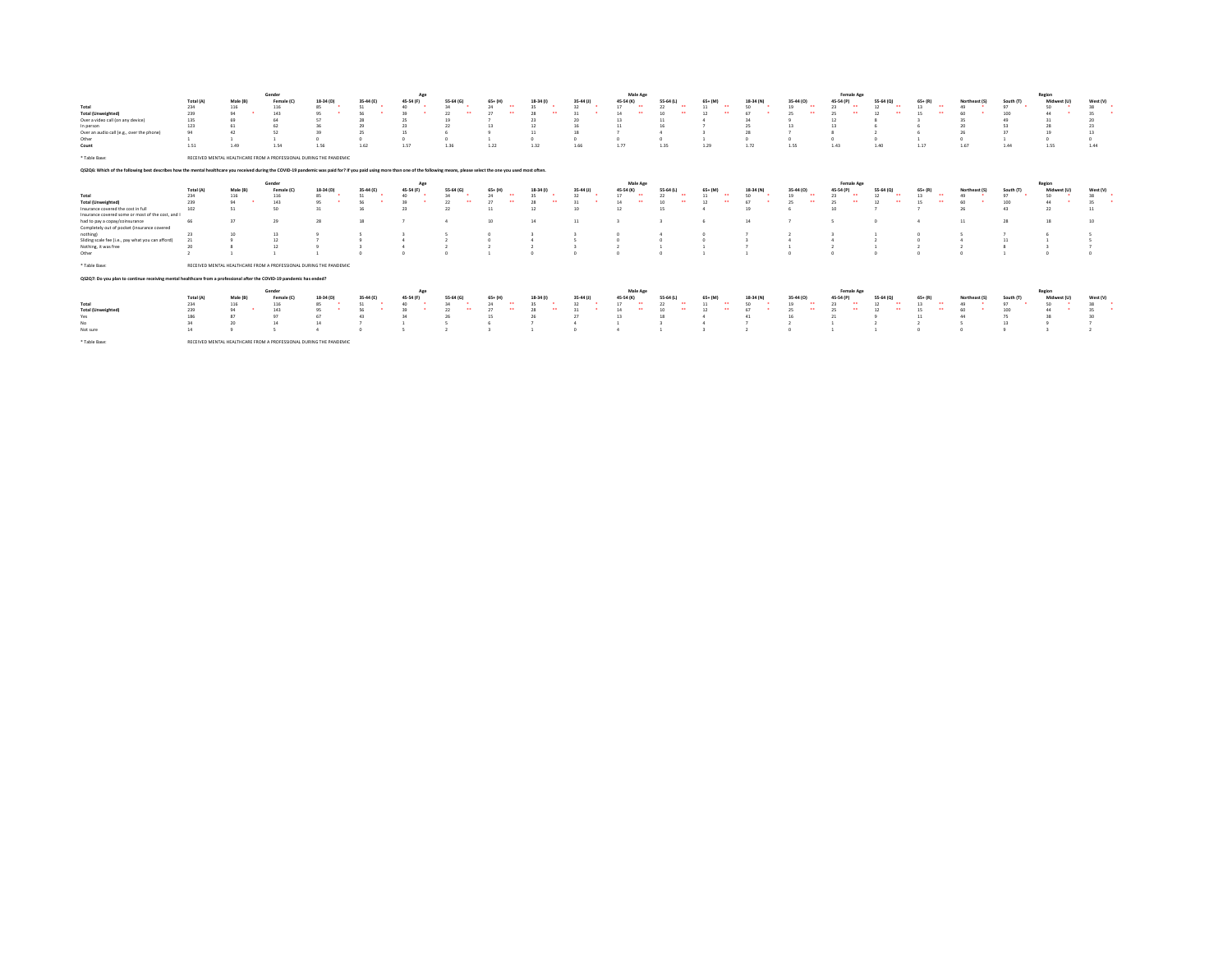|                                                                                                                                                                                                                                 |           |                 | Gender                                                             |           |                | Ap        |                            |                                |                |           | Male Age                       |                                |                                |            |                | Female Age             |                            |                            |               |           | Region         |          |
|---------------------------------------------------------------------------------------------------------------------------------------------------------------------------------------------------------------------------------|-----------|-----------------|--------------------------------------------------------------------|-----------|----------------|-----------|----------------------------|--------------------------------|----------------|-----------|--------------------------------|--------------------------------|--------------------------------|------------|----------------|------------------------|----------------------------|----------------------------|---------------|-----------|----------------|----------|
|                                                                                                                                                                                                                                 | Total (A) | Male (B)        | Female (                                                           | 18-34 (D) | 35-44 (E)      | 45-54 (F) | 55-64 (G)                  | $65 + (H)$                     | 18-34 (1       | 35-44 (J  | 45-54 (K)                      | 55-64 (L)                      | $65 + (M)$                     | 18-34 (N)  | 35.441         | 45-54 (F               | 55-64 (Q)                  | $65 + (R)$                 | Northeast (S) | South (T) | <b>Midwest</b> | West (V) |
| Total                                                                                                                                                                                                                           | 234       | 116             | 116                                                                | 85        | 51             | 40        | $\mathcal{U}$              |                                |                | 32        | 17<br>$\overline{\phantom{a}}$ | 22<br>$\overline{\phantom{a}}$ | 11<br>                         | S0         |                | 23                     | $\ddot{\phantom{0}}$<br>12 | 13<br>$\ddot{\phantom{1}}$ |               | Q         | 50             |          |
| <b>Total (Unweighted)</b>                                                                                                                                                                                                       | 239       |                 | 143                                                                | 95        | <b>CO</b>      | 39        | 22<br>$\ddot{\phantom{0}}$ | 27                             | $\cdots$       |           | 14<br>$\ddot{\phantom{0}}$     | 10                             | 12                             |            |                |                        | $\ddot{\phantom{0}}$       | $\overline{\phantom{a}}$   |               | 100       | 44             |          |
| Over a video call (on any device)                                                                                                                                                                                               | 135       | 69              |                                                                    |           |                | 25        | 19                         |                                |                |           | 13                             |                                |                                |            |                | 12                     |                            |                            |               | 49        | 31             |          |
| In person                                                                                                                                                                                                                       | 123       |                 | 62                                                                 |           | $\overline{2}$ | 23        | 22                         |                                |                |           | 11                             |                                |                                | 25         |                | 13                     |                            |                            |               | 53        | 28             |          |
| Over an audio call (e.g., over the phone)                                                                                                                                                                                       | 94        |                 | 52                                                                 |           | 25             | 15        |                            |                                |                | 18        |                                |                                |                                | 28         |                |                        |                            |                            |               | $^{27}$   | 19             |          |
| Other                                                                                                                                                                                                                           |           |                 |                                                                    |           |                |           |                            |                                | $\theta$       |           |                                | n                              |                                | $^{\circ}$ |                |                        |                            |                            |               |           |                |          |
| Count                                                                                                                                                                                                                           | 1.51      | 1.49            | 1.54                                                               | 1.56      | 1.62           | 1.57      | 1.36                       | 1.22                           | 1.32           | 1.66      | 1.77                           | 1.35                           | 1.29                           | 1.72       | 1.55           | 1.43                   | 1.40                       | 1.17                       | 1.67          | 1.44      | 1.55           | 1.44     |
|                                                                                                                                                                                                                                 |           |                 |                                                                    |           |                |           |                            |                                |                |           |                                |                                |                                |            |                |                        |                            |                            |               |           |                |          |
| * Table Base:                                                                                                                                                                                                                   |           |                 | RECEIVED MENTAL HEALTHCARE FROM A PROFESSIONAL DURING THE PANDEMIC |           |                |           |                            |                                |                |           |                                |                                |                                |            |                |                        |                            |                            |               |           |                |          |
| Q\$2Q6: Which of the following best describes how the mental healthcare you received during the COVID-19 pandemic was paid for? If you paid using more than one of the following means, please select the one you used most oft |           |                 |                                                                    |           |                |           |                            |                                |                |           |                                |                                |                                |            |                |                        |                            |                            |               |           |                |          |
|                                                                                                                                                                                                                                 |           |                 | Gender                                                             |           |                | Age       |                            |                                |                |           | Male Age                       |                                |                                |            |                | Female Age             |                            |                            |               |           | Region         |          |
|                                                                                                                                                                                                                                 | Total (A) | Male (B)        | Female (C                                                          | 18-34 (D) | 35-44 (E)      | 45-54 (F) | 55-64 (G)                  | $65+ (H)$                      | 18-34 (1)      | 35-44 (J) | 45-54 (K)                      | 55-64 (L)                      | $65+ (M)$                      | 18-34 (N)  | 35-44 (C)      | 45-54 (P)              | 55-64 (Q)                  | $65+ (R)$                  | Northeast (S) | South (T) | Midwest (U)    | West (V) |
| Total                                                                                                                                                                                                                           | 234       | 116             | 116                                                                | 85        | 51             | 40        | $\mathcal{U}$              | $\ddot{\phantom{1}}$           |                | 32        | 17<br>$\ddot{\phantom{0}}$     | 22<br>$\ddot{\phantom{1}}$     | 11<br>$\ddot{\phantom{1}}$     | S0         |                |                        | 12<br>$\ddot{\phantom{0}}$ | 13<br>$\ddot{\phantom{1}}$ |               | o1        |                |          |
| <b>Total (Unweighted)</b>                                                                                                                                                                                                       | 239       | 94              | 143                                                                | 95        | 56             | 39        | 22<br>$\ddot{\phantom{1}}$ | 27<br>$\overline{\phantom{a}}$ | $\overline{a}$ | 31        | 14<br>$\overline{\phantom{a}}$ | 10<br>$\cdots$                 | 12<br>$\overline{\phantom{a}}$ | 67         | $\overline{a}$ | 25<br>$\bullet\bullet$ | 12<br>$\overline{a}$       | $\overline{a}$<br>15       | 60            | 100       |                | 35       |
| Insurance covered the cost in full                                                                                                                                                                                              | 102       | 51              | 50                                                                 |           | 16             | 23        | 22                         | 11                             |                | 10        | 12                             |                                |                                | 19         |                | 10                     |                            |                            |               | 43        | 22             |          |
| Insurance covered some or most of the cost, and                                                                                                                                                                                 |           |                 |                                                                    |           |                |           |                            |                                |                |           |                                |                                |                                |            |                |                        |                            |                            |               |           |                |          |
| had to pay a copay/coinsurance                                                                                                                                                                                                  | 66        | 37              | 29                                                                 | 28        | 18             |           |                            | 10                             | 14             | 11        |                                |                                |                                | 14         |                |                        |                            |                            | 11            | 28        | 18             | 10       |
| Completely out of pocket (insurance covered                                                                                                                                                                                     |           |                 |                                                                    |           |                |           |                            |                                |                |           |                                |                                |                                |            |                |                        |                            |                            |               |           |                |          |
| nothing)                                                                                                                                                                                                                        | 23        | 10 <sup>1</sup> | 13                                                                 |           |                |           |                            |                                |                |           |                                |                                |                                |            |                |                        |                            |                            |               |           |                |          |
| Sliding scale fee (i.e., pay what you can afford)                                                                                                                                                                               | 21        |                 | 12                                                                 |           |                |           |                            |                                |                |           |                                |                                |                                |            |                | $\Delta$               |                            |                            |               | 11        |                |          |
| Nothing, it was free                                                                                                                                                                                                            | 20        |                 | 12                                                                 |           |                |           |                            |                                |                |           |                                |                                |                                |            |                |                        |                            |                            |               |           |                |          |
| Other                                                                                                                                                                                                                           |           |                 |                                                                    |           |                |           |                            |                                |                |           |                                |                                |                                |            |                |                        |                            |                            |               |           |                |          |
| * Table Base:                                                                                                                                                                                                                   |           |                 | RECEIVED MENTAL HEALTHCARE FROM A PROFESSIONAL DURING THE PANDEMIC |           |                |           |                            |                                |                |           |                                |                                |                                |            |                |                        |                            |                            |               |           |                |          |
| Q\$2Q7: Do you plan to continue receiving mental healthcare from a professional after the COVID-19 pandemic has ended?                                                                                                          |           |                 |                                                                    |           |                |           |                            |                                |                |           |                                |                                |                                |            |                |                        |                            |                            |               |           |                |          |
|                                                                                                                                                                                                                                 |           |                 | Gender                                                             |           |                | Age       |                            |                                |                |           | Male Age                       |                                |                                |            |                | Female Age             |                            |                            |               |           | Region         |          |
|                                                                                                                                                                                                                                 | Total (A) | Male (B)        | Female (C                                                          | 18-34 (D) | 35-44 (E)      | 45-54 (F) | 55-64 (G)                  | $65+ (H)$                      | 18-34          | 35-44 (J) | 45-54 (K)                      | 55-64 (L)                      | 65+ (M)                        | 18-34 (N)  | 35-44 (0)      | 45-54 (P)              | 55-64 (Q)                  | $65+ (R)$                  | Northeast     | South (T) | Midwest (U)    | West (V) |
| Total                                                                                                                                                                                                                           | 234       | 116             | 116                                                                | 85        | 51             | 40        | $\mathcal{U}$              |                                |                |           | 17<br>$\ddot{\phantom{0}}$     | $\overline{\phantom{a}}$       | 11<br>. .                      | 50         |                |                        | 12<br>$\ddot{\phantom{0}}$ | 13<br>$\ddot{\phantom{1}}$ |               | o1        | 50             |          |
| <b>Total (Unweighted</b>                                                                                                                                                                                                        | 239       | 94              | 143                                                                | 95        | SS             | 39        | 22                         |                                |                |           |                                |                                |                                |            |                | 25                     |                            |                            |               | 100       |                |          |
| Yes                                                                                                                                                                                                                             | 186       | 87              | Q                                                                  | 67        | 43             | 34        | 26                         | 15                             |                | 27        | 13                             | 18                             |                                | 41         |                | 21                     |                            | 11                         |               | 75        | 28             |          |
| No                                                                                                                                                                                                                              | 34        |                 | 14                                                                 | 14        |                |           |                            |                                |                |           |                                |                                |                                |            |                |                        |                            |                            |               | 13        |                |          |
| Not sure                                                                                                                                                                                                                        | 14        |                 |                                                                    |           |                |           |                            |                                |                |           |                                |                                |                                |            |                |                        |                            |                            |               |           |                |          |
|                                                                                                                                                                                                                                 |           |                 |                                                                    |           |                |           |                            |                                |                |           |                                |                                |                                |            |                |                        |                            |                            |               |           |                |          |
| * Table Base:                                                                                                                                                                                                                   |           |                 | RECEIVED MENTAL HEALTHCARE FROM A PROFESSIONAL DURING THE PANDEMIC |           |                |           |                            |                                |                |           |                                |                                |                                |            |                |                        |                            |                            |               |           |                |          |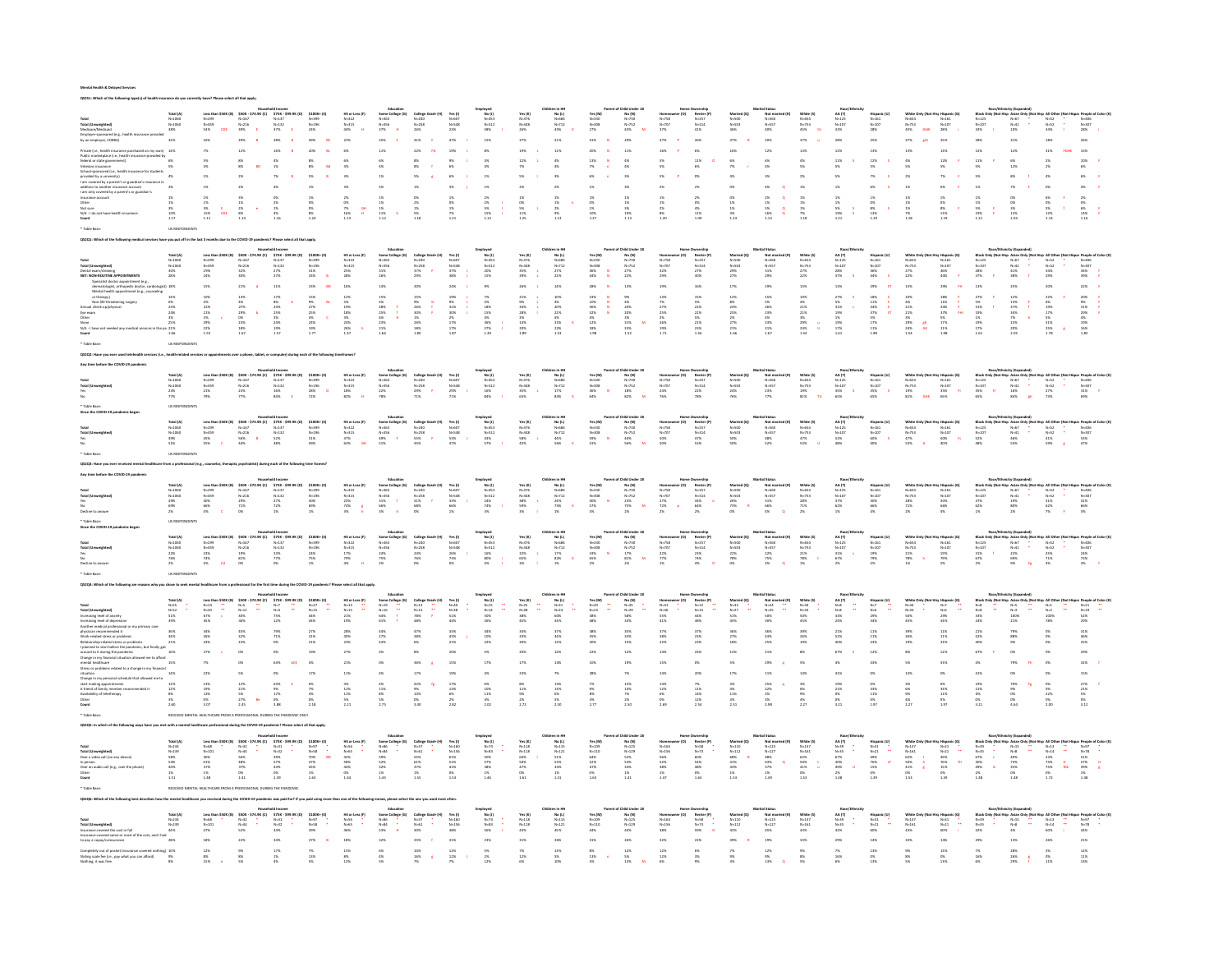#### Mental Health & Delayed Services .<br>following type(s) of health insurance do you currently have? Please select all that apply.

|                                                                                                                                                                                  |                                                                      | Less th:<br>N=299<br>N=459<br>54%                                       |                                                                                                                                                                                                                                                                                                                                                                                                                            | $\begin{array}{ll} 575K - 599.9K \ (0) \\ N-137 \\ N-132 \\ 37\% \qquad \qquad \epsilon \end{array}$                                                                       | \$100K+<br>N=399<br>N=196<br>24%                                                                                          |                                                                                           |                                                                                                                                                |                                                                                                               | Yes (1)<br>N=607<br>N=548<br>23%                                                                                                                                                                                                |                                                                                  | Yes (K)<br>N=376<br>N=348<br>26%                                                                                                                                                                                    | No (L)<br>$N=684$<br>$N=712$<br>$45%$                                                     |                                                                                                                                                                      | No (N)<br>N=730<br>N=752<br>43%                                                                                       | nameo<br>N=758<br>N=707<br>37%                                                             | Renter<br>$N=257$<br>$N=314$<br>$41\%$                                                       |                                                                                               | Not ma<br>N=560<br>N=557<br>40%                                                     |                                                                        |                                                                                                                                                                                                                                                     |                                                                                                               |                                                                                                |                                                                                                                               |                                                                                                                                                                                        |                                                                                                                                                                                                                                                                                                                                                                                                                                                                                                             | $N=52$<br>$N=52$<br>$34%$                                                                        | $N=406$<br>$N=307$<br>$28%$                                                                      |
|----------------------------------------------------------------------------------------------------------------------------------------------------------------------------------|----------------------------------------------------------------------|-------------------------------------------------------------------------|----------------------------------------------------------------------------------------------------------------------------------------------------------------------------------------------------------------------------------------------------------------------------------------------------------------------------------------------------------------------------------------------------------------------------|----------------------------------------------------------------------------------------------------------------------------------------------------------------------------|---------------------------------------------------------------------------------------------------------------------------|-------------------------------------------------------------------------------------------|------------------------------------------------------------------------------------------------------------------------------------------------|---------------------------------------------------------------------------------------------------------------|---------------------------------------------------------------------------------------------------------------------------------------------------------------------------------------------------------------------------------|----------------------------------------------------------------------------------|---------------------------------------------------------------------------------------------------------------------------------------------------------------------------------------------------------------------|-------------------------------------------------------------------------------------------|----------------------------------------------------------------------------------------------------------------------------------------------------------------------|-----------------------------------------------------------------------------------------------------------------------|--------------------------------------------------------------------------------------------|----------------------------------------------------------------------------------------------|-----------------------------------------------------------------------------------------------|-------------------------------------------------------------------------------------|------------------------------------------------------------------------|-----------------------------------------------------------------------------------------------------------------------------------------------------------------------------------------------------------------------------------------------------|---------------------------------------------------------------------------------------------------------------|------------------------------------------------------------------------------------------------|-------------------------------------------------------------------------------------------------------------------------------|----------------------------------------------------------------------------------------------------------------------------------------------------------------------------------------|-------------------------------------------------------------------------------------------------------------------------------------------------------------------------------------------------------------------------------------------------------------------------------------------------------------------------------------------------------------------------------------------------------------------------------------------------------------------------------------------------------------|--------------------------------------------------------------------------------------------------|--------------------------------------------------------------------------------------------------|
|                                                                                                                                                                                  |                                                                      |                                                                         |                                                                                                                                                                                                                                                                                                                                                                                                                            |                                                                                                                                                                            |                                                                                                                           |                                                                                           |                                                                                                                                                |                                                                                                               |                                                                                                                                                                                                                                 |                                                                                  |                                                                                                                                                                                                                     |                                                                                           |                                                                                                                                                                      |                                                                                                                       |                                                                                            |                                                                                              |                                                                                               |                                                                                     |                                                                        |                                                                                                                                                                                                                                                     |                                                                                                               |                                                                                                |                                                                                                                               |                                                                                                                                                                                        |                                                                                                                                                                                                                                                                                                                                                                                                                                                                                                             |                                                                                                  |                                                                                                  |
|                                                                                                                                                                                  |                                                                      |                                                                         |                                                                                                                                                                                                                                                                                                                                                                                                                            |                                                                                                                                                                            |                                                                                                                           |                                                                                           |                                                                                                                                                |                                                                                                               |                                                                                                                                                                                                                                 |                                                                                  | 37%                                                                                                                                                                                                                 |                                                                                           |                                                                                                                                                                      |                                                                                                                       |                                                                                            |                                                                                              |                                                                                               |                                                                                     |                                                                        |                                                                                                                                                                                                                                                     |                                                                                                               |                                                                                                |                                                                                                                               |                                                                                                                                                                                        |                                                                                                                                                                                                                                                                                                                                                                                                                                                                                                             |                                                                                                  |                                                                                                  |
|                                                                                                                                                                                  |                                                                      |                                                                         |                                                                                                                                                                                                                                                                                                                                                                                                                            |                                                                                                                                                                            |                                                                                                                           |                                                                                           |                                                                                                                                                |                                                                                                               |                                                                                                                                                                                                                                 |                                                                                  |                                                                                                                                                                                                                     | 11%                                                                                       |                                                                                                                                                                      |                                                                                                                       |                                                                                            |                                                                                              |                                                                                               | $12\%$                                                                              | 13%                                                                    | 12%                                                                                                                                                                                                                                                 |                                                                                                               |                                                                                                |                                                                                                                               |                                                                                                                                                                                        |                                                                                                                                                                                                                                                                                                                                                                                                                                                                                                             |                                                                                                  |                                                                                                  |
|                                                                                                                                                                                  |                                                                      |                                                                         |                                                                                                                                                                                                                                                                                                                                                                                                                            |                                                                                                                                                                            |                                                                                                                           |                                                                                           |                                                                                                                                                |                                                                                                               |                                                                                                                                                                                                                                 |                                                                                  |                                                                                                                                                                                                                     |                                                                                           |                                                                                                                                                                      |                                                                                                                       |                                                                                            |                                                                                              |                                                                                               |                                                                                     |                                                                        |                                                                                                                                                                                                                                                     |                                                                                                               |                                                                                                |                                                                                                                               |                                                                                                                                                                                        |                                                                                                                                                                                                                                                                                                                                                                                                                                                                                                             |                                                                                                  |                                                                                                  |
|                                                                                                                                                                                  |                                                                      |                                                                         |                                                                                                                                                                                                                                                                                                                                                                                                                            |                                                                                                                                                                            |                                                                                                                           |                                                                                           |                                                                                                                                                |                                                                                                               |                                                                                                                                                                                                                                 |                                                                                  |                                                                                                                                                                                                                     |                                                                                           |                                                                                                                                                                      |                                                                                                                       |                                                                                            | 11%<br>6%                                                                                    |                                                                                               |                                                                                     |                                                                        | $^\mathrm{11\%}_\mathrm{5\%}$                                                                                                                                                                                                                       |                                                                                                               |                                                                                                |                                                                                                                               |                                                                                                                                                                                        |                                                                                                                                                                                                                                                                                                                                                                                                                                                                                                             |                                                                                                  |                                                                                                  |
|                                                                                                                                                                                  |                                                                      |                                                                         |                                                                                                                                                                                                                                                                                                                                                                                                                            |                                                                                                                                                                            |                                                                                                                           |                                                                                           |                                                                                                                                                |                                                                                                               |                                                                                                                                                                                                                                 |                                                                                  |                                                                                                                                                                                                                     |                                                                                           |                                                                                                                                                                      |                                                                                                                       |                                                                                            |                                                                                              |                                                                                               |                                                                                     |                                                                        |                                                                                                                                                                                                                                                     |                                                                                                               |                                                                                                |                                                                                                                               |                                                                                                                                                                                        |                                                                                                                                                                                                                                                                                                                                                                                                                                                                                                             |                                                                                                  |                                                                                                  |
|                                                                                                                                                                                  |                                                                      |                                                                         |                                                                                                                                                                                                                                                                                                                                                                                                                            |                                                                                                                                                                            |                                                                                                                           |                                                                                           |                                                                                                                                                |                                                                                                               |                                                                                                                                                                                                                                 |                                                                                  |                                                                                                                                                                                                                     |                                                                                           |                                                                                                                                                                      |                                                                                                                       |                                                                                            |                                                                                              |                                                                                               |                                                                                     |                                                                        |                                                                                                                                                                                                                                                     |                                                                                                               |                                                                                                |                                                                                                                               |                                                                                                                                                                                        |                                                                                                                                                                                                                                                                                                                                                                                                                                                                                                             |                                                                                                  |                                                                                                  |
|                                                                                                                                                                                  |                                                                      |                                                                         |                                                                                                                                                                                                                                                                                                                                                                                                                            |                                                                                                                                                                            |                                                                                                                           |                                                                                           |                                                                                                                                                |                                                                                                               |                                                                                                                                                                                                                                 |                                                                                  |                                                                                                                                                                                                                     |                                                                                           |                                                                                                                                                                      |                                                                                                                       |                                                                                            |                                                                                              |                                                                                               |                                                                                     |                                                                        |                                                                                                                                                                                                                                                     |                                                                                                               |                                                                                                |                                                                                                                               |                                                                                                                                                                                        |                                                                                                                                                                                                                                                                                                                                                                                                                                                                                                             |                                                                                                  |                                                                                                  |
|                                                                                                                                                                                  |                                                                      | $\begin{array}{r} 1\% \\ 1\% \\ 5\% \\ 1\% \\ 1\% \\ 1\ 11 \end{array}$ | $\begin{array}{r} 3\% \\ 1\% \\ 2\% \\ 8\% \\ 1.14 \end{array}$                                                                                                                                                                                                                                                                                                                                                            | $\begin{array}{r} 0\% \\ 2\% \\ 1\% \\ 4\% \\ 1.16 \end{array}$                                                                                                            |                                                                                                                           | $\begin{array}{r} 2\% \\ 0\% \\ 7\% \\ 16\% \\ 1.13 \end{array}$                          | $\begin{array}{l} 1\% \\ 1\% \\ 1\% \\ 11\% \\ 11\% \\ 1.12 \end{array}$                                                                       | 0%<br>2%<br>1%<br>5%<br>118                                                                                   | $\begin{array}{r} 1\% \\ 0\% \\ 1\% \\ 7\% \\ 1.21 \end{array}$                                                                                                                                                                 | $\begin{array}{r} 2\% \\ 2\% \\ 5\% \\ 15\% \\ 1.13 \end{array}$                 | $\begin{array}{r} 1\% \\ 0\% \\ 5\% \\ 1\% \\ 1\% \\ \end{array}$                                                                                                                                                   | $\begin{array}{l} 1\% \\ 1\% \\ 2\% \\ 2\% \\ 1.13 \end{array}$                           |                                                                                                                                                                      |                                                                                                                       |                                                                                            |                                                                                              |                                                                                               | $\begin{array}{l} 2\% \\ 1\% \\ 5\% \\ 16\% \\ 1.13 \end{array}$                    | $\begin{array}{l} 1\% \\ 1\% \\ 1\% \\ 2\% \\ 7\% \\ 1.18 \end{array}$ | $\begin{array}{r} 1\% \\ 1\% \\ 5\% \\ 19\% \\ 1.21 \end{array}$                                                                                                                                                                                    | $\begin{array}{r} 1\% \\ 0\% \\ 8\% \\ 1\% \\ 1\% \\ 1\% \end{array}$                                         | $\begin{array}{l} 1\text{N} \\ 1\text{N} \\ 1\text{N} \\ 2\text{N} \\ 1.1\text{m} \end{array}$ | $\begin{array}{r} 1\% \\ 0\% \\ 8\% \\ 13\% \\ 13\% \\ 1.19 \end{array}$                                                      | $\begin{array}{r} 1\% \\ 1\% \\ 5\% \\ 19\% \\ 1.21 \end{array}$                                                                                                                       | $0\%$<br>$3\%$<br>$3\%$<br>$12\%$<br>$1.00$                                                                                                                                                                                                                                                                                                                                                                                                                                                                 | 6%<br>0%<br>5%<br>12%<br>114                                                                     | $\begin{array}{ccc} 2\% & & & \\ 0\% & & & \\ 6\% & & & \\ 14\% & & & \\ 1.16 & & & \end{array}$ |
|                                                                                                                                                                                  |                                                                      | $\frac{\epsilon}{\rm{cde}}$                                             |                                                                                                                                                                                                                                                                                                                                                                                                                            |                                                                                                                                                                            |                                                                                                                           |                                                                                           |                                                                                                                                                |                                                                                                               |                                                                                                                                                                                                                                 |                                                                                  |                                                                                                                                                                                                                     |                                                                                           |                                                                                                                                                                      |                                                                                                                       |                                                                                            |                                                                                              |                                                                                               |                                                                                     |                                                                        |                                                                                                                                                                                                                                                     |                                                                                                               |                                                                                                |                                                                                                                               |                                                                                                                                                                                        |                                                                                                                                                                                                                                                                                                                                                                                                                                                                                                             |                                                                                                  |                                                                                                  |
|                                                                                                                                                                                  |                                                                      |                                                                         |                                                                                                                                                                                                                                                                                                                                                                                                                            |                                                                                                                                                                            |                                                                                                                           |                                                                                           |                                                                                                                                                |                                                                                                               |                                                                                                                                                                                                                                 |                                                                                  |                                                                                                                                                                                                                     |                                                                                           |                                                                                                                                                                      |                                                                                                                       |                                                                                            |                                                                                              |                                                                                               |                                                                                     |                                                                        |                                                                                                                                                                                                                                                     |                                                                                                               |                                                                                                |                                                                                                                               |                                                                                                                                                                                        |                                                                                                                                                                                                                                                                                                                                                                                                                                                                                                             |                                                                                                  |                                                                                                  |
|                                                                                                                                                                                  |                                                                      |                                                                         |                                                                                                                                                                                                                                                                                                                                                                                                                            |                                                                                                                                                                            |                                                                                                                           |                                                                                           |                                                                                                                                                |                                                                                                               |                                                                                                                                                                                                                                 |                                                                                  |                                                                                                                                                                                                                     |                                                                                           |                                                                                                                                                                      |                                                                                                                       |                                                                                            |                                                                                              |                                                                                               |                                                                                     |                                                                        |                                                                                                                                                                                                                                                     |                                                                                                               |                                                                                                |                                                                                                                               |                                                                                                                                                                                        |                                                                                                                                                                                                                                                                                                                                                                                                                                                                                                             |                                                                                                  |                                                                                                  |
|                                                                                                                                                                                  |                                                                      |                                                                         |                                                                                                                                                                                                                                                                                                                                                                                                                            |                                                                                                                                                                            |                                                                                                                           |                                                                                           |                                                                                                                                                |                                                                                                               |                                                                                                                                                                                                                                 |                                                                                  |                                                                                                                                                                                                                     |                                                                                           |                                                                                                                                                                      |                                                                                                                       |                                                                                            |                                                                                              |                                                                                               |                                                                                     |                                                                        |                                                                                                                                                                                                                                                     |                                                                                                               |                                                                                                |                                                                                                                               |                                                                                                                                                                                        |                                                                                                                                                                                                                                                                                                                                                                                                                                                                                                             |                                                                                                  |                                                                                                  |
|                                                                                                                                                                                  |                                                                      |                                                                         |                                                                                                                                                                                                                                                                                                                                                                                                                            |                                                                                                                                                                            |                                                                                                                           |                                                                                           |                                                                                                                                                |                                                                                                               |                                                                                                                                                                                                                                 |                                                                                  |                                                                                                                                                                                                                     | Children in HH<br>No (L)<br>N=584<br>N=712<br>27%<br>22%                                  |                                                                                                                                                                      |                                                                                                                       |                                                                                            |                                                                                              |                                                                                               |                                                                                     |                                                                        |                                                                                                                                                                                                                                                     |                                                                                                               |                                                                                                |                                                                                                                               |                                                                                                                                                                                        |                                                                                                                                                                                                                                                                                                                                                                                                                                                                                                             |                                                                                                  |                                                                                                  |
|                                                                                                                                                                                  | Total (A)<br>N=1060<br>N=1060<br>30%<br>28%                          |                                                                         | \$50K - \$74.9K (C)<br>N=167<br>N=216<br>32%<br>30%                                                                                                                                                                                                                                                                                                                                                                        |                                                                                                                                                                            | $5100K*{2}$ N=399<br>N=399<br>N=196<br>31%<br>33%                                                                         | HS or Less (F)<br>N=322<br>N=315<br>25%<br>28%                                            |                                                                                                                                                | College Grad+<br>N=240<br>N=258<br>37% #<br>29%                                                               |                                                                                                                                                                                                                                 | nployed<br>No (J)<br>N=512<br>N=512<br>20%<br>15%                                | Yes (K)<br>N=376<br>N=348<br>35%<br>35%                                                                                                                                                                             |                                                                                           | Yes (M)<br>N=330<br>N=308<br>36%<br>44%                                                                                                                              |                                                                                                                       |                                                                                            | Nemetary<br>Renter (P<br>N=314<br>27%<br>30%                                                 |                                                                                               | Not mar<br>N=560<br>N=557<br>31%<br>29%                                             | White (5)<br>N=654<br>N=753<br>27%<br>22%                              | Next<br>AA (T)<br>N=125<br>N=107<br>28%<br>37%                                                                                                                                                                                                      |                                                                                                               |                                                                                                |                                                                                                                               |                                                                                                                                                                                        |                                                                                                                                                                                                                                                                                                                                                                                                                                                                                                             |                                                                                                  |                                                                                                  |
|                                                                                                                                                                                  |                                                                      | Less than \$501<br>N=299<br>N=459<br>29%<br>24%                         |                                                                                                                                                                                                                                                                                                                                                                                                                            | $575K - 1\nN = 137\nN = 132\n27%\n27%$                                                                                                                                     |                                                                                                                           |                                                                                           | Some College (G)<br>N=363<br>N=356<br>31%<br>26%                                                                                               |                                                                                                               | Yes (1)<br>N=607<br>N=548<br>37%<br>38%                                                                                                                                                                                         |                                                                                  |                                                                                                                                                                                                                     |                                                                                           |                                                                                                                                                                      | No (N)<br>N=730<br>N=752<br>27%<br>22%                                                                                | Homeo<br>N=758<br>N=707<br>32%<br>29%                                                      |                                                                                              | Married<br>N=500<br>N=503<br>29%<br>29%                                                       |                                                                                     |                                                                        |                                                                                                                                                                                                                                                     | Mispanic (U)<br>N=161<br>N=107<br>S6%<br>44% S                                                                | White Onl<br>N=554<br>N=753<br>27%<br>27%                                                      | $N=161$<br>$N=107$<br>$36\%$<br>$44\%$                                                                                        | $\begin{array}{l} N=125 \\ N=107 \\ 28\% \\ 37\% \end{array}$                                                                                                                          | a Asian Or $N = 67$<br>$N = 41$<br>$41\%$<br>$38\%$                                                                                                                                                                                                                                                                                                                                                                                                                                                         | a All Othe<br>N=52<br>N=52<br>34%<br>29%                                                         |                                                                                                  |
|                                                                                                                                                                                  |                                                                      |                                                                         |                                                                                                                                                                                                                                                                                                                                                                                                                            |                                                                                                                                                                            |                                                                                                                           |                                                                                           |                                                                                                                                                |                                                                                                               |                                                                                                                                                                                                                                 |                                                                                  |                                                                                                                                                                                                                     |                                                                                           |                                                                                                                                                                      |                                                                                                                       |                                                                                            |                                                                                              |                                                                                               |                                                                                     |                                                                        |                                                                                                                                                                                                                                                     |                                                                                                               |                                                                                                |                                                                                                                               |                                                                                                                                                                                        |                                                                                                                                                                                                                                                                                                                                                                                                                                                                                                             |                                                                                                  |                                                                                                  |
|                                                                                                                                                                                  |                                                                      |                                                                         |                                                                                                                                                                                                                                                                                                                                                                                                                            | 11%                                                                                                                                                                        | 23%                                                                                                                       |                                                                                           | $14\%$                                                                                                                                         | $_{20\%}$                                                                                                     |                                                                                                                                                                                                                                 |                                                                                  | 26%                                                                                                                                                                                                                 |                                                                                           |                                                                                                                                                                      |                                                                                                                       | 19%                                                                                        | $16\%$                                                                                       | 17%                                                                                           |                                                                                     | $15\%$                                                                 | $13\%$                                                                                                                                                                                                                                              |                                                                                                               | 15%                                                                                            | $_{\rm 29\%}$                                                                                                                 | $13\%$                                                                                                                                                                                 | $_{\rm 25\%}$                                                                                                                                                                                                                                                                                                                                                                                                                                                                                               |                                                                                                  |                                                                                                  |
|                                                                                                                                                                                  |                                                                      |                                                                         |                                                                                                                                                                                                                                                                                                                                                                                                                            |                                                                                                                                                                            |                                                                                                                           |                                                                                           |                                                                                                                                                |                                                                                                               |                                                                                                                                                                                                                                 |                                                                                  |                                                                                                                                                                                                                     |                                                                                           |                                                                                                                                                                      |                                                                                                                       |                                                                                            |                                                                                              |                                                                                               |                                                                                     |                                                                        |                                                                                                                                                                                                                                                     |                                                                                                               |                                                                                                |                                                                                                                               |                                                                                                                                                                                        |                                                                                                                                                                                                                                                                                                                                                                                                                                                                                                             |                                                                                                  |                                                                                                  |
| or therapy)<br>Non-life-threatening surgery                                                                                                                                      |                                                                      |                                                                         |                                                                                                                                                                                                                                                                                                                                                                                                                            | $\begin{array}{r} 17\% \\ 8\% \\ 24\% \\ 25\% \\ 3\% \\ 3\% \\ 24\% \\ 19\% \\ 19\% \\ 15\% \end{array}$                                                                   | 15%<br>9%<br>27%<br>25%<br>4%<br>24%<br>19%<br>1.77                                                                       | $\begin{array}{r} 12\% \\ 5\% \\ 19\% \\ 18\% \\ 3\% \\ 24\% \\ 26\% \\ 1.47 \end{array}$ | $\begin{array}{r} 15\% \\ 3\% \\ 28\% \\ 25\% \\ 6\% \\ 23\% \\ 21\% \\ 1.66 \end{array}$                                                      | $\begin{array}{r} 15\% \\ 9\% \\ 26\% \\ 30\% \\ 15\% \\ 18\% \\ 18\% \\ 18\% \\ 180 \end{array}$             | $\begin{array}{r} 19\% \\ 9\% \\ 31\% \\ 30\% \\ 2\% \\ 17\% \\ 17\% \\ 17\% \\ 187 \end{array}$                                                                                                                                | 7%<br>2%<br>18%<br>15%<br>4%<br>36%<br>27%<br>139                                | $\begin{array}{r} 21\% \\ 9\% \\ 34\% \\ 28\% \\ 3\% \\ 14\% \\ 20\% \\ 1.89 \end{array}$                                                                                                                           | $\begin{array}{r} 10\% \\ 4\% \\ 20\% \\ 22\% \\ 4\% \\ 31\% \\ 22\% \\ 1.53 \end{array}$ | $\begin{array}{r} 23\% \\ 10\% \\ 36\% \\ 32\% \\ 4\% \\ 12\% \\ 18\% \\ 18\% \\ 1.98 \end{array}$                                                                   | $\begin{array}{r} 9\% \\ 4\% \\ 20\% \\ 20\% \\ 3\% \\ 3\% \\ 3\% \\ 23\% \\ 1.52 \end{array}$                        | $\begin{array}{r} 13\% \\ 27\% \\ 22\% \\ 25\% \\ 25\% \\ 26\% \\ 19\% \\ 171 \end{array}$ | $\begin{array}{r} 15\% \\ 5\% \\ 22\% \\ 22\% \\ 5\% \\ 21\% \\ 23\% \\ 23\% \\ \end{array}$ | $\begin{array}{r} 12\% \\ 8\% \\ 24\% \\ 25\% \\ 25\% \\ 27\% \\ 21\% \\ 21\% \\ \end{array}$ | 15%<br>5%<br>26%<br>23%<br>4%<br>23%<br>21%<br>167                                  | 10%<br>4%<br>21%<br>21%<br>21%<br>29%<br>24%                           | $\begin{array}{r} 27\% \\ 5\% \\ 31\% \\ 19\% \\ 19\% \\ 19\% \\ 17\% \\ 17\% \\ 1.61 \end{array}$                                                                                                                                                  | $\begin{array}{r} 18\% \\ 11\% \\ 34\% \\ 37\% \\ 5\% \\ 17\% \\ 11\% \\ 11\% \\ 11\% \\ 11\% \\ \end{array}$ | 10%<br>4%<br>21%<br>21%<br>24%<br>24%<br>24%                                                   | $\begin{array}{r} 18\% \\ 11\% \\ 34\% \\ 37\% \\ 5\% \\ 17\% \\ 11\% \\ 11\% \\ 1.98 \end{array}$                            | $\begin{array}{r} 2\,7\% \\ 5\,\% \\ 3\,1\% \\ 1\,9\% \\ 1\% \\ 1\% \\ 1\% \\ 1\% \end{array}$                                                                                         | $\begin{array}{r} 12\% \\ 13\% \\ 37\% \\ 34\% \\ 7\% \\ 15\% \\ 20\% \\ 20\% \\ 2.0\% \end{array}$                                                                                                                                                                                                                                                                                                                                                                                                         | $\begin{array}{r} 22\% \\ 6\% \\ 19\% \\ 17\% \\ 5\% \\ 31\% \\ 25\% \\ 25\% \\ 178 \end{array}$ |                                                                                                  |
|                                                                                                                                                                                  |                                                                      | 4% 22% 21% 3% 22% 1.55                                                  | 4% 27% 28% 23% 18% 1.67                                                                                                                                                                                                                                                                                                                                                                                                    |                                                                                                                                                                            |                                                                                                                           |                                                                                           |                                                                                                                                                |                                                                                                               |                                                                                                                                                                                                                                 |                                                                                  |                                                                                                                                                                                                                     |                                                                                           |                                                                                                                                                                      |                                                                                                                       |                                                                                            |                                                                                              |                                                                                               |                                                                                     |                                                                        |                                                                                                                                                                                                                                                     |                                                                                                               |                                                                                                | $\frac{1}{m}$                                                                                                                 |                                                                                                                                                                                        |                                                                                                                                                                                                                                                                                                                                                                                                                                                                                                             |                                                                                                  |                                                                                                  |
|                                                                                                                                                                                  |                                                                      |                                                                         |                                                                                                                                                                                                                                                                                                                                                                                                                            |                                                                                                                                                                            |                                                                                                                           |                                                                                           |                                                                                                                                                |                                                                                                               |                                                                                                                                                                                                                                 |                                                                                  |                                                                                                                                                                                                                     |                                                                                           |                                                                                                                                                                      |                                                                                                                       |                                                                                            |                                                                                              |                                                                                               |                                                                                     |                                                                        |                                                                                                                                                                                                                                                     |                                                                                                               |                                                                                                |                                                                                                                               |                                                                                                                                                                                        |                                                                                                                                                                                                                                                                                                                                                                                                                                                                                                             |                                                                                                  |                                                                                                  |
|                                                                                                                                                                                  |                                                                      |                                                                         |                                                                                                                                                                                                                                                                                                                                                                                                                            |                                                                                                                                                                            |                                                                                                                           |                                                                                           |                                                                                                                                                |                                                                                                               |                                                                                                                                                                                                                                 |                                                                                  |                                                                                                                                                                                                                     |                                                                                           |                                                                                                                                                                      |                                                                                                                       |                                                                                            |                                                                                              |                                                                                               |                                                                                     |                                                                        |                                                                                                                                                                                                                                                     |                                                                                                               |                                                                                                |                                                                                                                               |                                                                                                                                                                                        |                                                                                                                                                                                                                                                                                                                                                                                                                                                                                                             |                                                                                                  |                                                                                                  |
|                                                                                                                                                                                  |                                                                      |                                                                         |                                                                                                                                                                                                                                                                                                                                                                                                                            |                                                                                                                                                                            |                                                                                                                           |                                                                                           |                                                                                                                                                |                                                                                                               |                                                                                                                                                                                                                                 |                                                                                  |                                                                                                                                                                                                                     |                                                                                           |                                                                                                                                                                      |                                                                                                                       |                                                                                            |                                                                                              |                                                                                               |                                                                                     |                                                                        |                                                                                                                                                                                                                                                     |                                                                                                               |                                                                                                |                                                                                                                               |                                                                                                                                                                                        |                                                                                                                                                                                                                                                                                                                                                                                                                                                                                                             |                                                                                                  |                                                                                                  |
|                                                                                                                                                                                  |                                                                      |                                                                         |                                                                                                                                                                                                                                                                                                                                                                                                                            |                                                                                                                                                                            |                                                                                                                           |                                                                                           |                                                                                                                                                |                                                                                                               |                                                                                                                                                                                                                                 |                                                                                  |                                                                                                                                                                                                                     |                                                                                           |                                                                                                                                                                      |                                                                                                                       |                                                                                            |                                                                                              |                                                                                               |                                                                                     |                                                                        |                                                                                                                                                                                                                                                     |                                                                                                               |                                                                                                |                                                                                                                               |                                                                                                                                                                                        |                                                                                                                                                                                                                                                                                                                                                                                                                                                                                                             |                                                                                                  |                                                                                                  |
|                                                                                                                                                                                  |                                                                      |                                                                         |                                                                                                                                                                                                                                                                                                                                                                                                                            |                                                                                                                                                                            |                                                                                                                           |                                                                                           |                                                                                                                                                |                                                                                                               |                                                                                                                                                                                                                                 |                                                                                  |                                                                                                                                                                                                                     |                                                                                           |                                                                                                                                                                      |                                                                                                                       |                                                                                            |                                                                                              |                                                                                               |                                                                                     |                                                                        |                                                                                                                                                                                                                                                     |                                                                                                               |                                                                                                |                                                                                                                               |                                                                                                                                                                                        |                                                                                                                                                                                                                                                                                                                                                                                                                                                                                                             |                                                                                                  |                                                                                                  |
|                                                                                                                                                                                  |                                                                      |                                                                         |                                                                                                                                                                                                                                                                                                                                                                                                                            |                                                                                                                                                                            |                                                                                                                           |                                                                                           |                                                                                                                                                |                                                                                                               |                                                                                                                                                                                                                                 |                                                                                  |                                                                                                                                                                                                                     |                                                                                           |                                                                                                                                                                      |                                                                                                                       |                                                                                            |                                                                                              |                                                                                               |                                                                                     |                                                                        |                                                                                                                                                                                                                                                     |                                                                                                               |                                                                                                |                                                                                                                               |                                                                                                                                                                                        |                                                                                                                                                                                                                                                                                                                                                                                                                                                                                                             |                                                                                                  |                                                                                                  |
|                                                                                                                                                                                  |                                                                      |                                                                         |                                                                                                                                                                                                                                                                                                                                                                                                                            |                                                                                                                                                                            | (D) $$100K+ (k)\nN=390\nN=196\n28% D\n72%$                                                                                |                                                                                           |                                                                                                                                                |                                                                                                               |                                                                                                                                                                                                                                 | Employed<br>No (J)<br>N=653<br>N=512<br>16%<br>84%                               |                                                                                                                                                                                                                     | Children in HH<br>No (L)<br>N=584<br>N=712<br>17%<br>83%                                  |                                                                                                                                                                      |                                                                                                                       |                                                                                            |                                                                                              |                                                                                               | erital Status<br>Mot married (N)<br>N=560<br>N=557<br>23%<br>77%                    |                                                                        |                                                                                                                                                                                                                                                     |                                                                                                               |                                                                                                |                                                                                                                               |                                                                                                                                                                                        |                                                                                                                                                                                                                                                                                                                                                                                                                                                                                                             |                                                                                                  |                                                                                                  |
|                                                                                                                                                                                  |                                                                      |                                                                         |                                                                                                                                                                                                                                                                                                                                                                                                                            |                                                                                                                                                                            |                                                                                                                           | HS or Less (F)<br>N=322<br>N=315<br>18%<br>82% H                                          |                                                                                                                                                | Exame Collage (G) Collage Grad+ (M)<br>N-363 N-240<br>N-355 N-258<br>22% 29% P<br>78% 29% F                   | $\begin{array}{l} \textbf{Yes}\left( \textbf{0} \right) \\ \textbf{N=607} \\ \textbf{N=548} \\ \textbf{29\%} \\ \textbf{72\%} \end{array}$                                                                                      |                                                                                  | $\begin{array}{l} \textbf{Yes (K)}\\ N=376\\ N=348\\ 35\%\\ 65\% \end{array}$                                                                                                                                       |                                                                                           |                                                                                                                                                                      | Parent of Child Under 18<br>Yes (M) Mo (M)<br>N-330 N-750<br>N-308 N-752<br>36% N 18%<br>64% 82% M                    | Home Ownership<br>Homeowner (O) Merter (P)<br>N=758 N=707<br>24% 22% 22%<br>76% 78%        |                                                                                              | Married (Q)<br>N=500<br>N=503<br>24%<br>24%                                                   |                                                                                     | White (\$)<br>N=654<br>N=753<br>19%<br>81% TU                          | Race/Ethnicity<br>AA (T)<br>N-125<br>N-107<br>35% \$                                                                                                                                                                                                | Hispanic (U)<br>N=161<br>N=107<br>35% \$<br>65% \$                                                            |                                                                                                | White Only (Not Hiss Hispanic (G)<br>$N=654$<br>$N=753$<br>$N=67$<br>$N=707$<br>$35\%$<br>$81\%$<br>$\frac{GeV}{N}$<br>$65\%$ |                                                                                                                                                                                        | $\begin{tabular}{l c c c c} \hline \textbf{B} \textbf{block D} \textbf{c} \textbf{block} \textbf{block} \textbf{P} \textbf{L} \textbf{value} \textbf{node} \textbf{D} \textbf{block} \textbf{block} \textbf{D} \textbf{block} \textbf{block} \textbf{D} \textbf{block} \textbf{D} \textbf{block} \textbf{D} \textbf{block} \textbf{block} \textbf{block} \textbf{block} \textbf{block} \textbf{D} \textbf{block} \textbf{block} \textbf{block} \textbf{D} \textbf{block} \textbf{block} \textbf{int} \text$ |                                                                                                  |                                                                                                  |
|                                                                                                                                                                                  |                                                                      |                                                                         |                                                                                                                                                                                                                                                                                                                                                                                                                            |                                                                                                                                                                            |                                                                                                                           |                                                                                           |                                                                                                                                                |                                                                                                               |                                                                                                                                                                                                                                 |                                                                                  |                                                                                                                                                                                                                     |                                                                                           |                                                                                                                                                                      |                                                                                                                       |                                                                                            |                                                                                              |                                                                                               |                                                                                     |                                                                        |                                                                                                                                                                                                                                                     |                                                                                                               |                                                                                                |                                                                                                                               |                                                                                                                                                                                        |                                                                                                                                                                                                                                                                                                                                                                                                                                                                                                             |                                                                                                  |                                                                                                  |
|                                                                                                                                                                                  |                                                                      |                                                                         |                                                                                                                                                                                                                                                                                                                                                                                                                            |                                                                                                                                                                            |                                                                                                                           |                                                                                           |                                                                                                                                                |                                                                                                               |                                                                                                                                                                                                                                 |                                                                                  |                                                                                                                                                                                                                     |                                                                                           |                                                                                                                                                                      |                                                                                                                       |                                                                                            |                                                                                              |                                                                                               |                                                                                     |                                                                        |                                                                                                                                                                                                                                                     |                                                                                                               |                                                                                                |                                                                                                                               |                                                                                                                                                                                        |                                                                                                                                                                                                                                                                                                                                                                                                                                                                                                             |                                                                                                  |                                                                                                  |
|                                                                                                                                                                                  |                                                                      |                                                                         |                                                                                                                                                                                                                                                                                                                                                                                                                            |                                                                                                                                                                            |                                                                                                                           |                                                                                           |                                                                                                                                                |                                                                                                               |                                                                                                                                                                                                                                 |                                                                                  |                                                                                                                                                                                                                     |                                                                                           |                                                                                                                                                                      |                                                                                                                       |                                                                                            |                                                                                              |                                                                                               |                                                                                     |                                                                        |                                                                                                                                                                                                                                                     |                                                                                                               |                                                                                                |                                                                                                                               |                                                                                                                                                                                        |                                                                                                                                                                                                                                                                                                                                                                                                                                                                                                             |                                                                                                  |                                                                                                  |
|                                                                                                                                                                                  |                                                                      |                                                                         |                                                                                                                                                                                                                                                                                                                                                                                                                            |                                                                                                                                                                            |                                                                                                                           |                                                                                           |                                                                                                                                                |                                                                                                               |                                                                                                                                                                                                                                 |                                                                                  |                                                                                                                                                                                                                     | Children in HH<br>No (L)<br>N=684<br>N=712<br>44%<br>S6%                                  |                                                                                                                                                                      |                                                                                                                       |                                                                                            |                                                                                              |                                                                                               |                                                                                     |                                                                        |                                                                                                                                                                                                                                                     |                                                                                                               |                                                                                                |                                                                                                                               | ${\bf Ricce/Etb.}$ $N=125$ $N=1257$<br>$N=107$<br>$52\%$ $48\%$                                                                                                                        |                                                                                                                                                                                                                                                                                                                                                                                                                                                                                                             |                                                                                                  |                                                                                                  |
|                                                                                                                                                                                  |                                                                      |                                                                         | Less than 530K (B) 530K - 574.9K (C) 575K - 599.9K (D)<br>N-199 N-167 - N-1137<br>N-459 N-1167 - N-1132<br>45% 56% - 51% 8<br>48% C - 44% - 85%                                                                                                                                                                                                                                                                            |                                                                                                                                                                            | K (D) \$100K+ (E)<br>N=399<br>N=196<br>\$1%<br>49%                                                                        | HS or Less (F)<br>N=322<br>N=315<br>37%<br>63% GH                                         |                                                                                                                                                | Couceston<br>College (G) College Grad+ (M) Yes (I)<br>N=363 N=240 N=597<br>49% F 55% F 53%<br>49% F 55% F 53% |                                                                                                                                                                                                                                 | mployed<br>Mo (J)<br>N=512<br>N=512<br>43%<br>57%                                | $\begin{array}{l} \mathsf{Yes}\;(\mathsf{K})\\ N=3.76\\ N=3.48\\ 5.8\%\\ 4.2\% \end{array}$                                                                                                                         |                                                                                           |                                                                                                                                                                      | Parent or Union Union 1<br>N=330 N=730<br>N=330 N=730<br>59% N 44%<br>59% M<br>41% 56% M                              | <b>Homeowne</b><br>N=758<br>N=707<br>S0%<br>S0%                                            | Home Ownership<br>ser (O) Renter (P)<br>$N=25.7$<br>$N=314$<br>$4.7\%$<br>$5.3\%$            | Married (Q)<br>N=500<br>N=503<br>S0%<br>S0%                                                   |                                                                                     | White (5)<br>N=654<br>N=753<br>47%<br>47%                              | Race/1<br>AA (T)<br>N=125<br>N=107<br>52%<br>48%                                                                                                                                                                                                    | Hispanic (U)<br>N=161<br>N=107<br>60% \$<br>40% \$                                                            |                                                                                                | White Only (Not His Hispanic (C)<br>$N=654$<br>$N=753$<br>$N=107$<br>$47\%$<br>$60\%$<br>$40\%$                               |                                                                                                                                                                                        | $\begin{array}{l} \text{ . -spanded)} \\ \text{ . any Aailar Oely (Not: } \\ \mathbb{N}{=}6? \end{array}$<br>$\begin{array}{l} \mathbb{N}{=}6? \end{array}$<br>$46\%\end{array}$                                                                                                                                                                                                                                                                                                                            |                                                                                                  |                                                                                                  |
|                                                                                                                                                                                  |                                                                      |                                                                         |                                                                                                                                                                                                                                                                                                                                                                                                                            |                                                                                                                                                                            |                                                                                                                           |                                                                                           |                                                                                                                                                |                                                                                                               |                                                                                                                                                                                                                                 |                                                                                  |                                                                                                                                                                                                                     |                                                                                           |                                                                                                                                                                      |                                                                                                                       |                                                                                            |                                                                                              |                                                                                               |                                                                                     |                                                                        |                                                                                                                                                                                                                                                     |                                                                                                               |                                                                                                |                                                                                                                               |                                                                                                                                                                                        |                                                                                                                                                                                                                                                                                                                                                                                                                                                                                                             | 38 All Olives (No. 1994)<br>$N=52$<br>$N=62$<br>$N=425$<br>$53%$<br>$g$<br>$47%$                 |                                                                                                  |
| Total<br>Total (Unweighted)<br>Yes<br>No                                                                                                                                         | $N=1060$<br>$N=1060$<br>$49\%$<br>$51\%$                             |                                                                         |                                                                                                                                                                                                                                                                                                                                                                                                                            |                                                                                                                                                                            |                                                                                                                           |                                                                                           |                                                                                                                                                |                                                                                                               |                                                                                                                                                                                                                                 |                                                                                  |                                                                                                                                                                                                                     |                                                                                           |                                                                                                                                                                      |                                                                                                                       |                                                                                            |                                                                                              |                                                                                               |                                                                                     |                                                                        |                                                                                                                                                                                                                                                     |                                                                                                               |                                                                                                |                                                                                                                               |                                                                                                                                                                                        |                                                                                                                                                                                                                                                                                                                                                                                                                                                                                                             |                                                                                                  |                                                                                                  |
|                                                                                                                                                                                  |                                                                      |                                                                         |                                                                                                                                                                                                                                                                                                                                                                                                                            |                                                                                                                                                                            |                                                                                                                           |                                                                                           |                                                                                                                                                |                                                                                                               |                                                                                                                                                                                                                                 |                                                                                  |                                                                                                                                                                                                                     |                                                                                           |                                                                                                                                                                      |                                                                                                                       |                                                                                            |                                                                                              |                                                                                               |                                                                                     |                                                                        |                                                                                                                                                                                                                                                     |                                                                                                               |                                                                                                |                                                                                                                               |                                                                                                                                                                                        |                                                                                                                                                                                                                                                                                                                                                                                                                                                                                                             |                                                                                                  |                                                                                                  |
|                                                                                                                                                                                  |                                                                      |                                                                         |                                                                                                                                                                                                                                                                                                                                                                                                                            |                                                                                                                                                                            |                                                                                                                           |                                                                                           |                                                                                                                                                |                                                                                                               |                                                                                                                                                                                                                                 |                                                                                  |                                                                                                                                                                                                                     |                                                                                           |                                                                                                                                                                      |                                                                                                                       |                                                                                            |                                                                                              |                                                                                               |                                                                                     |                                                                        |                                                                                                                                                                                                                                                     |                                                                                                               |                                                                                                |                                                                                                                               |                                                                                                                                                                                        |                                                                                                                                                                                                                                                                                                                                                                                                                                                                                                             |                                                                                                  |                                                                                                  |
|                                                                                                                                                                                  |                                                                      |                                                                         |                                                                                                                                                                                                                                                                                                                                                                                                                            |                                                                                                                                                                            |                                                                                                                           |                                                                                           |                                                                                                                                                |                                                                                                               |                                                                                                                                                                                                                                 |                                                                                  |                                                                                                                                                                                                                     |                                                                                           |                                                                                                                                                                      |                                                                                                                       |                                                                                            |                                                                                              |                                                                                               |                                                                                     |                                                                        |                                                                                                                                                                                                                                                     |                                                                                                               |                                                                                                |                                                                                                                               |                                                                                                                                                                                        |                                                                                                                                                                                                                                                                                                                                                                                                                                                                                                             |                                                                                                  |                                                                                                  |
|                                                                                                                                                                                  |                                                                      |                                                                         |                                                                                                                                                                                                                                                                                                                                                                                                                            |                                                                                                                                                                            |                                                                                                                           |                                                                                           |                                                                                                                                                |                                                                                                               |                                                                                                                                                                                                                                 |                                                                                  |                                                                                                                                                                                                                     |                                                                                           |                                                                                                                                                                      |                                                                                                                       |                                                                                            |                                                                                              |                                                                                               |                                                                                     |                                                                        |                                                                                                                                                                                                                                                     |                                                                                                               |                                                                                                |                                                                                                                               |                                                                                                                                                                                        |                                                                                                                                                                                                                                                                                                                                                                                                                                                                                                             |                                                                                                  |                                                                                                  |
|                                                                                                                                                                                  | Total (A)<br>N=1060<br>N=1060<br>29%<br>29%<br>69%                   |                                                                         | Less than \$3.0K (8) \$3.0K - \$Household Into care<br>N-1.299 N-1.67 N-1.57 N-1.37<br>N-4.59 N-1.57 N-1.32<br>N-4.59 N-1.57 N-1.32<br>2.9% 2.9% 2.7%<br>6.% C 0% 1.%                                                                                                                                                                                                                                                      |                                                                                                                                                                            | $\begin{array}{rl} 9.100K* & (\mathbb{E}) \\ N-399 \\ N-196 \\ N-196 \\ 30\% \\ 69\% \\ 1\% \end{array}$                  | HS or Less (F)<br>N=322<br>N=315<br>23%<br>24%<br>24%<br>3%                               |                                                                                                                                                | ED ventures (C)<br>Some College (C) College Grad+ (M)<br>N=363 N=258<br>31% f 31% f<br>66% 68%<br>35% h 0%    | $\begin{array}{ll} -q & \texttt{Yes} \ (0) \\ & \texttt{N=607} \\ & \texttt{N=548} \\ & \texttt{3356} \\ & \texttt{6866} \\ & \texttt{196} \\ & \texttt{196} \end{array}$                                                       | Employed<br>No (J)<br>N=453<br>N=512<br>24%<br>24%<br>24%                        | $\begin{array}{l} \textbf{Yes (K)}\\ \textbf{N=376}\\ \textbf{N=348}\\ \textbf{38N} \qquad \textbf{L}\\ \textbf{59N} \\ \textbf{38N} \qquad \textbf{L}\\ \textbf{59N} \\ \textbf{3N} \qquad \textbf{I} \end{array}$ | Children in HH<br>No (L)<br>N=684<br>N=712<br>24%<br>75%<br>75%                           |                                                                                                                                                                      | Perent of Child Under 18<br>Yes (M)<br>N=330<br>N=303<br>N=303<br>N=303<br>N=25%<br>S7%<br>35%<br>25%<br>N=26%<br>25% |                                                                                            |                                                                                              | Married (Q)<br>N-500<br>N-503<br>26%<br>26%<br>23% R                                          | Maribal Status<br>Mot married (R)<br>N-560<br>N-557<br>31%<br>66%<br>4%<br>Q        | White (5)<br>N=654<br>N=753<br>28%<br>71%<br>71%                       | $A = (1)$<br>$N = 125$<br>$N = 107$<br>$37\%$<br>$62\%$<br>$1\%$                                                                                                                                                                                    | Mispanic (U)<br>N=161<br>N=107<br>SO%<br>66%<br>66%                                                           | White Only<br>N=554<br>N=753<br>28%<br>71%<br>71%                                              | Miss Mispanic (G)<br>N=161<br>N=107<br>30%<br>66%<br>66%                                                                      |                                                                                                                                                                                        | Mark Color (Capamacus) (2010)<br>2014 - Eliza Color (Mark Color Music Color Mark Color Mark Color Mark Color (2011)<br>21916 - 21916 - 21916 - 21916 - 21916<br>21916 - 21916 - 21916 - 21916 - 21916 - 21916 - 21916 - 21916 - 219                                                                                                                                                                                                                                                                         |                                                                                                  |                                                                                                  |
|                                                                                                                                                                                  |                                                                      |                                                                         |                                                                                                                                                                                                                                                                                                                                                                                                                            |                                                                                                                                                                            |                                                                                                                           |                                                                                           |                                                                                                                                                |                                                                                                               |                                                                                                                                                                                                                                 |                                                                                  |                                                                                                                                                                                                                     |                                                                                           |                                                                                                                                                                      |                                                                                                                       |                                                                                            |                                                                                              |                                                                                               |                                                                                     |                                                                        |                                                                                                                                                                                                                                                     |                                                                                                               |                                                                                                |                                                                                                                               |                                                                                                                                                                                        |                                                                                                                                                                                                                                                                                                                                                                                                                                                                                                             |                                                                                                  |                                                                                                  |
| Total<br>Total (Umweight<br>Yes<br>No<br>Decline to answe                                                                                                                        |                                                                      |                                                                         |                                                                                                                                                                                                                                                                                                                                                                                                                            |                                                                                                                                                                            |                                                                                                                           |                                                                                           |                                                                                                                                                |                                                                                                               |                                                                                                                                                                                                                                 |                                                                                  |                                                                                                                                                                                                                     |                                                                                           |                                                                                                                                                                      |                                                                                                                       |                                                                                            |                                                                                              |                                                                                               |                                                                                     |                                                                        |                                                                                                                                                                                                                                                     |                                                                                                               |                                                                                                |                                                                                                                               |                                                                                                                                                                                        |                                                                                                                                                                                                                                                                                                                                                                                                                                                                                                             |                                                                                                  |                                                                                                  |
|                                                                                                                                                                                  |                                                                      |                                                                         |                                                                                                                                                                                                                                                                                                                                                                                                                            |                                                                                                                                                                            |                                                                                                                           |                                                                                           |                                                                                                                                                |                                                                                                               |                                                                                                                                                                                                                                 |                                                                                  |                                                                                                                                                                                                                     |                                                                                           |                                                                                                                                                                      |                                                                                                                       |                                                                                            |                                                                                              |                                                                                               |                                                                                     |                                                                        |                                                                                                                                                                                                                                                     |                                                                                                               |                                                                                                |                                                                                                                               |                                                                                                                                                                                        |                                                                                                                                                                                                                                                                                                                                                                                                                                                                                                             |                                                                                                  |                                                                                                  |
|                                                                                                                                                                                  |                                                                      |                                                                         |                                                                                                                                                                                                                                                                                                                                                                                                                            |                                                                                                                                                                            |                                                                                                                           |                                                                                           |                                                                                                                                                |                                                                                                               |                                                                                                                                                                                                                                 |                                                                                  |                                                                                                                                                                                                                     |                                                                                           |                                                                                                                                                                      |                                                                                                                       |                                                                                            |                                                                                              |                                                                                               |                                                                                     |                                                                        |                                                                                                                                                                                                                                                     |                                                                                                               |                                                                                                |                                                                                                                               |                                                                                                                                                                                        |                                                                                                                                                                                                                                                                                                                                                                                                                                                                                                             |                                                                                                  |                                                                                                  |
|                                                                                                                                                                                  |                                                                      |                                                                         |                                                                                                                                                                                                                                                                                                                                                                                                                            |                                                                                                                                                                            |                                                                                                                           |                                                                                           |                                                                                                                                                |                                                                                                               |                                                                                                                                                                                                                                 |                                                                                  |                                                                                                                                                                                                                     |                                                                                           |                                                                                                                                                                      |                                                                                                                       |                                                                                            |                                                                                              |                                                                                               |                                                                                     |                                                                        |                                                                                                                                                                                                                                                     |                                                                                                               |                                                                                                |                                                                                                                               |                                                                                                                                                                                        |                                                                                                                                                                                                                                                                                                                                                                                                                                                                                                             |                                                                                                  |                                                                                                  |
|                                                                                                                                                                                  |                                                                      |                                                                         |                                                                                                                                                                                                                                                                                                                                                                                                                            |                                                                                                                                                                            |                                                                                                                           |                                                                                           |                                                                                                                                                |                                                                                                               |                                                                                                                                                                                                                                 |                                                                                  |                                                                                                                                                                                                                     |                                                                                           |                                                                                                                                                                      |                                                                                                                       |                                                                                            |                                                                                              |                                                                                               |                                                                                     |                                                                        |                                                                                                                                                                                                                                                     |                                                                                                               |                                                                                                |                                                                                                                               |                                                                                                                                                                                        |                                                                                                                                                                                                                                                                                                                                                                                                                                                                                                             |                                                                                                  |                                                                                                  |
|                                                                                                                                                                                  |                                                                      |                                                                         |                                                                                                                                                                                                                                                                                                                                                                                                                            |                                                                                                                                                                            |                                                                                                                           |                                                                                           |                                                                                                                                                |                                                                                                               |                                                                                                                                                                                                                                 |                                                                                  |                                                                                                                                                                                                                     |                                                                                           |                                                                                                                                                                      |                                                                                                                       |                                                                                            |                                                                                              |                                                                                               |                                                                                     |                                                                        |                                                                                                                                                                                                                                                     |                                                                                                               |                                                                                                |                                                                                                                               |                                                                                                                                                                                        |                                                                                                                                                                                                                                                                                                                                                                                                                                                                                                             |                                                                                                  |                                                                                                  |
|                                                                                                                                                                                  |                                                                      |                                                                         |                                                                                                                                                                                                                                                                                                                                                                                                                            |                                                                                                                                                                            |                                                                                                                           |                                                                                           |                                                                                                                                                |                                                                                                               |                                                                                                                                                                                                                                 |                                                                                  |                                                                                                                                                                                                                     |                                                                                           |                                                                                                                                                                      |                                                                                                                       |                                                                                            |                                                                                              |                                                                                               |                                                                                     |                                                                        |                                                                                                                                                                                                                                                     |                                                                                                               |                                                                                                |                                                                                                                               |                                                                                                                                                                                        |                                                                                                                                                                                                                                                                                                                                                                                                                                                                                                             |                                                                                                  |                                                                                                  |
|                                                                                                                                                                                  |                                                                      |                                                                         |                                                                                                                                                                                                                                                                                                                                                                                                                            |                                                                                                                                                                            |                                                                                                                           |                                                                                           |                                                                                                                                                |                                                                                                               |                                                                                                                                                                                                                                 |                                                                                  |                                                                                                                                                                                                                     |                                                                                           |                                                                                                                                                                      |                                                                                                                       |                                                                                            |                                                                                              |                                                                                               |                                                                                     |                                                                        |                                                                                                                                                                                                                                                     |                                                                                                               |                                                                                                |                                                                                                                               |                                                                                                                                                                                        |                                                                                                                                                                                                                                                                                                                                                                                                                                                                                                             |                                                                                                  |                                                                                                  |
| Total<br>Total (Umweighted)<br>Yes<br>No<br>Decline to answer                                                                                                                    | Total (A)<br>N=1060<br>N=1060<br>22%<br>76%<br>76%                   |                                                                         | $[12.508 - 574.98(10) \text{ Incorone} \label{eq:2.1} \text{Meumann} \begin{minipage}{0.9cm} \text{N=167} & \text{578} & \text{578} & \text{578} \\ \text{N=167} & \text{N=137} & \text{N=138} \\ \text{N=216} & \text{N=332} & \text{N=328} \\ \text{19\%} & \text{2.286} & \text{77\%} \\ \text{8135} & \text{77\%} & \text{66} & \text{66} \\ \text{678} & \text{67$                                                    |                                                                                                                                                                            | $5100K + (0)$ $N-399$ $N-196$ $24\%$ $75\%$ $1\%$                                                                         | HS or Less (F)<br>N=322<br>N=315<br>17%<br>29%<br>P9%<br>4% H                             | Some College (G)<br>N=363<br>N=356<br>24%<br>75%                                                                                               | College Grad+ (M)<br>N=240<br>N=258<br>24%<br>26%<br>76%                                                      | $\begin{array}{l} \textbf{Yes} \left( 0 \right) \\ \textbf{N-607} \\ \textbf{N-548} \\ \textbf{268} \\ \textbf{288} \\ \textbf{7396} \\ \textbf{04} \\ \textbf{05} \end{array}$                                                 | Employed<br>No (J)<br>N=453<br>N=512<br>16%<br>80%<br>80%                        | $\begin{array}{l} \textbf{Yes (K)}\\ N=376\\ N=348\\ 3.2\%\\ 65\%\\ 65\%\\ \end{array}$                                                                                                                             | Children in HH<br>Mo (k)<br>N=684<br>N=712<br>17%<br>12%<br>182%<br>K                     |                                                                                                                                                                      | Nearst of Child Under 18<br>$Na(N)$<br>$N-750$<br>$N-752$<br>$178$<br>$81\%$<br>$21\%$                                | Homeow<br>N=758<br>N=707<br>22%<br>22%<br>77%                                              |                                                                                              | Married (Q)<br>N=500<br>N=503<br>22%<br>28%<br>78%                                            | larital Status<br>Mot married (R)<br>N=560<br>N=557<br>22%<br>75%<br>75%<br>3%<br>0 | White (S)<br>N=654<br>N=753<br>21%<br>21% t<br>1%                      | Race/Ethni<br>AA (T)<br>N=125<br>N=107<br>31%<br>57%<br>67%<br>2%                                                                                                                                                                                   | Hispanic (U)<br>N=161<br>N=107<br>19%<br>79%<br>79%                                                           | White Only (Not H<br>N=554<br>N=753<br>21%<br>28% h                                            | is Mispanic (<br>N=161<br>N=107<br>19%<br>29%<br>29%                                                                          | Black Only (Not 1)<br>N=125<br>N=107<br>31% f<br>67%                                                                                                                                   | isp Asian Only (Not His<br>$N=67$<br>$N=41$<br>22%<br>69%<br>9%<br>9%<br>Fg                                                                                                                                                                                                                                                                                                                                                                                                                                 | isa All Other (Not Hi<br>N=52<br>N=52<br>25%<br>23%<br>22%                                       | n People of Color (1<br>N=405<br>N=307<br>24%<br>23%<br>23% f                                    |
|                                                                                                                                                                                  |                                                                      |                                                                         |                                                                                                                                                                                                                                                                                                                                                                                                                            |                                                                                                                                                                            |                                                                                                                           |                                                                                           |                                                                                                                                                |                                                                                                               |                                                                                                                                                                                                                                 |                                                                                  |                                                                                                                                                                                                                     |                                                                                           |                                                                                                                                                                      |                                                                                                                       |                                                                                            |                                                                                              |                                                                                               |                                                                                     |                                                                        |                                                                                                                                                                                                                                                     |                                                                                                               |                                                                                                |                                                                                                                               |                                                                                                                                                                                        |                                                                                                                                                                                                                                                                                                                                                                                                                                                                                                             |                                                                                                  |                                                                                                  |
|                                                                                                                                                                                  |                                                                      |                                                                         |                                                                                                                                                                                                                                                                                                                                                                                                                            |                                                                                                                                                                            |                                                                                                                           |                                                                                           |                                                                                                                                                |                                                                                                               |                                                                                                                                                                                                                                 |                                                                                  |                                                                                                                                                                                                                     |                                                                                           |                                                                                                                                                                      |                                                                                                                       |                                                                                            |                                                                                              |                                                                                               |                                                                                     |                                                                        |                                                                                                                                                                                                                                                     |                                                                                                               |                                                                                                |                                                                                                                               |                                                                                                                                                                                        |                                                                                                                                                                                                                                                                                                                                                                                                                                                                                                             |                                                                                                  |                                                                                                  |
|                                                                                                                                                                                  |                                                                      |                                                                         |                                                                                                                                                                                                                                                                                                                                                                                                                            |                                                                                                                                                                            |                                                                                                                           |                                                                                           |                                                                                                                                                |                                                                                                               |                                                                                                                                                                                                                                 |                                                                                  |                                                                                                                                                                                                                     |                                                                                           |                                                                                                                                                                      |                                                                                                                       |                                                                                            |                                                                                              |                                                                                               |                                                                                     |                                                                        |                                                                                                                                                                                                                                                     |                                                                                                               |                                                                                                |                                                                                                                               |                                                                                                                                                                                        |                                                                                                                                                                                                                                                                                                                                                                                                                                                                                                             |                                                                                                  |                                                                                                  |
|                                                                                                                                                                                  |                                                                      |                                                                         |                                                                                                                                                                                                                                                                                                                                                                                                                            |                                                                                                                                                                            |                                                                                                                           |                                                                                           |                                                                                                                                                |                                                                                                               |                                                                                                                                                                                                                                 |                                                                                  |                                                                                                                                                                                                                     |                                                                                           |                                                                                                                                                                      |                                                                                                                       |                                                                                            |                                                                                              |                                                                                               |                                                                                     |                                                                        |                                                                                                                                                                                                                                                     |                                                                                                               |                                                                                                |                                                                                                                               |                                                                                                                                                                                        |                                                                                                                                                                                                                                                                                                                                                                                                                                                                                                             |                                                                                                  |                                                                                                  |
|                                                                                                                                                                                  |                                                                      |                                                                         |                                                                                                                                                                                                                                                                                                                                                                                                                            |                                                                                                                                                                            |                                                                                                                           |                                                                                           |                                                                                                                                                |                                                                                                               |                                                                                                                                                                                                                                 |                                                                                  |                                                                                                                                                                                                                     |                                                                                           |                                                                                                                                                                      |                                                                                                                       |                                                                                            |                                                                                              |                                                                                               |                                                                                     |                                                                        |                                                                                                                                                                                                                                                     |                                                                                                               |                                                                                                |                                                                                                                               |                                                                                                                                                                                        |                                                                                                                                                                                                                                                                                                                                                                                                                                                                                                             |                                                                                                  |                                                                                                  |
| <b>Total (Unweighted)</b><br>Increasing level of anxiet                                                                                                                          |                                                                      |                                                                         |                                                                                                                                                                                                                                                                                                                                                                                                                            |                                                                                                                                                                            |                                                                                                                           |                                                                                           |                                                                                                                                                |                                                                                                               |                                                                                                                                                                                                                                 |                                                                                  |                                                                                                                                                                                                                     |                                                                                           |                                                                                                                                                                      |                                                                                                                       |                                                                                            |                                                                                              |                                                                                               |                                                                                     |                                                                        |                                                                                                                                                                                                                                                     |                                                                                                               |                                                                                                |                                                                                                                               |                                                                                                                                                                                        |                                                                                                                                                                                                                                                                                                                                                                                                                                                                                                             |                                                                                                  |                                                                                                  |
|                                                                                                                                                                                  | Total (A)<br>N=55<br>N=52<br>S1%<br>S1%                              | Less than \$50K (8)<br>N=14 **<br>N=20 **<br>67% c<br>45% **            | motournout motor<br>N=5 **<br>N=1 ** N=4<br>30% ** 12%<br>44% 12%                                                                                                                                                                                                                                                                                                                                                          |                                                                                                                                                                            | $\begin{array}{l} 5100\mathrm{K*}\ ( \mathrm{E} ) \\ \mathrm{N=27} \\ \mathrm{N=15} \\ 44\% \\ \mathrm{44\%} \end{array}$ | HS or Less (F)<br>N=13<br>N=15<br>21%<br>19%                                              | Some College (G)<br>$N=19$<br>$N=16$<br>$64\%$<br>$64\%$<br>$f$<br>$61\%$<br>$f$                                                               | College<br>$N=13$<br>$N=13$<br>$78%$<br>$48%$                                                                 | Yes (1)<br>N=40<br>N=38<br>S1%<br>44%                                                                                                                                                                                           | played<br>No (J)<br>N=15<br>N=14<br>S0%<br>26%                                   | Yes (K)<br>N=25<br>N=28<br>38%<br>45%                                                                                                                                                                               | No (L)<br>N=31<br>N=24<br>60%<br>34%                                                      | Yes (M)<br>N=20<br>N=23<br>38%<br>48%                                                                                                                                | No (N)<br>N=35<br>N=29<br>S8%<br>S8%                                                                                  | Hamed<br>N=41<br>N=36<br>S5%<br>41%                                                        | Rente<br>N=12<br>N=15<br>44%<br>38%                                                          | Marrie<br>N=32<br>N=27<br>S1%<br>S1%                                                          | Not married $(R)$<br>$N=24$<br>$N=25$<br>$50\%$<br>$30\%$                           | White (5)<br>N=34<br>N=33<br>SO%<br>45%                                | AA (T)<br>$N=8$<br>$N=8$<br>$33\%$<br>$24\%$                                                                                                                                                                                                        | Hispa<br>N=7<br>N=6<br>29%<br>34%                                                                             | White Only<br>N=34<br>N=33<br>S0%<br>45%                                                       | Miss Mispa<br>N=7<br>N=6<br>29%<br>34%                                                                                        | Black<br>N=8<br>N=8<br>33%<br>24%                                                                                                                                                      | $N=5$<br>$N=3$<br>$100%$<br>$21%$                                                                                                                                                                                                                                                                                                                                                                                                                                                                           | N-1<br>N-2<br>100%<br>78%                                                                        | $\begin{array}{r} N{=}21\\ N{=}19\\ S2\%\\ 29\% \end{array}$                                     |
|                                                                                                                                                                                  |                                                                      |                                                                         |                                                                                                                                                                                                                                                                                                                                                                                                                            |                                                                                                                                                                            |                                                                                                                           |                                                                                           |                                                                                                                                                |                                                                                                               |                                                                                                                                                                                                                                 |                                                                                  |                                                                                                                                                                                                                     |                                                                                           |                                                                                                                                                                      |                                                                                                                       |                                                                                            |                                                                                              |                                                                                               |                                                                                     |                                                                        |                                                                                                                                                                                                                                                     |                                                                                                               |                                                                                                |                                                                                                                               |                                                                                                                                                                                        |                                                                                                                                                                                                                                                                                                                                                                                                                                                                                                             |                                                                                                  |                                                                                                  |
|                                                                                                                                                                                  |                                                                      | 34%<br>26%<br>33%                                                       | 45%<br>32%<br>23%                                                                                                                                                                                                                                                                                                                                                                                                          |                                                                                                                                                                            | $\begin{array}{c} 27\% \\ 31\% \\ 21\% \end{array}$                                                                       | $\begin{array}{c} 28\% \\ 40\% \\ 23\% \end{array}$                                       | $\begin{array}{c} 44\% \\ 27\% \\ 43\% \end{array}$                                                                                            | $\begin{array}{r} 47 \% \\ 38 \% \\ 6 \% \end{array}$                                                         | $\begin{array}{r} 33\% \\ 43\% \\ 21\% \end{array}$                                                                                                                                                                             | $\begin{array}{r} 44\% \\ 10\% \\ 22\% \end{array}$                              | 34%<br>33%<br>30%                                                                                                                                                                                                   | $\begin{array}{c} 37\% \\ 34\% \\ 13\% \end{array}$                                       | 38%<br>35%<br>30%                                                                                                                                                    | $\begin{array}{l} 35\% \\ 33\% \\ 15\% \end{array}$                                                                   | 37%<br>38%<br>22%                                                                          | $\begin{array}{c} 37\% \\ 23\% \\ 23\% \end{array}$                                          | $\begin{array}{c} 3\,6\% \\ 2\,7\% \\ 1\,8\% \end{array}$                                     | 36%<br>43%<br>25%                                                                   | 39%<br>26%<br>19%                                                      | $\begin{array}{r} 21\% \\ 52\% \\ 40\% \end{array}$                                                                                                                                                                                                 | $\begin{array}{c} 11\% \\ 11\% \\ 23\% \end{array}$                                                           | $\begin{array}{c} 39\% \\ 26\% \\ 19\% \end{array}$                                            | $\begin{array}{r} 11\% \\ 11\% \\ 23\% \end{array}$                                                                           | $\begin{array}{c} 21\% \\ 52\% \\ 40\% \end{array}$                                                                                                                                    |                                                                                                                                                                                                                                                                                                                                                                                                                                                                                                             |                                                                                                  |                                                                                                  |
|                                                                                                                                                                                  |                                                                      |                                                                         |                                                                                                                                                                                                                                                                                                                                                                                                                            |                                                                                                                                                                            | $19\%$                                                                                                                    | 27%                                                                                       | $4\%$                                                                                                                                          | $8\%$                                                                                                         | $20\%$                                                                                                                                                                                                                          |                                                                                  |                                                                                                                                                                                                                     | $12\%$                                                                                    | $22\%$                                                                                                                                                               | $12\%$                                                                                                                | $14\%$                                                                                     | $_{24\%}$                                                                                    |                                                                                               | $21\%$                                                                              |                                                                        | $67\%$ $  S$                                                                                                                                                                                                                                        |                                                                                                               | $_{\rm SN}$                                                                                    |                                                                                                                               |                                                                                                                                                                                        |                                                                                                                                                                                                                                                                                                                                                                                                                                                                                                             |                                                                                                  | $\begin{array}{r} 31\% \\ 46\% \\ 25\% \\ 29\% \end{array}$                                      |
|                                                                                                                                                                                  |                                                                      |                                                                         |                                                                                                                                                                                                                                                                                                                                                                                                                            |                                                                                                                                                                            |                                                                                                                           |                                                                                           | $_{\rm ON}$                                                                                                                                    |                                                                                                               |                                                                                                                                                                                                                                 |                                                                                  | $17\%$                                                                                                                                                                                                              | 14%                                                                                       | $10\%$                                                                                                                                                               |                                                                                                                       | 15%                                                                                        | $_{\rm ON}$                                                                                  |                                                                                               | $29\%$ q                                                                            |                                                                        |                                                                                                                                                                                                                                                     |                                                                                                               | $5\%$                                                                                          | 33%                                                                                                                           |                                                                                                                                                                                        |                                                                                                                                                                                                                                                                                                                                                                                                                                                                                                             |                                                                                                  |                                                                                                  |
|                                                                                                                                                                                  |                                                                      |                                                                         |                                                                                                                                                                                                                                                                                                                                                                                                                            |                                                                                                                                                                            |                                                                                                                           | 11%                                                                                       | $4\%$                                                                                                                                          | 17%                                                                                                           | $19\%$                                                                                                                                                                                                                          |                                                                                  | 23%                                                                                                                                                                                                                 | $2\%$                                                                                     | <b>28%</b>                                                                                                                                                           |                                                                                                                       | $14\%$                                                                                     | 20%                                                                                          | 17%                                                                                           | $11\%$                                                                              | $14\%$                                                                 | $41\%$                                                                                                                                                                                                                                              |                                                                                                               | $14\%$                                                                                         | $_{0\%}$                                                                                                                      | $41\%$                                                                                                                                                                                 |                                                                                                                                                                                                                                                                                                                                                                                                                                                                                                             |                                                                                                  |                                                                                                  |
|                                                                                                                                                                                  |                                                                      |                                                                         |                                                                                                                                                                                                                                                                                                                                                                                                                            |                                                                                                                                                                            |                                                                                                                           |                                                                                           |                                                                                                                                                |                                                                                                               |                                                                                                                                                                                                                                 |                                                                                  |                                                                                                                                                                                                                     |                                                                                           |                                                                                                                                                                      |                                                                                                                       |                                                                                            |                                                                                              |                                                                                               |                                                                                     |                                                                        |                                                                                                                                                                                                                                                     |                                                                                                               |                                                                                                |                                                                                                                               |                                                                                                                                                                                        |                                                                                                                                                                                                                                                                                                                                                                                                                                                                                                             |                                                                                                  |                                                                                                  |
|                                                                                                                                                                                  |                                                                      |                                                                         |                                                                                                                                                                                                                                                                                                                                                                                                                            |                                                                                                                                                                            |                                                                                                                           |                                                                                           |                                                                                                                                                |                                                                                                               |                                                                                                                                                                                                                                 |                                                                                  |                                                                                                                                                                                                                     |                                                                                           |                                                                                                                                                                      |                                                                                                                       |                                                                                            |                                                                                              |                                                                                               |                                                                                     |                                                                        |                                                                                                                                                                                                                                                     |                                                                                                               |                                                                                                |                                                                                                                               |                                                                                                                                                                                        |                                                                                                                                                                                                                                                                                                                                                                                                                                                                                                             |                                                                                                  |                                                                                                  |
|                                                                                                                                                                                  |                                                                      | $\begin{array}{r} 13\% \\ 19\% \\ 12\% \\ 0\% \end{array}$              |                                                                                                                                                                                                                                                                                                                                                                                                                            |                                                                                                                                                                            |                                                                                                                           |                                                                                           |                                                                                                                                                |                                                                                                               |                                                                                                                                                                                                                                 |                                                                                  |                                                                                                                                                                                                                     |                                                                                           |                                                                                                                                                                      |                                                                                                                       |                                                                                            |                                                                                              |                                                                                               |                                                                                     |                                                                        |                                                                                                                                                                                                                                                     |                                                                                                               |                                                                                                |                                                                                                                               |                                                                                                                                                                                        |                                                                                                                                                                                                                                                                                                                                                                                                                                                                                                             |                                                                                                  |                                                                                                  |
|                                                                                                                                                                                  |                                                                      |                                                                         | $\begin{array}{r} 12\% \\ 21\% \\ 5\% \\ 27\% \qquad \qquad \text{Be} \\ 2.45 \end{array}$                                                                                                                                                                                                                                                                                                                                 |                                                                                                                                                                            |                                                                                                                           | $\begin{array}{r} 4\% \\ 12\% \\ 11\% \\ 5\% \\ 2.21 \end{array}$                         | 4%<br>11%<br>8%<br>5%<br>5%                                                                                                                    | $\begin{array}{r} 42\% \\ 9\% \\ 10\% \\ 0\% \\ 3.40 \end{array}$                                             | $\begin{array}{r} 17\% \\ 13\% \\ 6\% \\ 2\% \\ 2.82 \end{array}$                                                                                                                                                               | 0%<br>10%<br>11%<br>4%<br>2.02                                                   | $\begin{array}{r} 8\% \\ 11\% \\ 9\% \\ 2\% \\ 2.72 \end{array}$                                                                                                                                                    | 15%<br>13%<br>6%<br>3%<br>2.50                                                            |                                                                                                                                                                      | $\begin{array}{r} 15\% \\ 14\% \\ 7\% \\ 2\% \\ 2.50 \end{array}$                                                     | 14%<br>12%<br>6%<br>0%<br>0%<br>2.69                                                       | 7%<br>11%<br>14%<br>12%<br>2.54                                                              |                                                                                               | 25%<br>22%<br>3%<br>3%<br>2.98                                                      |                                                                        |                                                                                                                                                                                                                                                     | 0%<br>33%<br>11%<br>0%<br>1.97                                                                                |                                                                                                | 0%<br>33%<br>11%<br>0%<br>1.97                                                                                                | $\begin{array}{r} 19\% \\ 21\% \\ 06 \\ 06 \\ 07 \\ 3.21 \end{array}$                                                                                                                  | 79%<br>9%<br>0%<br>0%<br>4.64                                                                                                                                                                                                                                                                                                                                                                                                                                                                               | 0%<br>0%<br>22%<br>0%<br>2.00                                                                    | $\begin{array}{r} 27\% \\ 21\% \\ 5\% \\ 6\% \\ 3.12 \end{array}$                                |
|                                                                                                                                                                                  |                                                                      |                                                                         |                                                                                                                                                                                                                                                                                                                                                                                                                            |                                                                                                                                                                            |                                                                                                                           |                                                                                           |                                                                                                                                                |                                                                                                               |                                                                                                                                                                                                                                 |                                                                                  |                                                                                                                                                                                                                     |                                                                                           |                                                                                                                                                                      |                                                                                                                       |                                                                                            |                                                                                              |                                                                                               |                                                                                     |                                                                        |                                                                                                                                                                                                                                                     |                                                                                                               |                                                                                                |                                                                                                                               |                                                                                                                                                                                        |                                                                                                                                                                                                                                                                                                                                                                                                                                                                                                             |                                                                                                  |                                                                                                  |
|                                                                                                                                                                                  |                                                                      |                                                                         |                                                                                                                                                                                                                                                                                                                                                                                                                            |                                                                                                                                                                            |                                                                                                                           |                                                                                           |                                                                                                                                                |                                                                                                               |                                                                                                                                                                                                                                 |                                                                                  |                                                                                                                                                                                                                     |                                                                                           |                                                                                                                                                                      |                                                                                                                       |                                                                                            |                                                                                              |                                                                                               |                                                                                     |                                                                        |                                                                                                                                                                                                                                                     |                                                                                                               |                                                                                                |                                                                                                                               |                                                                                                                                                                                        |                                                                                                                                                                                                                                                                                                                                                                                                                                                                                                             |                                                                                                  |                                                                                                  |
|                                                                                                                                                                                  |                                                                      |                                                                         |                                                                                                                                                                                                                                                                                                                                                                                                                            |                                                                                                                                                                            |                                                                                                                           |                                                                                           |                                                                                                                                                |                                                                                                               |                                                                                                                                                                                                                                 |                                                                                  |                                                                                                                                                                                                                     |                                                                                           |                                                                                                                                                                      |                                                                                                                       |                                                                                            |                                                                                              |                                                                                               |                                                                                     |                                                                        |                                                                                                                                                                                                                                                     |                                                                                                               |                                                                                                |                                                                                                                               |                                                                                                                                                                                        |                                                                                                                                                                                                                                                                                                                                                                                                                                                                                                             |                                                                                                  |                                                                                                  |
|                                                                                                                                                                                  |                                                                      |                                                                         |                                                                                                                                                                                                                                                                                                                                                                                                                            |                                                                                                                                                                            |                                                                                                                           |                                                                                           |                                                                                                                                                |                                                                                                               |                                                                                                                                                                                                                                 |                                                                                  |                                                                                                                                                                                                                     |                                                                                           |                                                                                                                                                                      |                                                                                                                       |                                                                                            |                                                                                              |                                                                                               |                                                                                     |                                                                        |                                                                                                                                                                                                                                                     |                                                                                                               |                                                                                                |                                                                                                                               |                                                                                                                                                                                        |                                                                                                                                                                                                                                                                                                                                                                                                                                                                                                             |                                                                                                  |                                                                                                  |
|                                                                                                                                                                                  |                                                                      |                                                                         |                                                                                                                                                                                                                                                                                                                                                                                                                            |                                                                                                                                                                            |                                                                                                                           |                                                                                           |                                                                                                                                                |                                                                                                               |                                                                                                                                                                                                                                 |                                                                                  |                                                                                                                                                                                                                     |                                                                                           |                                                                                                                                                                      |                                                                                                                       |                                                                                            |                                                                                              |                                                                                               |                                                                                     |                                                                        |                                                                                                                                                                                                                                                     |                                                                                                               |                                                                                                |                                                                                                                               |                                                                                                                                                                                        |                                                                                                                                                                                                                                                                                                                                                                                                                                                                                                             |                                                                                                  |                                                                                                  |
|                                                                                                                                                                                  |                                                                      |                                                                         |                                                                                                                                                                                                                                                                                                                                                                                                                            |                                                                                                                                                                            |                                                                                                                           |                                                                                           |                                                                                                                                                |                                                                                                               |                                                                                                                                                                                                                                 |                                                                                  |                                                                                                                                                                                                                     |                                                                                           |                                                                                                                                                                      |                                                                                                                       |                                                                                            |                                                                                              |                                                                                               |                                                                                     |                                                                        |                                                                                                                                                                                                                                                     |                                                                                                               |                                                                                                |                                                                                                                               |                                                                                                                                                                                        |                                                                                                                                                                                                                                                                                                                                                                                                                                                                                                             |                                                                                                  |                                                                                                  |
|                                                                                                                                                                                  |                                                                      |                                                                         |                                                                                                                                                                                                                                                                                                                                                                                                                            |                                                                                                                                                                            |                                                                                                                           |                                                                                           |                                                                                                                                                |                                                                                                               |                                                                                                                                                                                                                                 |                                                                                  |                                                                                                                                                                                                                     |                                                                                           |                                                                                                                                                                      |                                                                                                                       |                                                                                            |                                                                                              |                                                                                               |                                                                                     |                                                                        |                                                                                                                                                                                                                                                     |                                                                                                               |                                                                                                |                                                                                                                               |                                                                                                                                                                                        |                                                                                                                                                                                                                                                                                                                                                                                                                                                                                                             | $\begin{array}{cc} 1 \\ 0 \\ \hline 0 \\ \hline 0 \\ \end{array}$                                |                                                                                                  |
| Total<br>Total (Unweighted)<br>Over a video call (on any device)<br>In person<br>Over an audio call (e.g., over the phone)<br>Over an audio call (e.g., over the phone)<br>Court | Total (A)<br>N=234<br>N=239<br>S8%<br>S3%<br>40%<br>40%<br>1%<br>151 |                                                                         |                                                                                                                                                                                                                                                                                                                                                                                                                            |                                                                                                                                                                            | $\begin{array}{l} $100K*\left(\mathbf{E}\right) $\\ N=97\\ N=58\\ 70\%\\ 47\%\\ 45\%\\ 1\%\\ 1\%\\ 1.63\\ \end{array}$    | HS or Less (F)<br>$N=56$<br>$N=65$<br>$42\%$<br>$58\%$<br>$44\%$<br>$0\%$<br>$1.44$       |                                                                                                                                                | College<br>N=57<br>N=61<br>S5%<br>61%<br>37%<br>1%<br>1%<br>155                                               | $\begin{array}{l} \textbf{Yes}\left( 0 \right) \\ \textbf{N=160} \\ \textbf{N=156} \\ \textbf{61%} \\ \textbf{51%} \\ \textbf{61%} \\ \textbf{62%} \\ \textbf{73%} \\ \textbf{839} \\ \textbf{939} \\ \textbf{153} \end{array}$ | Employed<br>No (J)<br>N=74<br>N=83<br>S0%<br>S7%<br>S7%<br>S8%<br>1%<br>1%<br>1% | $\begin{array}{l} \textbf{Yes (K)} \\ N = 118 \\ N = 118 \\ 64\% \\ 64\% \\ 50\% \\ 4.7\% \\ 0.8 \\ 1.61 \end{array}$                                                                                               |                                                                                           | $\begin{array}{l} \textbf{Yes (M)}\\ \mathsf{N}{=}109\\ \mathsf{N}{=}110\\ \mathsf{6}{+}9\%\\ \mathsf{5}{2}\%\\ \mathsf{4}{7}\%\\ \mathsf{0}{\%}\\ 1.63 \end{array}$ | No (N)<br>N=125<br>N=129<br>S2%<br>S3%<br>S3%<br>1%<br>154                                                            | Momeon<br>N=154<br>N=156<br>S6%<br>S6%<br>S8%<br>1%<br>1%<br>1%                            | Home Ownership<br>(O) Renter (P)<br>N-58<br>60%<br>64%<br>48%<br>0%<br>1.63                  | Married (Q)<br>N-110<br>N-112<br>G8%  <br>41%  <br>43%  <br>1%                                |                                                                                     | White (\$)<br>N=137<br>N=161<br>S2%<br>S0% t<br>41% w<br>O%<br>153     | $\begin{array}{ccc} &\textbf{R} acc/Ethnicit}\\ &\textbf{AA}\ (1) & &\\ &\textbf{N=30} & \bullet \\ &\textbf{N=35} & \\ &\textbf{67\%} & \\ &\textbf{27\%} & \\ &\textbf{28\%} & \textbf{U} \\ &\textbf{24\%} & \\ &\textbf{1.48} & \\ \end{array}$ | Mispanic (U)<br>N=31<br>N=21<br>49%<br>49%<br>76%<br>T5%<br>15%<br>O%<br>1.39                                 | White Only (Not<br>N=137<br>N=161<br>62% - J<br>SO% - h<br>41% - 8<br>O% - 1.53                | Miss Mispan<br>N=31<br>N=21<br>N=5%<br>N=5%<br>15%<br>D%<br>1.39                                                              |                                                                                                                                                                                        |                                                                                                                                                                                                                                                                                                                                                                                                                                                                                                             | a All Othe<br>N=13<br>N=14<br>23%<br>73%<br>73%<br>O%<br>1.72                                    |                                                                                                  |
|                                                                                                                                                                                  |                                                                      |                                                                         | $\begin{array}{cccccc} \textbf{Lens}~\textbf{then}~\textbf{ 550K}~\textbf{(B)} & & & & \textbf{Msum}~\textbf{150m} \\ \textbf{Rens}~\textbf{148m} & & & & \textbf{Msum}~\textbf{ 158m}~\textbf{(C)} & & & \textbf{578K}~\textbf{-598.30K}~\textbf{(D)} \\ \textbf{N} \leftarrow 53 & & & \textbf{N} \leftarrow 23 & & \textbf{N} \leftarrow 13 & & \textbf{N} \leftarrow 13 & & \textbf{N} \\ \textbf{50K} & & & \textbf{$ |                                                                                                                                                                            |                                                                                                                           |                                                                                           | Education<br>Some Collage (G)<br>N-86<br>N-94<br>92%<br>S2%<br>S2%<br>1.45<br>1.45                                                             |                                                                                                               |                                                                                                                                                                                                                                 |                                                                                  |                                                                                                                                                                                                                     | Children in HH<br>Mo (k)<br>N=115<br>N=121<br>S1%<br>S5%<br>34%<br>145<br>1%<br>141       |                                                                                                                                                                      |                                                                                                                       |                                                                                            |                                                                                              |                                                                                               |                                                                                     |                                                                        |                                                                                                                                                                                                                                                     |                                                                                                               |                                                                                                |                                                                                                                               |                                                                                                                                                                                        |                                                                                                                                                                                                                                                                                                                                                                                                                                                                                                             |                                                                                                  |                                                                                                  |
|                                                                                                                                                                                  |                                                                      |                                                                         |                                                                                                                                                                                                                                                                                                                                                                                                                            |                                                                                                                                                                            |                                                                                                                           |                                                                                           |                                                                                                                                                |                                                                                                               |                                                                                                                                                                                                                                 |                                                                                  |                                                                                                                                                                                                                     |                                                                                           |                                                                                                                                                                      |                                                                                                                       |                                                                                            |                                                                                              |                                                                                               |                                                                                     |                                                                        |                                                                                                                                                                                                                                                     |                                                                                                               |                                                                                                |                                                                                                                               |                                                                                                                                                                                        |                                                                                                                                                                                                                                                                                                                                                                                                                                                                                                             |                                                                                                  |                                                                                                  |
|                                                                                                                                                                                  |                                                                      |                                                                         |                                                                                                                                                                                                                                                                                                                                                                                                                            |                                                                                                                                                                            |                                                                                                                           |                                                                                           |                                                                                                                                                |                                                                                                               |                                                                                                                                                                                                                                 |                                                                                  |                                                                                                                                                                                                                     |                                                                                           |                                                                                                                                                                      |                                                                                                                       |                                                                                            |                                                                                              |                                                                                               |                                                                                     |                                                                        |                                                                                                                                                                                                                                                     |                                                                                                               |                                                                                                |                                                                                                                               |                                                                                                                                                                                        |                                                                                                                                                                                                                                                                                                                                                                                                                                                                                                             |                                                                                                  |                                                                                                  |
|                                                                                                                                                                                  |                                                                      |                                                                         |                                                                                                                                                                                                                                                                                                                                                                                                                            |                                                                                                                                                                            |                                                                                                                           |                                                                                           |                                                                                                                                                |                                                                                                               |                                                                                                                                                                                                                                 |                                                                                  |                                                                                                                                                                                                                     |                                                                                           |                                                                                                                                                                      |                                                                                                                       |                                                                                            |                                                                                              |                                                                                               |                                                                                     |                                                                        |                                                                                                                                                                                                                                                     |                                                                                                               |                                                                                                |                                                                                                                               |                                                                                                                                                                                        |                                                                                                                                                                                                                                                                                                                                                                                                                                                                                                             |                                                                                                  |                                                                                                  |
|                                                                                                                                                                                  |                                                                      |                                                                         |                                                                                                                                                                                                                                                                                                                                                                                                                            |                                                                                                                                                                            |                                                                                                                           |                                                                                           |                                                                                                                                                |                                                                                                               |                                                                                                                                                                                                                                 |                                                                                  |                                                                                                                                                                                                                     |                                                                                           |                                                                                                                                                                      |                                                                                                                       |                                                                                            |                                                                                              |                                                                                               |                                                                                     |                                                                        |                                                                                                                                                                                                                                                     |                                                                                                               |                                                                                                |                                                                                                                               |                                                                                                                                                                                        | $\mathbb{Z}^+$                                                                                                                                                                                                                                                                                                                                                                                                                                                                                              |                                                                                                  |                                                                                                  |
|                                                                                                                                                                                  |                                                                      |                                                                         | $N=32$<br>$N=44$<br>$52%$                                                                                                                                                                                                                                                                                                                                                                                                  | $\begin{array}{ccccc} 530K-574.9K\left( \mathsf{C} \right) & 575K-599.9K\left( 0 \right) \\ N+32 & & & N+31 & * \\ N+44 & & & N+32 & * \\ 5256 & & & 4456 & & \end{array}$ | $N=97$<br>$N=58$<br>$39%$                                                                                                 | $N-56$<br>$N-65$<br>$46%$                                                                 | $\begin{array}{lll} \textbf{Some College (G)} \\ \textbf{N-86} & \bullet \\ \textbf{N-84} & \bullet \\ \textbf{53\%} & \textbf{H} \end{array}$ | College Grad+ ()<br>N=57<br>N=61<br>30%                                                                       | Yes (1)<br>N=160<br>N=156<br>SB%                                                                                                                                                                                                | No (J)<br>$N=74$<br>$N=83$<br>56%                                                | $\begin{array}{l} \text{Yes (K)} \\ \text{N-118} \\ \text{N-118} \\ \text{43\%} \end{array}$                                                                                                                        | No (L)<br>N=115<br>N=121<br>45%                                                           | Yes (M)<br>N=109<br>N=110<br>44%                                                                                                                                     | No (N)<br>N=125<br>N=129<br>44%                                                                                       | Homeov<br>N=164<br>N=156<br>38%                                                            | Renter (P)<br>N=58<br>N=73<br>S9%                                                            | Married (Q)<br>N=110<br>N=112<br>42%                                                          | Not married (R)<br>$N=123$<br>$N=127$<br>$45%$                                      | White (S)<br>N=137<br>N=161<br>43%                                     | Race/<br>AA (T)<br>N=39<br>N=35<br>42%                                                                                                                                                                                                              | Hispanic (U)<br>N=31<br>N=21<br>60%                                                                           | White Only (No<br>N=137<br>N=161<br>43%                                                        | $N=31$<br>$N=21$<br>60%                                                                                                       | $\begin{array}{lll} \text{Black Only (Not High Asian On} & \\ \text{$N$--$33$} & & \text{$N$--15} \\ \text{$N$--35$} & & \text{$N$--3$} \\ \text{$42\%$} & & \text{$4\%$} \end{array}$ |                                                                                                                                                                                                                                                                                                                                                                                                                                                                                                             | $N=13$<br>$N=14$<br>$60%$                                                                        |                                                                                                  |
|                                                                                                                                                                                  |                                                                      |                                                                         |                                                                                                                                                                                                                                                                                                                                                                                                                            |                                                                                                                                                                            |                                                                                                                           |                                                                                           |                                                                                                                                                |                                                                                                               |                                                                                                                                                                                                                                 |                                                                                  |                                                                                                                                                                                                                     |                                                                                           |                                                                                                                                                                      |                                                                                                                       |                                                                                            |                                                                                              |                                                                                               |                                                                                     |                                                                        |                                                                                                                                                                                                                                                     |                                                                                                               |                                                                                                |                                                                                                                               |                                                                                                                                                                                        |                                                                                                                                                                                                                                                                                                                                                                                                                                                                                                             |                                                                                                  |                                                                                                  |
|                                                                                                                                                                                  |                                                                      |                                                                         |                                                                                                                                                                                                                                                                                                                                                                                                                            |                                                                                                                                                                            |                                                                                                                           |                                                                                           |                                                                                                                                                |                                                                                                               |                                                                                                                                                                                                                                 |                                                                                  |                                                                                                                                                                                                                     |                                                                                           |                                                                                                                                                                      |                                                                                                                       |                                                                                            |                                                                                              |                                                                                               |                                                                                     |                                                                        |                                                                                                                                                                                                                                                     |                                                                                                               |                                                                                                |                                                                                                                               |                                                                                                                                                                                        |                                                                                                                                                                                                                                                                                                                                                                                                                                                                                                             |                                                                                                  | ar People:<br>N=37<br>A4%<br>44%<br>21%<br>12%<br>12%                                            |

Nothing, it was free 8% 15% e 5% 4% 5% 12% 5% 7% 7% 12% 6% 10% 3% 13% M 6% 9% 3% 13% Q 5% 6% 13% 5% 13% 6% 29% f 11% 13%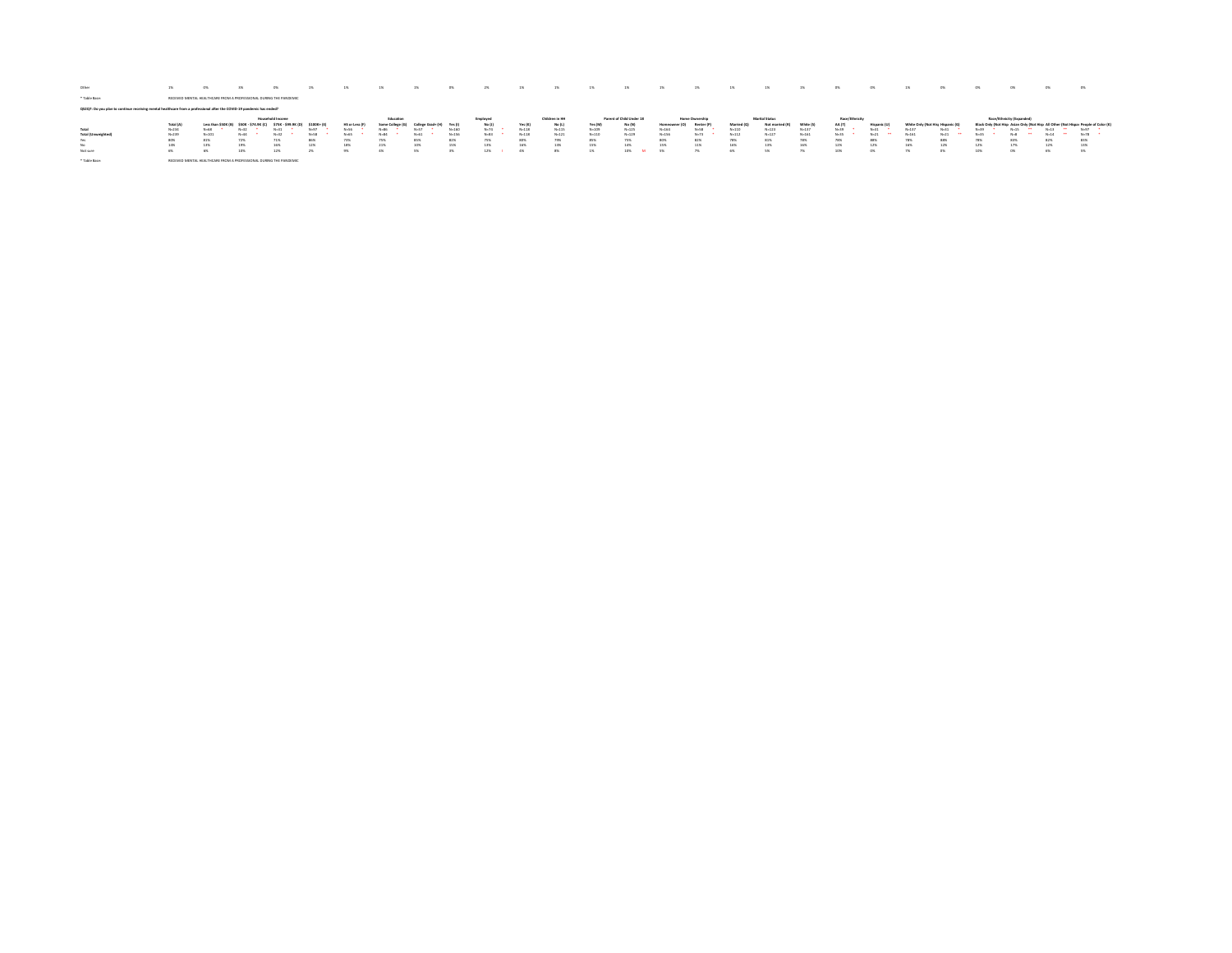| Other                                                                                                                 | 1%         | $O\%$              |                                                                    | 0%                      |            |                       | 1%        | 1%       | $0\%$     | 2%       | $1\%$     | 1%              | 1%        | 1%                       | 1%        | 1%             | 1%        |                 |           |                | - 0%   |                                  | 0%       | 0%      | O%                        | O%       | $^{0}$                                                                              |
|-----------------------------------------------------------------------------------------------------------------------|------------|--------------------|--------------------------------------------------------------------|-------------------------|------------|-----------------------|-----------|----------|-----------|----------|-----------|-----------------|-----------|--------------------------|-----------|----------------|-----------|-----------------|-----------|----------------|--------|----------------------------------|----------|---------|---------------------------|----------|-------------------------------------------------------------------------------------|
| * Table Base:                                                                                                         |            |                    | RECEIVED MENTAL HEALTHCARE FROM A PROFESSIONAL DURING THE PANDEMIC |                         |            |                       |           |          |           |          |           |                 |           |                          |           |                |           |                 |           |                |        |                                  |          |         |                           |          |                                                                                     |
| QS2Q7: Do you plan to continue receiving mental healthcare from a professional after the COVID-19 pandemic has ended? |            |                    |                                                                    |                         |            |                       |           |          |           |          |           |                 |           |                          |           |                |           |                 |           |                |        |                                  |          |         |                           |          |                                                                                     |
|                                                                                                                       |            |                    |                                                                    | <b>Household Income</b> |            |                       | Education |          |           | Employee |           | Children in Hh. |           | Parent of Child Under 18 |           | Home Ownership |           | Marital Status  |           | Race/Ethnicity |        |                                  |          |         | Race/Ethnicity (Expanded) |          |                                                                                     |
|                                                                                                                       | Total (A)  | Less than \$50K () | ssnr<br>. 574 QK (C)                                               |                         |            | <b>MS or Less (I)</b> |           |          | Yes (I    | No (J)   | Yes (K)   | No (L)          | Yes (M)   | No (N)                   |           | Renter (I      | Married I | Not married (R) | White C   |                |        | White Only (Not Hiss Hispanic I) |          |         |                           |          | Black Only (Not Hisp Asian Only (Not Hisp All Other (Not Hispar People of Color (K) |
|                                                                                                                       |            |                    |                                                                    |                         |            |                       |           |          |           |          |           |                 |           |                          |           |                |           |                 |           |                |        |                                  |          |         |                           |          |                                                                                     |
| Total                                                                                                                 | $N = 2.34$ | $N = 68$           | $N - 32$                                                           |                         | <b>Not</b> |                       | N=R6      | $N = 57$ | $N - 160$ | $N = 74$ | $N = 118$ | $N = 115$       | $N - 102$ | $N - 125$                | $N - 164$ | N=58           | $N - 110$ | $N = 123$       | $N - 137$ | N=39           |        | $N - 137$                        | $N-31$   | $N = 0$ | $N - 15$                  |          | $N = 97$                                                                            |
| <b>Total (Umweighted)</b>                                                                                             | $N = 2.39$ | $N = 101$          | $N = 44$                                                           |                         | N-S        |                       | $N = 84$  | $N = 61$ | $N - 156$ | $N - 83$ | $N = 118$ | $N = 121$       | $N - 110$ | $N - 129$                | $N - 156$ | $N - 73$       | $N = 112$ | $N = 127$       | $N - 161$ | No.35          |        | $N - 161$                        | $N = 21$ | $N-35$  | $N=8$                     | $N - 14$ | $N-78$                                                                              |
| Yes                                                                                                                   | 80%        | 81%                | 72%                                                                | 71%                     | 86%        | 73%                   | 75%       | 85%      | 82%       | 75%      | 80%       | 79%             | 85%       | 75%                      | 80%       | 82%            | 78%       | 81%             | 78%       | 78%            | 88%    | 78%                              | 88%      | 78%     | 83%                       | 82%      | 83%                                                                                 |
|                                                                                                                       | 14%        | 13%                | 19%                                                                | 16%                     | 12%        | 18%                   | 21%       | 10%      | 15%       | 13%      | 16%       | 13%             | 15%       | 14%                      | 15%       | 11%            | 16%       | 13%             | 16%       | 12%            | 12%    | 16%                              | 12%      | 12%     | 17%                       | 12%      | 13%                                                                                 |
| Not sure                                                                                                              | 6%         | 6%                 | 10%                                                                | 12%                     |            |                       | 4%        | w        | w         | 12%      |           | <b>SNL</b>      |           | 10%                      | 886       | 25<            | 6%        |                 |           | 10%            | $-175$ |                                  | 0%       | 10%     | ox                        | 6%       |                                                                                     |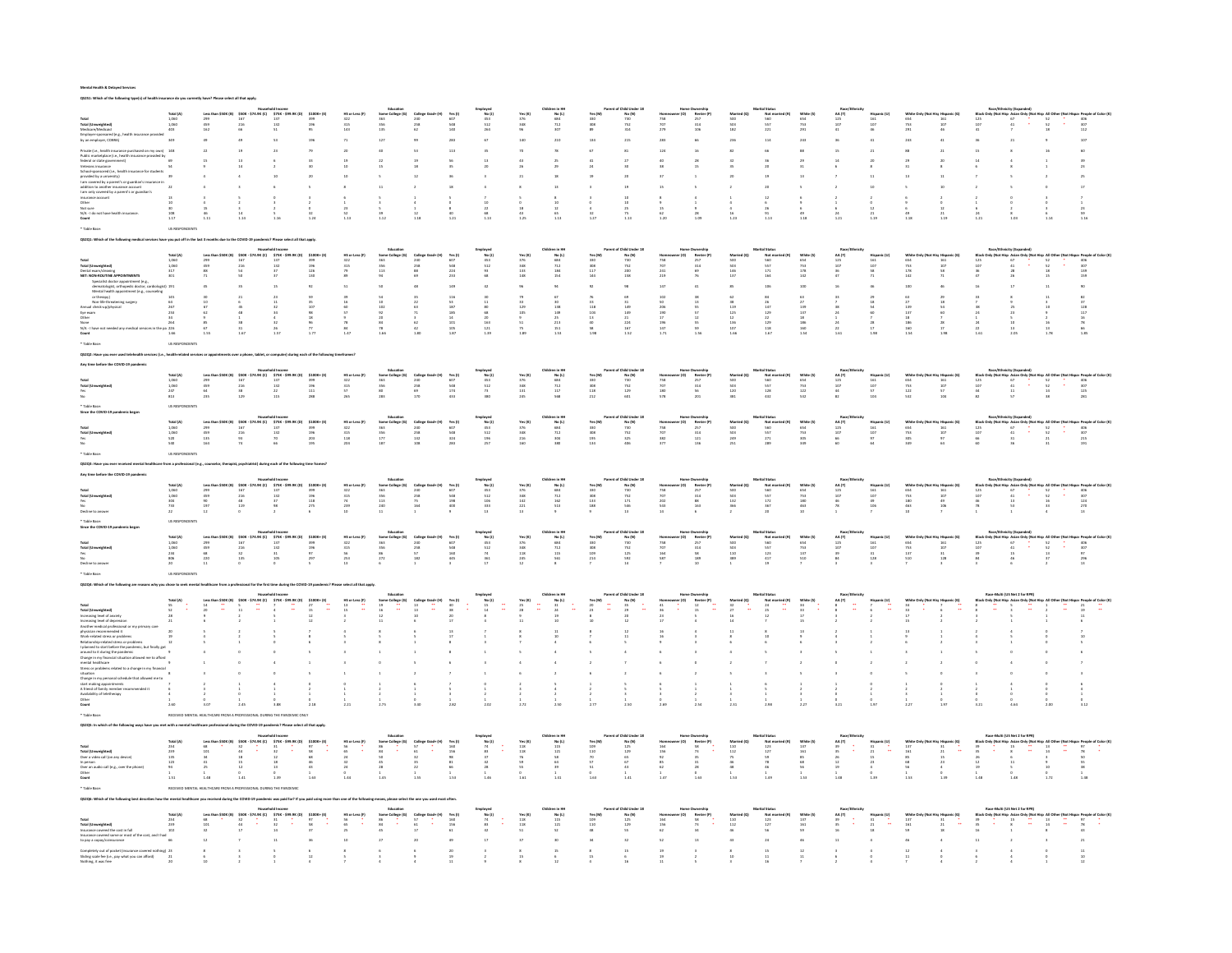QS2S1: Which of the following type(s) of health insurance do you currently have? Please select all that apply.

|                                                                                                                                                                                                                        |                                                 |                              |                                                                                                                      |                                                          |                          |                                                           |                                                        |                                                                                                                                                                                                                                                                                                                               |                                     |                                                                  |                                                                                                                                                                                                                                                                     | No (L)<br>684<br>712<br>307                                                                                                                                    |                                                                                                    | No (N)<br>730<br>752<br>314                                                               |                                                                                                                                                                                                  | Rente<br>257<br>314<br>106<br>106                                                                                                                                                                                                                                                                                                                                                                                                                                                  |                                                                           | Not m<br>560<br>557<br>221<br>221                                                                                                              | White<br>654<br>753<br>291                                                     |                                                                                                                      |                                                               |                                                                           |                                                                                                                                                                                                                                                                                                                                                                                                                                         |                                                       |                                                                                                                                                                                                                                                                                                                                                                                                                                       |                                                                                                                |
|------------------------------------------------------------------------------------------------------------------------------------------------------------------------------------------------------------------------|-------------------------------------------------|------------------------------|----------------------------------------------------------------------------------------------------------------------|----------------------------------------------------------|--------------------------|-----------------------------------------------------------|--------------------------------------------------------|-------------------------------------------------------------------------------------------------------------------------------------------------------------------------------------------------------------------------------------------------------------------------------------------------------------------------------|-------------------------------------|------------------------------------------------------------------|---------------------------------------------------------------------------------------------------------------------------------------------------------------------------------------------------------------------------------------------------------------------|----------------------------------------------------------------------------------------------------------------------------------------------------------------|----------------------------------------------------------------------------------------------------|-------------------------------------------------------------------------------------------|--------------------------------------------------------------------------------------------------------------------------------------------------------------------------------------------------|------------------------------------------------------------------------------------------------------------------------------------------------------------------------------------------------------------------------------------------------------------------------------------------------------------------------------------------------------------------------------------------------------------------------------------------------------------------------------------|---------------------------------------------------------------------------|------------------------------------------------------------------------------------------------------------------------------------------------|--------------------------------------------------------------------------------|----------------------------------------------------------------------------------------------------------------------|---------------------------------------------------------------|---------------------------------------------------------------------------|-----------------------------------------------------------------------------------------------------------------------------------------------------------------------------------------------------------------------------------------------------------------------------------------------------------------------------------------------------------------------------------------------------------------------------------------|-------------------------------------------------------|---------------------------------------------------------------------------------------------------------------------------------------------------------------------------------------------------------------------------------------------------------------------------------------------------------------------------------------------------------------------------------------------------------------------------------------|----------------------------------------------------------------------------------------------------------------|
|                                                                                                                                                                                                                        |                                                 |                              |                                                                                                                      |                                                          |                          |                                                           |                                                        | 240<br>258<br>62                                                                                                                                                                                                                                                                                                              |                                     |                                                                  |                                                                                                                                                                                                                                                                     |                                                                                                                                                                |                                                                                                    |                                                                                           | $758$ $707$ $279$                                                                                                                                                                                |                                                                                                                                                                                                                                                                                                                                                                                                                                                                                    |                                                                           |                                                                                                                                                |                                                                                |                                                                                                                      |                                                               |                                                                           |                                                                                                                                                                                                                                                                                                                                                                                                                                         |                                                       |                                                                                                                                                                                                                                                                                                                                                                                                                                       |                                                                                                                |
|                                                                                                                                                                                                                        |                                                 |                              |                                                                                                                      |                                                          |                          |                                                           | $_{\rm 127}$                                           |                                                                                                                                                                                                                                                                                                                               |                                     |                                                                  |                                                                                                                                                                                                                                                                     | $_{\rm 210}$                                                                                                                                                   | $_{\rm 134}$                                                                                       | $_{\rm 215}$                                                                              | $_{\rm 283}$                                                                                                                                                                                     |                                                                                                                                                                                                                                                                                                                                                                                                                                                                                    |                                                                           |                                                                                                                                                | $_{\rm 243}$                                                                   | $\begin{array}{c} 36 \\ 15 \end{array}$                                                                              |                                                               | $_{\rm 243}$                                                              | $\mathbf{41}$                                                                                                                                                                                                                                                                                                                                                                                                                           | $\begin{array}{c} 36 \\ 15 \end{array}$               |                                                                                                                                                                                                                                                                                                                                                                                                                                       |                                                                                                                |
|                                                                                                                                                                                                                        |                                                 |                              |                                                                                                                      |                                                          | $\boldsymbol{79}$        |                                                           | $\bf{40}$                                              | $^{\rm S3}$                                                                                                                                                                                                                                                                                                                   | $^{\rm 113}$                        |                                                                  | 70                                                                                                                                                                                                                                                                  | $\bf 78$                                                                                                                                                       | 67                                                                                                 | $^{\rm 81}$                                                                               | $124\,$                                                                                                                                                                                          | $\sim$ 16 $^\circ$                                                                                                                                                                                                                                                                                                                                                                                                                                                                 | $\bf{32}$                                                                 | $_{\rm 66}$                                                                                                                                    | $^{\rm 33}$                                                                    |                                                                                                                      |                                                               | $_{\rm{ss}}$                                                              | $\mathbf{^{21}}$                                                                                                                                                                                                                                                                                                                                                                                                                        |                                                       | $_{\rm 16}$                                                                                                                                                                                                                                                                                                                                                                                                                           |                                                                                                                |
| the (i.e., bealth insurance pure serves and any of the marketplace (i.e., bealth insurance provided by<br>$\frac{1}{2}$ in the contract provided by $69$<br>$\frac{1}{2}$<br>$\frac{1}{2}$ increases and $\frac{1}{2}$ |                                                 |                              |                                                                                                                      |                                                          |                          |                                                           |                                                        |                                                                                                                                                                                                                                                                                                                               |                                     |                                                                  |                                                                                                                                                                                                                                                                     |                                                                                                                                                                |                                                                                                    |                                                                                           |                                                                                                                                                                                                  |                                                                                                                                                                                                                                                                                                                                                                                                                                                                                    |                                                                           |                                                                                                                                                |                                                                                |                                                                                                                      |                                                               |                                                                           |                                                                                                                                                                                                                                                                                                                                                                                                                                         |                                                       |                                                                                                                                                                                                                                                                                                                                                                                                                                       |                                                                                                                |
|                                                                                                                                                                                                                        |                                                 |                              |                                                                                                                      |                                                          | $\frac{33}{30}$          |                                                           | $\frac{22}{15}$                                        |                                                                                                                                                                                                                                                                                                                               |                                     |                                                                  |                                                                                                                                                                                                                                                                     |                                                                                                                                                                |                                                                                                    |                                                                                           | $\frac{40}{38}$                                                                                                                                                                                  | $\begin{array}{c} 28 \\ 15 \end{array}$                                                                                                                                                                                                                                                                                                                                                                                                                                            |                                                                           |                                                                                                                                                |                                                                                | $$\frac{14}{6}$$                                                                                                     |                                                               |                                                                           | $_{\rm g}^{20}$                                                                                                                                                                                                                                                                                                                                                                                                                         | $_{\rm 6}^{14}$                                       |                                                                                                                                                                                                                                                                                                                                                                                                                                       |                                                                                                                |
|                                                                                                                                                                                                                        |                                                 |                              |                                                                                                                      |                                                          |                          |                                                           |                                                        |                                                                                                                                                                                                                                                                                                                               |                                     |                                                                  |                                                                                                                                                                                                                                                                     |                                                                                                                                                                |                                                                                                    |                                                                                           |                                                                                                                                                                                                  | $\,$ 1 $\,$                                                                                                                                                                                                                                                                                                                                                                                                                                                                        |                                                                           |                                                                                                                                                |                                                                                |                                                                                                                      |                                                               |                                                                           |                                                                                                                                                                                                                                                                                                                                                                                                                                         |                                                       |                                                                                                                                                                                                                                                                                                                                                                                                                                       |                                                                                                                |
|                                                                                                                                                                                                                        |                                                 |                              |                                                                                                                      |                                                          | $\,$ s $\,$              |                                                           | $_{\rm 11}$                                            |                                                                                                                                                                                                                                                                                                                               |                                     |                                                                  |                                                                                                                                                                                                                                                                     |                                                                                                                                                                |                                                                                                    | $^{\rm 19}$                                                                               | $15\,$                                                                                                                                                                                           |                                                                                                                                                                                                                                                                                                                                                                                                                                                                                    |                                                                           |                                                                                                                                                |                                                                                | $\,$ $\,$ $\,$                                                                                                       | $10\,$                                                        |                                                                           | $^{\rm 10}$                                                                                                                                                                                                                                                                                                                                                                                                                             | $\sim 2$                                              | $\,$ 0 $\,$                                                                                                                                                                                                                                                                                                                                                                                                                           |                                                                                                                |
|                                                                                                                                                                                                                        |                                                 |                              |                                                                                                                      |                                                          |                          |                                                           |                                                        |                                                                                                                                                                                                                                                                                                                               |                                     |                                                                  |                                                                                                                                                                                                                                                                     |                                                                                                                                                                |                                                                                                    |                                                                                           |                                                                                                                                                                                                  |                                                                                                                                                                                                                                                                                                                                                                                                                                                                                    |                                                                           |                                                                                                                                                |                                                                                |                                                                                                                      |                                                               |                                                                           |                                                                                                                                                                                                                                                                                                                                                                                                                                         |                                                       |                                                                                                                                                                                                                                                                                                                                                                                                                                       |                                                                                                                |
|                                                                                                                                                                                                                        |                                                 |                              |                                                                                                                      |                                                          |                          |                                                           |                                                        |                                                                                                                                                                                                                                                                                                                               |                                     |                                                                  |                                                                                                                                                                                                                                                                     |                                                                                                                                                                |                                                                                                    |                                                                                           |                                                                                                                                                                                                  |                                                                                                                                                                                                                                                                                                                                                                                                                                                                                    |                                                                           |                                                                                                                                                |                                                                                |                                                                                                                      |                                                               |                                                                           |                                                                                                                                                                                                                                                                                                                                                                                                                                         |                                                       |                                                                                                                                                                                                                                                                                                                                                                                                                                       |                                                                                                                |
|                                                                                                                                                                                                                        |                                                 |                              |                                                                                                                      |                                                          |                          |                                                           |                                                        |                                                                                                                                                                                                                                                                                                                               |                                     |                                                                  |                                                                                                                                                                                                                                                                     |                                                                                                                                                                |                                                                                                    |                                                                                           |                                                                                                                                                                                                  |                                                                                                                                                                                                                                                                                                                                                                                                                                                                                    |                                                                           |                                                                                                                                                |                                                                                |                                                                                                                      |                                                               |                                                                           | $\begin{array}{c} 2\\ 0\\ 12\\ 21\\ 1.19 \end{array}$                                                                                                                                                                                                                                                                                                                                                                                   |                                                       |                                                                                                                                                                                                                                                                                                                                                                                                                                       |                                                                                                                |
|                                                                                                                                                                                                                        |                                                 |                              |                                                                                                                      |                                                          |                          |                                                           |                                                        |                                                                                                                                                                                                                                                                                                                               |                                     |                                                                  |                                                                                                                                                                                                                                                                     |                                                                                                                                                                |                                                                                                    |                                                                                           |                                                                                                                                                                                                  |                                                                                                                                                                                                                                                                                                                                                                                                                                                                                    |                                                                           |                                                                                                                                                |                                                                                |                                                                                                                      |                                                               |                                                                           |                                                                                                                                                                                                                                                                                                                                                                                                                                         |                                                       |                                                                                                                                                                                                                                                                                                                                                                                                                                       |                                                                                                                |
|                                                                                                                                                                                                                        |                                                 |                              |                                                                                                                      |                                                          |                          |                                                           |                                                        |                                                                                                                                                                                                                                                                                                                               |                                     |                                                                  |                                                                                                                                                                                                                                                                     |                                                                                                                                                                |                                                                                                    |                                                                                           |                                                                                                                                                                                                  |                                                                                                                                                                                                                                                                                                                                                                                                                                                                                    |                                                                           |                                                                                                                                                |                                                                                |                                                                                                                      |                                                               |                                                                           |                                                                                                                                                                                                                                                                                                                                                                                                                                         |                                                       |                                                                                                                                                                                                                                                                                                                                                                                                                                       |                                                                                                                |
|                                                                                                                                                                                                                        |                                                 |                              |                                                                                                                      |                                                          |                          |                                                           |                                                        |                                                                                                                                                                                                                                                                                                                               |                                     |                                                                  |                                                                                                                                                                                                                                                                     |                                                                                                                                                                |                                                                                                    |                                                                                           |                                                                                                                                                                                                  |                                                                                                                                                                                                                                                                                                                                                                                                                                                                                    |                                                                           |                                                                                                                                                |                                                                                |                                                                                                                      |                                                               |                                                                           |                                                                                                                                                                                                                                                                                                                                                                                                                                         |                                                       |                                                                                                                                                                                                                                                                                                                                                                                                                                       |                                                                                                                |
|                                                                                                                                                                                                                        |                                                 |                              |                                                                                                                      |                                                          |                          |                                                           |                                                        |                                                                                                                                                                                                                                                                                                                               | Yes (I)<br>607<br>548<br>224<br>233 |                                                                  | Yes (K)<br>376<br>348<br>133<br>133                                                                                                                                                                                                                                 | No (L)<br>684<br>712<br>7184<br>154                                                                                                                            |                                                                                                    | No (N)<br>730<br>752<br>752<br>200<br>158                                                 |                                                                                                                                                                                                  | <b>Millers</b><br>Renter<br>257<br>314<br>69<br>76                                                                                                                                                                                                                                                                                                                                                                                                                                 | Marri<br>500<br>503<br>146<br>137                                         | Not m<br>560<br>557<br>171<br>164                                                                                                              | White (\$<br>654<br>753<br>178<br>142                                          |                                                                                                                      |                                                               |                                                                           |                                                                                                                                                                                                                                                                                                                                                                                                                                         |                                                       |                                                                                                                                                                                                                                                                                                                                                                                                                                       |                                                                                                                |
|                                                                                                                                                                                                                        |                                                 |                              | $\begin{array}{r} 167 \\ 216 \\ 54 \\ 50 \end{array}$                                                                | $\begin{array}{r} 137 \\ 132 \\ 37 \\ 37 \\ \end{array}$ | 399<br>196<br>126<br>130 |                                                           | $\begin{array}{r} 363 \\ 356 \\ 113 \\ 94 \end{array}$ |                                                                                                                                                                                                                                                                                                                               |                                     |                                                                  |                                                                                                                                                                                                                                                                     |                                                                                                                                                                |                                                                                                    |                                                                                           |                                                                                                                                                                                                  |                                                                                                                                                                                                                                                                                                                                                                                                                                                                                    |                                                                           |                                                                                                                                                |                                                                                |                                                                                                                      |                                                               |                                                                           |                                                                                                                                                                                                                                                                                                                                                                                                                                         |                                                       |                                                                                                                                                                                                                                                                                                                                                                                                                                       |                                                                                                                |
|                                                                                                                                                                                                                        |                                                 |                              |                                                                                                                      |                                                          |                          |                                                           |                                                        | $\begin{array}{r} 240 \\ 258 \\ 88 \\ 69 \end{array}$                                                                                                                                                                                                                                                                         |                                     |                                                                  |                                                                                                                                                                                                                                                                     |                                                                                                                                                                |                                                                                                    |                                                                                           | mama<br>758<br>707<br>241<br>241                                                                                                                                                                 |                                                                                                                                                                                                                                                                                                                                                                                                                                                                                    |                                                                           |                                                                                                                                                |                                                                                |                                                                                                                      |                                                               | 654<br>654<br>753<br>178<br>142                                           | $\begin{array}{r} 161 \\ 107 \\ 58 \\ 71 \end{array}$                                                                                                                                                                                                                                                                                                                                                                                   | $\begin{array}{r} 125 \\ 107 \\ 36 \\ 47 \end{array}$ | $52$<br>$52$<br>$18$<br>$18$<br>$15$                                                                                                                                                                                                                                                                                                                                                                                                  |                                                                                                                |
|                                                                                                                                                                                                                        |                                                 |                              |                                                                                                                      |                                                          |                          |                                                           |                                                        |                                                                                                                                                                                                                                                                                                                               |                                     |                                                                  |                                                                                                                                                                                                                                                                     |                                                                                                                                                                |                                                                                                    |                                                                                           | $_{\rm 147}$                                                                                                                                                                                     |                                                                                                                                                                                                                                                                                                                                                                                                                                                                                    |                                                                           |                                                                                                                                                |                                                                                |                                                                                                                      |                                                               | $_{\rm 100}$                                                              |                                                                                                                                                                                                                                                                                                                                                                                                                                         |                                                       |                                                                                                                                                                                                                                                                                                                                                                                                                                       |                                                                                                                |
|                                                                                                                                                                                                                        |                                                 |                              |                                                                                                                      |                                                          |                          |                                                           |                                                        |                                                                                                                                                                                                                                                                                                                               |                                     |                                                                  |                                                                                                                                                                                                                                                                     |                                                                                                                                                                |                                                                                                    |                                                                                           |                                                                                                                                                                                                  |                                                                                                                                                                                                                                                                                                                                                                                                                                                                                    |                                                                           |                                                                                                                                                |                                                                                |                                                                                                                      |                                                               |                                                                           |                                                                                                                                                                                                                                                                                                                                                                                                                                         |                                                       |                                                                                                                                                                                                                                                                                                                                                                                                                                       |                                                                                                                |
|                                                                                                                                                                                                                        |                                                 |                              |                                                                                                                      |                                                          |                          |                                                           |                                                        |                                                                                                                                                                                                                                                                                                                               |                                     |                                                                  |                                                                                                                                                                                                                                                                     |                                                                                                                                                                |                                                                                                    |                                                                                           |                                                                                                                                                                                                  |                                                                                                                                                                                                                                                                                                                                                                                                                                                                                    |                                                                           |                                                                                                                                                |                                                                                |                                                                                                                      |                                                               |                                                                           |                                                                                                                                                                                                                                                                                                                                                                                                                                         |                                                       |                                                                                                                                                                                                                                                                                                                                                                                                                                       |                                                                                                                |
|                                                                                                                                                                                                                        |                                                 |                              |                                                                                                                      |                                                          |                          |                                                           |                                                        |                                                                                                                                                                                                                                                                                                                               |                                     |                                                                  |                                                                                                                                                                                                                                                                     |                                                                                                                                                                |                                                                                                    |                                                                                           |                                                                                                                                                                                                  |                                                                                                                                                                                                                                                                                                                                                                                                                                                                                    |                                                                           |                                                                                                                                                |                                                                                |                                                                                                                      |                                                               |                                                                           |                                                                                                                                                                                                                                                                                                                                                                                                                                         |                                                       |                                                                                                                                                                                                                                                                                                                                                                                                                                       |                                                                                                                |
|                                                                                                                                                                                                                        |                                                 |                              |                                                                                                                      |                                                          |                          |                                                           |                                                        |                                                                                                                                                                                                                                                                                                                               |                                     |                                                                  |                                                                                                                                                                                                                                                                     | $\begin{array}{r} 67 \\ 30 \\ 138 \\ 249 \\ 25 \\ 213 \\ 151 \\ 189 \end{array}$                                                                               | 76<br>33<br>118<br>104<br>13<br>40<br>58                                                           | $\begin{array}{r} 69 \\ 31 \\ 149 \\ 21 \\ 224 \\ 167 \\ 152 \end{array}$                 | $\begin{array}{r} 102 \\ 50 \\ 206 \\ 190 \\ 17 \\ 196 \\ 147 \\ 190 \\ \end{array}$                                                                                                             |                                                                                                                                                                                                                                                                                                                                                                                                                                                                                    | $\begin{array}{r} 62 \\ 38 \\ 119 \\ 125 \\ 12 \\ 136 \\ 107 \end{array}$ | $\begin{array}{r} 84 \\ 26 \\ 147 \\ 129 \\ 22 \\ 129 \\ 118 \\ 1.67 \end{array}$                                                              | $\begin{array}{c} 63 \\ 27 \\ 139 \\ 137 \\ 18 \\ 160 \\ 160 \\ 1 \end{array}$ |                                                                                                                      | $\begin{array}{r} 29\\18\\54\\60\\7\\28\\17\\168 \end{array}$ | $\begin{array}{r} 63 \\ 27 \\ 139 \\ 137 \\ 18 \\ 166 \\ 160 \end{array}$ | $\begin{array}{r} 29\\18\\54\\60\\7\\28\\17 \end{array}$                                                                                                                                                                                                                                                                                                                                                                                |                                                       |                                                                                                                                                                                                                                                                                                                                                                                                                                       |                                                                                                                |
|                                                                                                                                                                                                                        |                                                 |                              |                                                                                                                      |                                                          |                          |                                                           |                                                        |                                                                                                                                                                                                                                                                                                                               |                                     |                                                                  |                                                                                                                                                                                                                                                                     |                                                                                                                                                                |                                                                                                    |                                                                                           |                                                                                                                                                                                                  |                                                                                                                                                                                                                                                                                                                                                                                                                                                                                    |                                                                           |                                                                                                                                                |                                                                                |                                                                                                                      |                                                               |                                                                           |                                                                                                                                                                                                                                                                                                                                                                                                                                         |                                                       |                                                                                                                                                                                                                                                                                                                                                                                                                                       |                                                                                                                |
|                                                                                                                                                                                                                        |                                                 |                              |                                                                                                                      |                                                          |                          |                                                           |                                                        |                                                                                                                                                                                                                                                                                                                               |                                     |                                                                  |                                                                                                                                                                                                                                                                     |                                                                                                                                                                |                                                                                                    |                                                                                           |                                                                                                                                                                                                  |                                                                                                                                                                                                                                                                                                                                                                                                                                                                                    |                                                                           |                                                                                                                                                |                                                                                |                                                                                                                      |                                                               |                                                                           |                                                                                                                                                                                                                                                                                                                                                                                                                                         |                                                       |                                                                                                                                                                                                                                                                                                                                                                                                                                       |                                                                                                                |
|                                                                                                                                                                                                                        |                                                 |                              |                                                                                                                      |                                                          |                          |                                                           |                                                        |                                                                                                                                                                                                                                                                                                                               |                                     |                                                                  |                                                                                                                                                                                                                                                                     |                                                                                                                                                                |                                                                                                    |                                                                                           |                                                                                                                                                                                                  |                                                                                                                                                                                                                                                                                                                                                                                                                                                                                    |                                                                           |                                                                                                                                                |                                                                                |                                                                                                                      |                                                               |                                                                           |                                                                                                                                                                                                                                                                                                                                                                                                                                         |                                                       |                                                                                                                                                                                                                                                                                                                                                                                                                                       |                                                                                                                |
|                                                                                                                                                                                                                        |                                                 |                              |                                                                                                                      |                                                          |                          |                                                           |                                                        |                                                                                                                                                                                                                                                                                                                               |                                     |                                                                  |                                                                                                                                                                                                                                                                     |                                                                                                                                                                |                                                                                                    |                                                                                           |                                                                                                                                                                                                  |                                                                                                                                                                                                                                                                                                                                                                                                                                                                                    |                                                                           |                                                                                                                                                |                                                                                |                                                                                                                      |                                                               |                                                                           |                                                                                                                                                                                                                                                                                                                                                                                                                                         |                                                       |                                                                                                                                                                                                                                                                                                                                                                                                                                       |                                                                                                                |
|                                                                                                                                                                                                                        |                                                 |                              |                                                                                                                      |                                                          |                          | <b>HS or Less (F)</b><br>322<br>315<br>57<br>57           |                                                        | Extualion<br>1990 - Scotlage (Ci) - College Grad+ (M) - Yes (I)<br>1953 - 2010 - 2012<br>1970 - 2012 - 2013 - 2013 - 2013 - 2013 - 2013 - 2013 - 2013 - 2013 - 2013 - 2013 - 2013 - 2013 - 2014 - 2014<br>2013 - 2013 - 2013 - 2013 -                                                                                         |                                     | Employed<br>No (J)<br>453<br>512<br>73<br>380                    | $\begin{tabular}{ll} \textbf{Childner in HH} & \textbf{80} & \textbf{01} \\ \textbf{176} & \textbf{180} & \textbf{02} \\ \textbf{276} & \textbf{684} \\ \textbf{348} & \textbf{712} \\ \textbf{351} & \textbf{317} \\ \textbf{245} & \textbf{568} \\ \end{tabular}$ |                                                                                                                                                                |                                                                                                    | Parent of Child Under 18<br>Yes (M) No (N)<br>330<br>332 732<br>118 129<br>212 601        |                                                                                                                                                                                                  | $\begin{tabular}{l l l} & \multicolumn{2}{l}{\textbf{Home} } \textbf{Owner} \textbf{right} \\ \multicolumn{2}{l}{\textbf{Harm} } \textbf{counter} \textbf{(O)} & \multicolumn{2}{l}{\textbf{Renter} \textbf{(P)}} \\ \multicolumn{2}{l}{\textbf{758}} & \multicolumn{2}{l}{\textbf{257}} \\ \multicolumn{2}{l}{\textbf{797}} & \multicolumn{2}{l}{\textbf{314}} \\ \multicolumn{2}{l}{\textbf{180}} & \multicolumn{2}{l}{\textbf{56}} \\ \multicolumn{2}{l}{\textbf{578}} & \mult$ |                                                                           | Married (Q) Marital Status<br>1600 1000 1000 1000 101<br>1600 1600 1634<br>1600 1635 173<br>170 128 122<br>181 482 1632                        |                                                                                |                                                                                                                      |                                                               |                                                                           | Raud (1990)<br>1990 - Magnito Maria (1991) - Mark (1990) - 1990 - 1991 - 1991 - 1991 - 1991 - 1991 - 1991 - 1991 - 1991 - 19<br>123 - 150 - 154 - 151 - 157 - 157 - 157 - 159 - 159<br>147 - 159 - 159 - 159 - 159 - 159 - 159 - 159 -                                                                                                                                                                                                  |                                                       |                                                                                                                                                                                                                                                                                                                                                                                                                                       |                                                                                                                |
|                                                                                                                                                                                                                        |                                                 |                              |                                                                                                                      |                                                          |                          |                                                           |                                                        |                                                                                                                                                                                                                                                                                                                               |                                     |                                                                  |                                                                                                                                                                                                                                                                     |                                                                                                                                                                |                                                                                                    |                                                                                           |                                                                                                                                                                                                  |                                                                                                                                                                                                                                                                                                                                                                                                                                                                                    |                                                                           |                                                                                                                                                |                                                                                |                                                                                                                      |                                                               |                                                                           |                                                                                                                                                                                                                                                                                                                                                                                                                                         |                                                       |                                                                                                                                                                                                                                                                                                                                                                                                                                       |                                                                                                                |
|                                                                                                                                                                                                                        |                                                 |                              |                                                                                                                      |                                                          |                          |                                                           |                                                        |                                                                                                                                                                                                                                                                                                                               |                                     |                                                                  |                                                                                                                                                                                                                                                                     |                                                                                                                                                                |                                                                                                    |                                                                                           |                                                                                                                                                                                                  |                                                                                                                                                                                                                                                                                                                                                                                                                                                                                    |                                                                           |                                                                                                                                                |                                                                                |                                                                                                                      |                                                               |                                                                           |                                                                                                                                                                                                                                                                                                                                                                                                                                         |                                                       |                                                                                                                                                                                                                                                                                                                                                                                                                                       |                                                                                                                |
|                                                                                                                                                                                                                        |                                                 |                              |                                                                                                                      |                                                          |                          |                                                           |                                                        |                                                                                                                                                                                                                                                                                                                               |                                     |                                                                  |                                                                                                                                                                                                                                                                     |                                                                                                                                                                |                                                                                                    |                                                                                           |                                                                                                                                                                                                  |                                                                                                                                                                                                                                                                                                                                                                                                                                                                                    |                                                                           |                                                                                                                                                |                                                                                |                                                                                                                      |                                                               |                                                                           |                                                                                                                                                                                                                                                                                                                                                                                                                                         |                                                       |                                                                                                                                                                                                                                                                                                                                                                                                                                       |                                                                                                                |
|                                                                                                                                                                                                                        |                                                 |                              |                                                                                                                      |                                                          |                          |                                                           |                                                        |                                                                                                                                                                                                                                                                                                                               |                                     |                                                                  |                                                                                                                                                                                                                                                                     |                                                                                                                                                                |                                                                                                    |                                                                                           | $\begin{tabular}{l l l} & \textbf{Home } \textbf{Our} \textbf{arship} \\ \textbf{Home } \textbf{(O)} & \textbf{Rester (P)} \\ 758 & 257 \\ 707 & 314 \\ 382 & 121 \\ 377 & 136 \\ \end{tabular}$ |                                                                                                                                                                                                                                                                                                                                                                                                                                                                                    |                                                                           |                                                                                                                                                |                                                                                |                                                                                                                      |                                                               |                                                                           |                                                                                                                                                                                                                                                                                                                                                                                                                                         |                                                       |                                                                                                                                                                                                                                                                                                                                                                                                                                       |                                                                                                                |
|                                                                                                                                                                                                                        |                                                 |                              |                                                                                                                      |                                                          |                          |                                                           |                                                        |                                                                                                                                                                                                                                                                                                                               |                                     |                                                                  |                                                                                                                                                                                                                                                                     |                                                                                                                                                                |                                                                                                    |                                                                                           |                                                                                                                                                                                                  |                                                                                                                                                                                                                                                                                                                                                                                                                                                                                    |                                                                           |                                                                                                                                                |                                                                                |                                                                                                                      |                                                               |                                                                           |                                                                                                                                                                                                                                                                                                                                                                                                                                         |                                                       |                                                                                                                                                                                                                                                                                                                                                                                                                                       |                                                                                                                |
| Total<br>Total (Umweighted)<br>Yes<br>No                                                                                                                                                                               |                                                 |                              |                                                                                                                      |                                                          |                          |                                                           |                                                        | Total(A) Leasther\$500(R) \$100-457-2013-000-2014 [2010-2010-2010 [2010-2010-2010]<br>1.050 2.99 14:37 (2011-2012-2013-2013) 2019 2011 2010<br>1.050 4.99 2.15 112 195<br>1.050 1.15 1.12 1.12 1.12 1.17 1.12 1.14<br>1.40 1.14 74 66 1.15                                                                                    |                                     | mplayed<br>  No (J)<br>  453<br>  512<br>  516<br>  257          | Yes (K)<br>376<br>348<br>216<br>216                                                                                                                                                                                                                                 | Children in HH<br>No (L)<br>684<br>712<br>304<br>380                                                                                                           |                                                                                                    | Parent of Child Under 18<br>Yes (M) No (N)<br>330<br>308 730<br>25<br>25<br>25<br>236 406 |                                                                                                                                                                                                  |                                                                                                                                                                                                                                                                                                                                                                                                                                                                                    |                                                                           | Married (C) Morrisal Status<br>Married (C) Not married (R) White (S)<br>500 560 654<br>249 271 305<br>249 271 309                              |                                                                                | Race/Eti<br>AA (T)<br>125<br>107<br>66<br>60                                                                         | Hispanic (U)<br>161<br>107<br>97<br>64                        |                                                                           | White Only (Not His  Hispanic (G)<br>654 161<br>753 107<br>305 97<br>549 64                                                                                                                                                                                                                                                                                                                                                             |                                                       |                                                                                                                                                                                                                                                                                                                                                                                                                                       |                                                                                                                |
|                                                                                                                                                                                                                        |                                                 |                              |                                                                                                                      |                                                          |                          |                                                           |                                                        |                                                                                                                                                                                                                                                                                                                               |                                     |                                                                  |                                                                                                                                                                                                                                                                     |                                                                                                                                                                |                                                                                                    |                                                                                           |                                                                                                                                                                                                  |                                                                                                                                                                                                                                                                                                                                                                                                                                                                                    |                                                                           |                                                                                                                                                |                                                                                |                                                                                                                      |                                                               |                                                                           |                                                                                                                                                                                                                                                                                                                                                                                                                                         |                                                       |                                                                                                                                                                                                                                                                                                                                                                                                                                       |                                                                                                                |
|                                                                                                                                                                                                                        |                                                 |                              |                                                                                                                      |                                                          |                          |                                                           |                                                        |                                                                                                                                                                                                                                                                                                                               |                                     |                                                                  |                                                                                                                                                                                                                                                                     |                                                                                                                                                                |                                                                                                    |                                                                                           |                                                                                                                                                                                                  |                                                                                                                                                                                                                                                                                                                                                                                                                                                                                    |                                                                           |                                                                                                                                                |                                                                                |                                                                                                                      |                                                               |                                                                           |                                                                                                                                                                                                                                                                                                                                                                                                                                         |                                                       |                                                                                                                                                                                                                                                                                                                                                                                                                                       |                                                                                                                |
|                                                                                                                                                                                                                        |                                                 |                              |                                                                                                                      |                                                          |                          |                                                           |                                                        |                                                                                                                                                                                                                                                                                                                               |                                     |                                                                  |                                                                                                                                                                                                                                                                     |                                                                                                                                                                |                                                                                                    |                                                                                           |                                                                                                                                                                                                  |                                                                                                                                                                                                                                                                                                                                                                                                                                                                                    |                                                                           |                                                                                                                                                |                                                                                |                                                                                                                      |                                                               |                                                                           |                                                                                                                                                                                                                                                                                                                                                                                                                                         |                                                       |                                                                                                                                                                                                                                                                                                                                                                                                                                       |                                                                                                                |
|                                                                                                                                                                                                                        |                                                 |                              |                                                                                                                      |                                                          |                          |                                                           |                                                        |                                                                                                                                                                                                                                                                                                                               |                                     |                                                                  |                                                                                                                                                                                                                                                                     |                                                                                                                                                                |                                                                                                    |                                                                                           |                                                                                                                                                                                                  |                                                                                                                                                                                                                                                                                                                                                                                                                                                                                    |                                                                           |                                                                                                                                                |                                                                                |                                                                                                                      |                                                               |                                                                           |                                                                                                                                                                                                                                                                                                                                                                                                                                         |                                                       |                                                                                                                                                                                                                                                                                                                                                                                                                                       |                                                                                                                |
|                                                                                                                                                                                                                        |                                                 |                              |                                                                                                                      |                                                          |                          | HS or Less (F)<br>322<br>315<br>74<br>239                 |                                                        | 2010/00010101<br>2010 College (Ca) College Grad+ (10) 76:37<br>363 240 6:27<br>354 246<br>240 164 4:00<br>240 164 4:00<br>11 1 ^                                                                                                                                                                                              |                                     | Employed<br>No (J)<br>453<br>512<br>523<br>333<br>33             |                                                                                                                                                                                                                                                                     |                                                                                                                                                                |                                                                                                    |                                                                                           |                                                                                                                                                                                                  |                                                                                                                                                                                                                                                                                                                                                                                                                                                                                    |                                                                           |                                                                                                                                                |                                                                                |                                                                                                                      |                                                               |                                                                           | News Queening Manuellon, Manuellon (Manuellon) Manuellon (Manuellon) (Manuellon) Manuellon (Manuellon)<br>Homeone (G) Rander (P) Manuellon (Manuellon (Manuellon) (Manuellon) (Manuellon) (Manuellon) (Manuellon) (Manue<br>2019 -                                                                                                                                                                                                      |                                                       |                                                                                                                                                                                                                                                                                                                                                                                                                                       |                                                                                                                |
|                                                                                                                                                                                                                        |                                                 |                              |                                                                                                                      |                                                          |                          |                                                           |                                                        |                                                                                                                                                                                                                                                                                                                               |                                     |                                                                  |                                                                                                                                                                                                                                                                     |                                                                                                                                                                |                                                                                                    |                                                                                           |                                                                                                                                                                                                  |                                                                                                                                                                                                                                                                                                                                                                                                                                                                                    |                                                                           |                                                                                                                                                |                                                                                |                                                                                                                      |                                                               |                                                                           |                                                                                                                                                                                                                                                                                                                                                                                                                                         |                                                       |                                                                                                                                                                                                                                                                                                                                                                                                                                       |                                                                                                                |
|                                                                                                                                                                                                                        |                                                 |                              |                                                                                                                      |                                                          |                          |                                                           |                                                        |                                                                                                                                                                                                                                                                                                                               |                                     |                                                                  |                                                                                                                                                                                                                                                                     |                                                                                                                                                                |                                                                                                    |                                                                                           |                                                                                                                                                                                                  |                                                                                                                                                                                                                                                                                                                                                                                                                                                                                    |                                                                           |                                                                                                                                                |                                                                                |                                                                                                                      |                                                               |                                                                           |                                                                                                                                                                                                                                                                                                                                                                                                                                         |                                                       |                                                                                                                                                                                                                                                                                                                                                                                                                                       |                                                                                                                |
|                                                                                                                                                                                                                        |                                                 |                              |                                                                                                                      |                                                          |                          |                                                           |                                                        |                                                                                                                                                                                                                                                                                                                               |                                     |                                                                  |                                                                                                                                                                                                                                                                     |                                                                                                                                                                |                                                                                                    |                                                                                           |                                                                                                                                                                                                  |                                                                                                                                                                                                                                                                                                                                                                                                                                                                                    |                                                                           |                                                                                                                                                |                                                                                |                                                                                                                      |                                                               |                                                                           |                                                                                                                                                                                                                                                                                                                                                                                                                                         |                                                       |                                                                                                                                                                                                                                                                                                                                                                                                                                       |                                                                                                                |
|                                                                                                                                                                                                                        |                                                 |                              |                                                                                                                      |                                                          |                          |                                                           |                                                        |                                                                                                                                                                                                                                                                                                                               |                                     |                                                                  |                                                                                                                                                                                                                                                                     |                                                                                                                                                                |                                                                                                    |                                                                                           |                                                                                                                                                                                                  |                                                                                                                                                                                                                                                                                                                                                                                                                                                                                    |                                                                           |                                                                                                                                                |                                                                                |                                                                                                                      |                                                               |                                                                           |                                                                                                                                                                                                                                                                                                                                                                                                                                         |                                                       |                                                                                                                                                                                                                                                                                                                                                                                                                                       |                                                                                                                |
|                                                                                                                                                                                                                        | Total (A)<br>1,050<br>1,050<br>234<br>806<br>20 |                              |                                                                                                                      |                                                          |                          |                                                           |                                                        |                                                                                                                                                                                                                                                                                                                               |                                     |                                                                  |                                                                                                                                                                                                                                                                     |                                                                                                                                                                |                                                                                                    |                                                                                           |                                                                                                                                                                                                  |                                                                                                                                                                                                                                                                                                                                                                                                                                                                                    |                                                                           |                                                                                                                                                |                                                                                |                                                                                                                      |                                                               |                                                                           | Year (Advisor March (Andrejn Hammad (America) Municipality What Recording (AMERA) (Who Columbus Magnetic) MacMont (America)<br>176 684 1920 722 - 426 221 100 100 100 100 100 100 11 120 131 120 131 120 131 120 131 120 140 140                                                                                                                                                                                                        |                                                       |                                                                                                                                                                                                                                                                                                                                                                                                                                       |                                                                                                                |
|                                                                                                                                                                                                                        |                                                 |                              |                                                                                                                      |                                                          |                          |                                                           |                                                        |                                                                                                                                                                                                                                                                                                                               |                                     |                                                                  |                                                                                                                                                                                                                                                                     |                                                                                                                                                                |                                                                                                    |                                                                                           |                                                                                                                                                                                                  |                                                                                                                                                                                                                                                                                                                                                                                                                                                                                    |                                                                           |                                                                                                                                                |                                                                                |                                                                                                                      |                                                               |                                                                           |                                                                                                                                                                                                                                                                                                                                                                                                                                         |                                                       |                                                                                                                                                                                                                                                                                                                                                                                                                                       |                                                                                                                |
| Total<br>Total (Unweighted)<br>Yes<br>No<br>Decline to answer                                                                                                                                                          |                                                 |                              |                                                                                                                      |                                                          |                          |                                                           |                                                        |                                                                                                                                                                                                                                                                                                                               |                                     |                                                                  |                                                                                                                                                                                                                                                                     |                                                                                                                                                                |                                                                                                    |                                                                                           |                                                                                                                                                                                                  |                                                                                                                                                                                                                                                                                                                                                                                                                                                                                    |                                                                           |                                                                                                                                                |                                                                                |                                                                                                                      |                                                               |                                                                           |                                                                                                                                                                                                                                                                                                                                                                                                                                         |                                                       |                                                                                                                                                                                                                                                                                                                                                                                                                                       |                                                                                                                |
|                                                                                                                                                                                                                        |                                                 |                              |                                                                                                                      |                                                          |                          |                                                           |                                                        |                                                                                                                                                                                                                                                                                                                               |                                     |                                                                  |                                                                                                                                                                                                                                                                     |                                                                                                                                                                |                                                                                                    |                                                                                           |                                                                                                                                                                                                  |                                                                                                                                                                                                                                                                                                                                                                                                                                                                                    |                                                                           |                                                                                                                                                |                                                                                |                                                                                                                      |                                                               |                                                                           |                                                                                                                                                                                                                                                                                                                                                                                                                                         |                                                       |                                                                                                                                                                                                                                                                                                                                                                                                                                       |                                                                                                                |
|                                                                                                                                                                                                                        |                                                 |                              |                                                                                                                      |                                                          |                          |                                                           |                                                        |                                                                                                                                                                                                                                                                                                                               |                                     |                                                                  |                                                                                                                                                                                                                                                                     |                                                                                                                                                                |                                                                                                    |                                                                                           |                                                                                                                                                                                                  |                                                                                                                                                                                                                                                                                                                                                                                                                                                                                    |                                                                           |                                                                                                                                                |                                                                                |                                                                                                                      |                                                               |                                                                           |                                                                                                                                                                                                                                                                                                                                                                                                                                         |                                                       |                                                                                                                                                                                                                                                                                                                                                                                                                                       |                                                                                                                |
|                                                                                                                                                                                                                        |                                                 |                              |                                                                                                                      |                                                          |                          |                                                           |                                                        |                                                                                                                                                                                                                                                                                                                               |                                     |                                                                  |                                                                                                                                                                                                                                                                     |                                                                                                                                                                |                                                                                                    |                                                                                           |                                                                                                                                                                                                  |                                                                                                                                                                                                                                                                                                                                                                                                                                                                                    |                                                                           |                                                                                                                                                |                                                                                |                                                                                                                      |                                                               |                                                                           |                                                                                                                                                                                                                                                                                                                                                                                                                                         |                                                       |                                                                                                                                                                                                                                                                                                                                                                                                                                       |                                                                                                                |
|                                                                                                                                                                                                                        |                                                 |                              |                                                                                                                      |                                                          |                          |                                                           |                                                        |                                                                                                                                                                                                                                                                                                                               |                                     |                                                                  |                                                                                                                                                                                                                                                                     |                                                                                                                                                                |                                                                                                    |                                                                                           |                                                                                                                                                                                                  |                                                                                                                                                                                                                                                                                                                                                                                                                                                                                    |                                                                           |                                                                                                                                                |                                                                                |                                                                                                                      |                                                               |                                                                           |                                                                                                                                                                                                                                                                                                                                                                                                                                         |                                                       |                                                                                                                                                                                                                                                                                                                                                                                                                                       |                                                                                                                |
|                                                                                                                                                                                                                        |                                                 |                              |                                                                                                                      |                                                          |                          |                                                           |                                                        | $\begin{array}{cccccccccccc} \text{Let this first 100} & \text{5508 C(19)} & \text{5508 C-574-578-576 C(19)} & \text{5508 C-574-576-576} & \text{5508 C-574-576-576} & \text{5508 C-574-576-576} & \text{5508 C-574-576-576} & \text{5508 C-574-576-576} & \text{5508 C-576-576-576} & \text{5508 C-576-576-576} & \text{550$ |                                     | Employed<br>No (J)<br>15<br>14<br>8<br>4                         | Yes (K)<br>25<br>28<br>9                                                                                                                                                                                                                                            | ildren in HH<br>No (L)<br>31<br>31<br>24<br>19<br>10                                                                                                           | $\begin{array}{l} \textbf{Yes}\left(\textbf{M}\right) \\ 20 \\ 23 \\ 23 \\ \textbf{8} \end{array}$ | No (N)<br>35<br>29<br>20<br>22<br>22                                                      | Hames<br>41<br>36<br>23<br>23<br>17                                                                                                                                                              |                                                                                                                                                                                                                                                                                                                                                                                                                                                                                    | $\begin{array}{r} \textbf{Mari} \\ 32 \\ 27 \\ 16 \end{array}$            | (Q) Not married (R)<br>$\begin{array}{cccc}\n & & \text{Not married (R)} \\ \bullet & & 24 & \bullet \\ \bullet & & 25 & \bullet\n\end{array}$ | White (S) $34$ $33$ $17$ $15$                                                  | $\begin{array}{ccc} \text{AA (T)} & & & \\ \text{s} & & \text{} \\ \text{s} & & \text{} \\ \text{s} & & \end{array}$ |                                                               |                                                                           |                                                                                                                                                                                                                                                                                                                                                                                                                                         |                                                       | Croby (Not Misp. Asian Croby (Not Misp. Ali Crib Theory Wayness 21 and 21 and 21 and 21 and 21 and 21 and 21 and 21 and 21 and 21 and 21 and 21 and 21 and 21 and 21 and 21 and 21 and 21 and 21 and 21 and 21 and 21 and 21 a                                                                                                                                                                                                        |                                                                                                                |
|                                                                                                                                                                                                                        |                                                 |                              |                                                                                                                      |                                                          |                          |                                                           |                                                        |                                                                                                                                                                                                                                                                                                                               |                                     |                                                                  |                                                                                                                                                                                                                                                                     |                                                                                                                                                                |                                                                                                    |                                                                                           |                                                                                                                                                                                                  |                                                                                                                                                                                                                                                                                                                                                                                                                                                                                    |                                                                           |                                                                                                                                                |                                                                                |                                                                                                                      |                                                               |                                                                           |                                                                                                                                                                                                                                                                                                                                                                                                                                         |                                                       |                                                                                                                                                                                                                                                                                                                                                                                                                                       |                                                                                                                |
|                                                                                                                                                                                                                        |                                                 |                              |                                                                                                                      |                                                          |                          |                                                           |                                                        |                                                                                                                                                                                                                                                                                                                               |                                     |                                                                  |                                                                                                                                                                                                                                                                     |                                                                                                                                                                |                                                                                                    |                                                                                           |                                                                                                                                                                                                  |                                                                                                                                                                                                                                                                                                                                                                                                                                                                                    |                                                                           |                                                                                                                                                |                                                                                |                                                                                                                      |                                                               |                                                                           |                                                                                                                                                                                                                                                                                                                                                                                                                                         |                                                       |                                                                                                                                                                                                                                                                                                                                                                                                                                       |                                                                                                                |
|                                                                                                                                                                                                                        |                                                 |                              |                                                                                                                      |                                                          |                          |                                                           |                                                        |                                                                                                                                                                                                                                                                                                                               |                                     |                                                                  |                                                                                                                                                                                                                                                                     |                                                                                                                                                                |                                                                                                    |                                                                                           |                                                                                                                                                                                                  |                                                                                                                                                                                                                                                                                                                                                                                                                                                                                    |                                                                           |                                                                                                                                                |                                                                                |                                                                                                                      |                                                               |                                                                           |                                                                                                                                                                                                                                                                                                                                                                                                                                         |                                                       |                                                                                                                                                                                                                                                                                                                                                                                                                                       |                                                                                                                |
|                                                                                                                                                                                                                        |                                                 |                              |                                                                                                                      |                                                          |                          |                                                           |                                                        |                                                                                                                                                                                                                                                                                                                               |                                     |                                                                  |                                                                                                                                                                                                                                                                     |                                                                                                                                                                |                                                                                                    |                                                                                           |                                                                                                                                                                                                  |                                                                                                                                                                                                                                                                                                                                                                                                                                                                                    |                                                                           |                                                                                                                                                |                                                                                |                                                                                                                      |                                                               |                                                                           |                                                                                                                                                                                                                                                                                                                                                                                                                                         |                                                       |                                                                                                                                                                                                                                                                                                                                                                                                                                       |                                                                                                                |
|                                                                                                                                                                                                                        |                                                 |                              |                                                                                                                      |                                                          |                          |                                                           |                                                        |                                                                                                                                                                                                                                                                                                                               |                                     |                                                                  |                                                                                                                                                                                                                                                                     |                                                                                                                                                                |                                                                                                    |                                                                                           |                                                                                                                                                                                                  |                                                                                                                                                                                                                                                                                                                                                                                                                                                                                    |                                                                           |                                                                                                                                                |                                                                                |                                                                                                                      |                                                               |                                                                           |                                                                                                                                                                                                                                                                                                                                                                                                                                         |                                                       |                                                                                                                                                                                                                                                                                                                                                                                                                                       |                                                                                                                |
|                                                                                                                                                                                                                        |                                                 |                              |                                                                                                                      |                                                          |                          |                                                           |                                                        |                                                                                                                                                                                                                                                                                                                               |                                     |                                                                  |                                                                                                                                                                                                                                                                     |                                                                                                                                                                |                                                                                                    |                                                                                           |                                                                                                                                                                                                  |                                                                                                                                                                                                                                                                                                                                                                                                                                                                                    |                                                                           |                                                                                                                                                |                                                                                |                                                                                                                      |                                                               |                                                                           |                                                                                                                                                                                                                                                                                                                                                                                                                                         |                                                       |                                                                                                                                                                                                                                                                                                                                                                                                                                       |                                                                                                                |
|                                                                                                                                                                                                                        |                                                 |                              |                                                                                                                      |                                                          |                          |                                                           |                                                        |                                                                                                                                                                                                                                                                                                                               |                                     |                                                                  |                                                                                                                                                                                                                                                                     |                                                                                                                                                                |                                                                                                    |                                                                                           |                                                                                                                                                                                                  |                                                                                                                                                                                                                                                                                                                                                                                                                                                                                    |                                                                           |                                                                                                                                                |                                                                                |                                                                                                                      |                                                               |                                                                           |                                                                                                                                                                                                                                                                                                                                                                                                                                         |                                                       |                                                                                                                                                                                                                                                                                                                                                                                                                                       |                                                                                                                |
|                                                                                                                                                                                                                        |                                                 |                              |                                                                                                                      |                                                          |                          |                                                           |                                                        |                                                                                                                                                                                                                                                                                                                               |                                     |                                                                  |                                                                                                                                                                                                                                                                     |                                                                                                                                                                |                                                                                                    |                                                                                           |                                                                                                                                                                                                  |                                                                                                                                                                                                                                                                                                                                                                                                                                                                                    |                                                                           |                                                                                                                                                |                                                                                |                                                                                                                      |                                                               |                                                                           |                                                                                                                                                                                                                                                                                                                                                                                                                                         |                                                       |                                                                                                                                                                                                                                                                                                                                                                                                                                       |                                                                                                                |
|                                                                                                                                                                                                                        |                                                 |                              |                                                                                                                      |                                                          |                          |                                                           |                                                        |                                                                                                                                                                                                                                                                                                                               |                                     |                                                                  |                                                                                                                                                                                                                                                                     |                                                                                                                                                                |                                                                                                    |                                                                                           |                                                                                                                                                                                                  |                                                                                                                                                                                                                                                                                                                                                                                                                                                                                    |                                                                           |                                                                                                                                                |                                                                                |                                                                                                                      |                                                               |                                                                           |                                                                                                                                                                                                                                                                                                                                                                                                                                         |                                                       |                                                                                                                                                                                                                                                                                                                                                                                                                                       |                                                                                                                |
|                                                                                                                                                                                                                        |                                                 |                              |                                                                                                                      |                                                          |                          |                                                           |                                                        |                                                                                                                                                                                                                                                                                                                               |                                     |                                                                  |                                                                                                                                                                                                                                                                     |                                                                                                                                                                |                                                                                                    |                                                                                           |                                                                                                                                                                                                  |                                                                                                                                                                                                                                                                                                                                                                                                                                                                                    |                                                                           |                                                                                                                                                |                                                                                |                                                                                                                      |                                                               |                                                                           |                                                                                                                                                                                                                                                                                                                                                                                                                                         |                                                       |                                                                                                                                                                                                                                                                                                                                                                                                                                       |                                                                                                                |
|                                                                                                                                                                                                                        |                                                 |                              |                                                                                                                      |                                                          |                          |                                                           |                                                        |                                                                                                                                                                                                                                                                                                                               |                                     |                                                                  |                                                                                                                                                                                                                                                                     |                                                                                                                                                                |                                                                                                    |                                                                                           |                                                                                                                                                                                                  |                                                                                                                                                                                                                                                                                                                                                                                                                                                                                    |                                                                           |                                                                                                                                                |                                                                                |                                                                                                                      |                                                               |                                                                           |                                                                                                                                                                                                                                                                                                                                                                                                                                         |                                                       |                                                                                                                                                                                                                                                                                                                                                                                                                                       |                                                                                                                |
|                                                                                                                                                                                                                        |                                                 |                              |                                                                                                                      |                                                          |                          |                                                           |                                                        |                                                                                                                                                                                                                                                                                                                               |                                     |                                                                  |                                                                                                                                                                                                                                                                     |                                                                                                                                                                |                                                                                                    |                                                                                           |                                                                                                                                                                                                  |                                                                                                                                                                                                                                                                                                                                                                                                                                                                                    |                                                                           |                                                                                                                                                |                                                                                |                                                                                                                      |                                                               |                                                                           |                                                                                                                                                                                                                                                                                                                                                                                                                                         |                                                       |                                                                                                                                                                                                                                                                                                                                                                                                                                       |                                                                                                                |
|                                                                                                                                                                                                                        |                                                 |                              |                                                                                                                      |                                                          |                          |                                                           |                                                        |                                                                                                                                                                                                                                                                                                                               |                                     |                                                                  |                                                                                                                                                                                                                                                                     | Children in 1911<br>1920   1940   1940   1940<br>115   109   115<br>115   109   125<br>125   109   125<br>126   127   67<br>141   163   141<br>141   163   141 |                                                                                                    |                                                                                           |                                                                                                                                                                                                  | $\begin{array}{cccccc} \textbf{N} & \textbf{N} \textbf{max} & \textbf{N} \textbf{max} & \textbf{N} \textbf{max} \\ \textbf{N} & \textbf{N} \textbf{max} & \textbf{N} & \textbf{N} \textbf{max} \\ \textbf{N} & \textbf{M} & \textbf{M} & \textbf{N} & \textbf{N} \\ \textbf{N} & \textbf{M} & \textbf{M} & \textbf{N} & \textbf{M} & \textbf{M} \\ \textbf{M} & \textbf{M} & \textbf{M} & \textbf{M} & \textbf{M} \\ \textbf{M} & \textbf{M} &$                                    |                                                                           |                                                                                                                                                |                                                                                |                                                                                                                      |                                                               |                                                                           | $\begin{array}{l cccccc} \textbf{Mer}( \textbf{R} ) & \textbf{Mer}( \textbf{R} ) & \textbf{Wb} \textbf{Ner} \textbf{D} \textbf{d} \textbf{p} & \textbf{Mer}( \textbf{M} \textbf{p} \textbf{p} \textbf{m} \textbf{k} \textbf{f} \textbf{Q}) & \\ \textbf{Mer}( \textbf{P} ) & \textbf{1} & \textbf{1} & \textbf{1} & \textbf{1} & \textbf{1} & \textbf{1} & \textbf{1} & \textbf{1} & \textbf{1} & \textbf{1} \\ \textbf{3} & \textbf{3$ |                                                       |                                                                                                                                                                                                                                                                                                                                                                                                                                       |                                                                                                                |
|                                                                                                                                                                                                                        |                                                 |                              |                                                                                                                      |                                                          |                          |                                                           |                                                        |                                                                                                                                                                                                                                                                                                                               |                                     |                                                                  |                                                                                                                                                                                                                                                                     |                                                                                                                                                                |                                                                                                    |                                                                                           |                                                                                                                                                                                                  |                                                                                                                                                                                                                                                                                                                                                                                                                                                                                    |                                                                           |                                                                                                                                                |                                                                                |                                                                                                                      |                                                               |                                                                           |                                                                                                                                                                                                                                                                                                                                                                                                                                         |                                                       |                                                                                                                                                                                                                                                                                                                                                                                                                                       |                                                                                                                |
|                                                                                                                                                                                                                        |                                                 |                              |                                                                                                                      |                                                          |                          |                                                           |                                                        |                                                                                                                                                                                                                                                                                                                               |                                     |                                                                  |                                                                                                                                                                                                                                                                     |                                                                                                                                                                |                                                                                                    |                                                                                           |                                                                                                                                                                                                  |                                                                                                                                                                                                                                                                                                                                                                                                                                                                                    |                                                                           |                                                                                                                                                |                                                                                |                                                                                                                      |                                                               |                                                                           |                                                                                                                                                                                                                                                                                                                                                                                                                                         |                                                       |                                                                                                                                                                                                                                                                                                                                                                                                                                       |                                                                                                                |
|                                                                                                                                                                                                                        |                                                 |                              |                                                                                                                      |                                                          |                          |                                                           |                                                        |                                                                                                                                                                                                                                                                                                                               |                                     |                                                                  |                                                                                                                                                                                                                                                                     |                                                                                                                                                                |                                                                                                    |                                                                                           |                                                                                                                                                                                                  |                                                                                                                                                                                                                                                                                                                                                                                                                                                                                    |                                                                           |                                                                                                                                                |                                                                                |                                                                                                                      |                                                               |                                                                           |                                                                                                                                                                                                                                                                                                                                                                                                                                         |                                                       |                                                                                                                                                                                                                                                                                                                                                                                                                                       |                                                                                                                |
| Form<br>Total (Unweighted)<br>Over a video call (on any device)<br>In person<br>Other<br>Other<br>Count                                                                                                                |                                                 |                              |                                                                                                                      |                                                          |                          | HS or Less (P)<br>56<br>65<br>24<br>24<br>24<br>0<br>1.44 |                                                        |                                                                                                                                                                                                                                                                                                                               |                                     | Employed<br>No (J)<br>74<br>83<br>37<br>42<br>28<br>1<br>1<br>46 | Yes (K)<br>118<br>118<br>76<br>76<br>59<br>55<br>0<br>1.61                                                                                                                                                                                                          |                                                                                                                                                                |                                                                                                    |                                                                                           |                                                                                                                                                                                                  |                                                                                                                                                                                                                                                                                                                                                                                                                                                                                    |                                                                           |                                                                                                                                                |                                                                                |                                                                                                                      |                                                               |                                                                           |                                                                                                                                                                                                                                                                                                                                                                                                                                         |                                                       | $\begin{array}{cccccccc} \textbf{B} & \textbf{M} & \textbf{M} & \textbf{M} & \textbf{M} & \textbf{M} & \textbf{M} & \textbf{M} & \textbf{M} & \textbf{M} & \textbf{M} & \textbf{M} & \textbf{M} & \textbf{M} & \textbf{M} & \textbf{M} & \textbf{M} & \textbf{M} & \textbf{M} & \textbf{M} & \textbf{M} & \textbf{M} & \textbf{M} & \textbf{M} & \textbf{M} & \textbf{M} & \textbf{M} & \textbf{M} & \textbf{M} & \textbf{M} & \text$ |                                                                                                                |
|                                                                                                                                                                                                                        |                                                 |                              |                                                                                                                      |                                                          |                          |                                                           |                                                        |                                                                                                                                                                                                                                                                                                                               |                                     |                                                                  |                                                                                                                                                                                                                                                                     |                                                                                                                                                                |                                                                                                    |                                                                                           |                                                                                                                                                                                                  |                                                                                                                                                                                                                                                                                                                                                                                                                                                                                    |                                                                           |                                                                                                                                                |                                                                                |                                                                                                                      |                                                               |                                                                           |                                                                                                                                                                                                                                                                                                                                                                                                                                         |                                                       |                                                                                                                                                                                                                                                                                                                                                                                                                                       |                                                                                                                |
|                                                                                                                                                                                                                        |                                                 |                              |                                                                                                                      |                                                          |                          |                                                           |                                                        |                                                                                                                                                                                                                                                                                                                               |                                     |                                                                  |                                                                                                                                                                                                                                                                     |                                                                                                                                                                |                                                                                                    |                                                                                           |                                                                                                                                                                                                  |                                                                                                                                                                                                                                                                                                                                                                                                                                                                                    |                                                                           |                                                                                                                                                |                                                                                |                                                                                                                      |                                                               |                                                                           |                                                                                                                                                                                                                                                                                                                                                                                                                                         |                                                       |                                                                                                                                                                                                                                                                                                                                                                                                                                       |                                                                                                                |
|                                                                                                                                                                                                                        |                                                 |                              |                                                                                                                      |                                                          |                          |                                                           |                                                        |                                                                                                                                                                                                                                                                                                                               |                                     |                                                                  |                                                                                                                                                                                                                                                                     |                                                                                                                                                                |                                                                                                    |                                                                                           |                                                                                                                                                                                                  |                                                                                                                                                                                                                                                                                                                                                                                                                                                                                    |                                                                           |                                                                                                                                                |                                                                                |                                                                                                                      |                                                               |                                                                           |                                                                                                                                                                                                                                                                                                                                                                                                                                         |                                                       |                                                                                                                                                                                                                                                                                                                                                                                                                                       |                                                                                                                |
|                                                                                                                                                                                                                        |                                                 | Less than<br>68<br>101<br>32 | $\frac{1}{2}$ \$30K (B) \$30K - \$74.9K (C) \$75K - \$99.9K (D)<br>$+$ \$2 $+$ \$1<br>$+$ \$2 $+$ \$1<br>$+$ \$2 $+$ |                                                          |                          |                                                           |                                                        | $\begin{array}{ccc} \textbf{College Grad+ (M)} & \textbf{Yes (1)} \\ 57 & * & 160 \\ 61 & * & 156 \\ 17 & & 61 \end{array}$                                                                                                                                                                                                   |                                     | mployed<br>  No (J)<br> -<br>  23<br>  42                        | <b>Yes (K)</b><br>118<br>118<br>51                                                                                                                                                                                                                                  | lren in HH<br>No (L)<br>115<br>121<br>52                                                                                                                       | Yes (M)<br>109<br>110<br>48                                                                        | No (N)<br>125<br>129<br>55                                                                | $164$<br>$156$<br>$62$                                                                                                                                                                           | ) Rente<br>58<br>73<br>34                                                                                                                                                                                                                                                                                                                                                                                                                                                          | Marris<br>110<br>112<br>46                                                | Not mi $\begin{array}{c} \text{Not } m_1 \\ 123 \\ 127 \\ 56 \end{array}$                                                                      | White (†<br>137<br>161<br>59                                                   | $AA(T)$<br>$30$<br>$35$<br>$16$                                                                                      |                                                               |                                                                           | $\begin{array}{c} 31 \\ 21 \\ 18 \end{array}$                                                                                                                                                                                                                                                                                                                                                                                           |                                                       |                                                                                                                                                                                                                                                                                                                                                                                                                                       | Chily [Not map all ustate provident map are not provident interest.com<br>and 23 and 27 and 27 and 28<br>23 43 |
|                                                                                                                                                                                                                        |                                                 |                              |                                                                                                                      |                                                          |                          |                                                           |                                                        |                                                                                                                                                                                                                                                                                                                               |                                     |                                                                  |                                                                                                                                                                                                                                                                     |                                                                                                                                                                |                                                                                                    |                                                                                           |                                                                                                                                                                                                  |                                                                                                                                                                                                                                                                                                                                                                                                                                                                                    |                                                                           |                                                                                                                                                |                                                                                |                                                                                                                      |                                                               |                                                                           |                                                                                                                                                                                                                                                                                                                                                                                                                                         |                                                       |                                                                                                                                                                                                                                                                                                                                                                                                                                       |                                                                                                                |
|                                                                                                                                                                                                                        |                                                 |                              |                                                                                                                      |                                                          |                          |                                                           |                                                        |                                                                                                                                                                                                                                                                                                                               |                                     |                                                                  |                                                                                                                                                                                                                                                                     |                                                                                                                                                                |                                                                                                    |                                                                                           |                                                                                                                                                                                                  |                                                                                                                                                                                                                                                                                                                                                                                                                                                                                    |                                                                           |                                                                                                                                                |                                                                                |                                                                                                                      |                                                               |                                                                           |                                                                                                                                                                                                                                                                                                                                                                                                                                         |                                                       |                                                                                                                                                                                                                                                                                                                                                                                                                                       |                                                                                                                |
|                                                                                                                                                                                                                        |                                                 |                              |                                                                                                                      |                                                          |                          |                                                           |                                                        |                                                                                                                                                                                                                                                                                                                               |                                     |                                                                  |                                                                                                                                                                                                                                                                     |                                                                                                                                                                |                                                                                                    |                                                                                           |                                                                                                                                                                                                  |                                                                                                                                                                                                                                                                                                                                                                                                                                                                                    |                                                                           |                                                                                                                                                |                                                                                |                                                                                                                      |                                                               |                                                                           |                                                                                                                                                                                                                                                                                                                                                                                                                                         |                                                       |                                                                                                                                                                                                                                                                                                                                                                                                                                       |                                                                                                                |
|                                                                                                                                                                                                                        |                                                 |                              |                                                                                                                      |                                                          |                          |                                                           |                                                        |                                                                                                                                                                                                                                                                                                                               |                                     |                                                                  |                                                                                                                                                                                                                                                                     |                                                                                                                                                                |                                                                                                    |                                                                                           |                                                                                                                                                                                                  |                                                                                                                                                                                                                                                                                                                                                                                                                                                                                    |                                                                           |                                                                                                                                                |                                                                                |                                                                                                                      |                                                               |                                                                           |                                                                                                                                                                                                                                                                                                                                                                                                                                         |                                                       |                                                                                                                                                                                                                                                                                                                                                                                                                                       |                                                                                                                |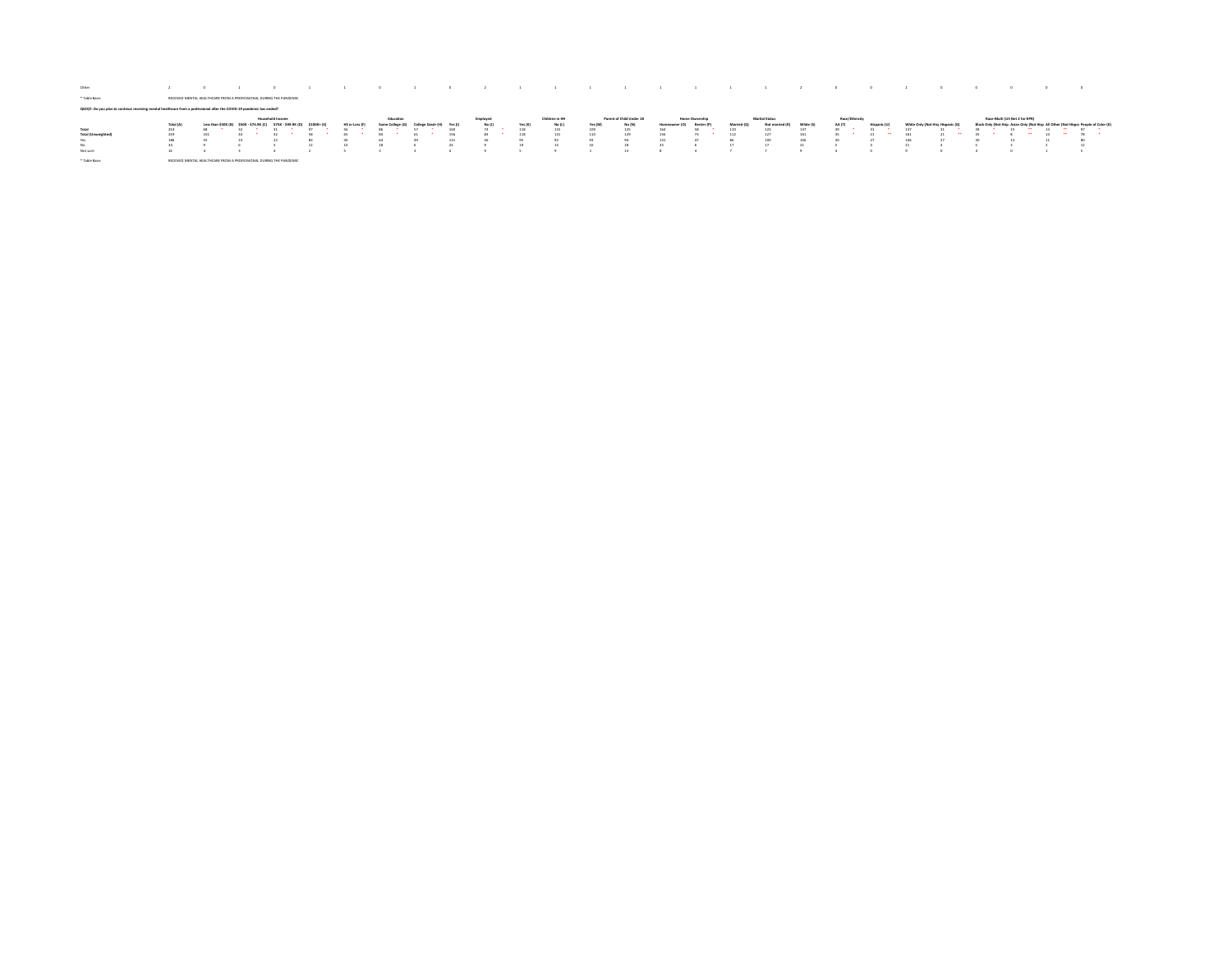| Other                                                                                                                    |                              |                     |                                                   |                         |                 |              |           |       |       |          |         |                |         |                          |        |                |          |                 |     |                |          |                                  |    |                                     |                   |                                          |
|--------------------------------------------------------------------------------------------------------------------------|------------------------------|---------------------|---------------------------------------------------|-------------------------|-----------------|--------------|-----------|-------|-------|----------|---------|----------------|---------|--------------------------|--------|----------------|----------|-----------------|-----|----------------|----------|----------------------------------|----|-------------------------------------|-------------------|------------------------------------------|
| * Table Base:                                                                                                            | <b><i>RECEIVED MENTA</i></b> |                     | HEALTHCARE FROM A PROFESSIONAL DURING THE BANDEMI |                         |                 |              |           |       |       |          |         |                |         |                          |        |                |          |                 |     |                |          |                                  |    |                                     |                   |                                          |
| to continue receiving mental healthcare from a professional after the COVID-19 pandemic has ended?<br>QS2Q7: Do you plan |                              |                     |                                                   |                         |                 |              |           |       |       |          |         |                |         |                          |        |                |          |                 |     |                |          |                                  |    |                                     |                   |                                          |
|                                                                                                                          |                              |                     |                                                   | <b>Household Income</b> |                 |              | Education |       |       | Employed |         | Children in HH |         | Parent of Child Under 18 |        | Home Ownership |          | Marital Status  |     | Race/Ethnicity |          |                                  |    | Race-Multi (US Net 2 for RPR)       |                   |                                          |
|                                                                                                                          | Total (A)                    | Less than \$50K (B) | \$50K - \$74.9K (C)                               | 5758.599                | \$100K+         | HS or Less ( |           |       | Yes 0 | No (J)   | Yes (K) | No (L)         | Yes (M) | No (N)                   |        | <b>Benter!</b> | Miarrias | Not marriad (B) |     |                |          | White Only (Not His Hisnanic (C) |    | Black Only (Not Hisp Asian Only IN- |                   | Il Other (Not Hisnar Deorde of Color (K) |
| Total                                                                                                                    | 234                          |                     |                                                   |                         | 0.91            |              |           |       | 160   |          |         |                |         |                          |        |                | 110      | 123             |     |                |          |                                  |    | $\sim$                              | $-19$<br>$\cdots$ | <b>COLLECTION</b>                        |
|                                                                                                                          |                              |                     |                                                   |                         |                 |              |           |       |       |          | 118     | 115            | 109     | 125                      | 164    |                |          |                 | 137 |                |          |                                  | 39 | 15                                  |                   |                                          |
| <b>Total (Umweighted</b>                                                                                                 | 239                          | 101                 |                                                   |                         |                 |              |           |       | 156   |          | 118     | 121            | 110     | 129                      | 156    |                | 112      | 127             | 161 |                | $\cdots$ | 161                              |    | $\cdots$                            |                   |                                          |
| Yes                                                                                                                      | 186                          |                     |                                                   | 22                      | 83              |              |           | $-40$ |       |          | 95      | $0$            |         | 0.5                      | 131    |                |          | 100             | 106 |                |          | 106                              | 3n | 13                                  |                   | 801                                      |
| No.                                                                                                                      | 34                           |                     |                                                   |                         | 12 <sup>7</sup> |              |           |       |       |          | 19      |                | 16      | 18                       | $25 -$ |                | 17       | 17              | 21  |                |          |                                  |    |                                     |                   | 12                                       |
| Not sure                                                                                                                 | 14                           |                     |                                                   |                         |                 |              |           |       |       |          |         |                |         | 13                       |        |                |          |                 |     |                |          |                                  |    |                                     |                   |                                          |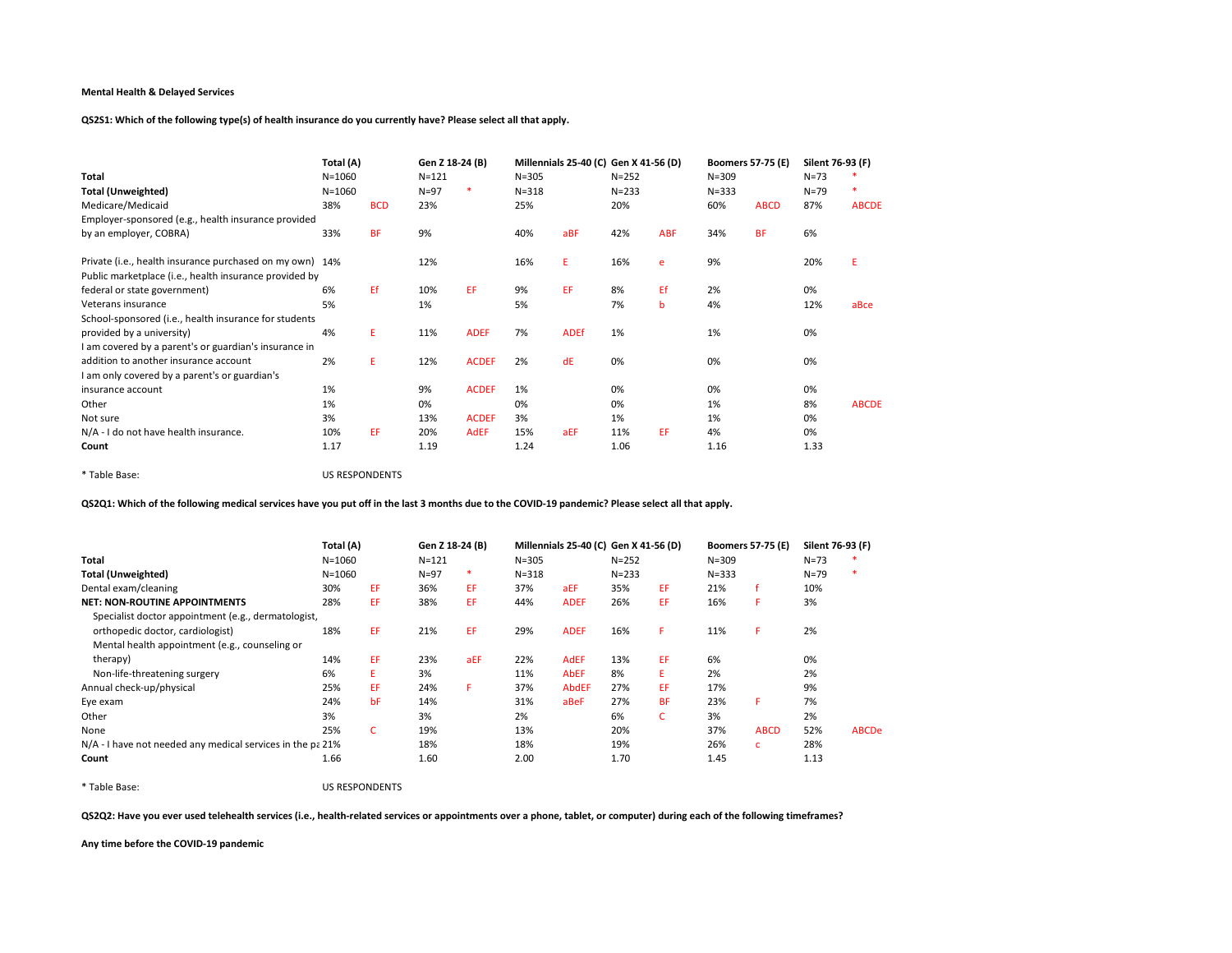QS2S1: Which of the following type(s) of health insurance do you currently have? Please select all that apply.

|                                                          | Total (A)  |            | Gen Z 18-24 (B) |              |           | Millennials 25-40 (C) Gen X 41-56 (D) |           |            | <b>Boomers 57-75 (E)</b> |             | Silent 76-93 (F) |              |
|----------------------------------------------------------|------------|------------|-----------------|--------------|-----------|---------------------------------------|-----------|------------|--------------------------|-------------|------------------|--------------|
| Total                                                    | $N = 1060$ |            | $N = 121$       |              | $N = 305$ |                                       | $N = 252$ |            | $N = 309$                |             | $N = 73$         |              |
| <b>Total (Unweighted)</b>                                | $N = 1060$ |            | $N=97$          | ∗            | $N = 318$ |                                       | $N = 233$ |            | $N = 333$                |             | $N = 79$         | $\ast$       |
| Medicare/Medicaid                                        | 38%        | <b>BCD</b> | 23%             |              | 25%       |                                       | 20%       |            | 60%                      | <b>ABCD</b> | 87%              | <b>ABCDE</b> |
| Employer-sponsored (e.g., health insurance provided      |            |            |                 |              |           |                                       |           |            |                          |             |                  |              |
| by an employer, COBRA)                                   | 33%        | <b>BF</b>  | 9%              |              | 40%       | aBF                                   | 42%       | <b>ABF</b> | 34%                      | <b>BF</b>   | 6%               |              |
| Private (i.e., health insurance purchased on my own) 14% |            |            | 12%             |              | 16%       | E.                                    | 16%       | e          | 9%                       |             | 20%              | E            |
| Public marketplace (i.e., health insurance provided by   |            |            |                 |              |           |                                       |           |            |                          |             |                  |              |
| federal or state government)                             | 6%         | Ef.        | 10%             | EF.          | 9%        | EF.                                   | 8%        | Ef         | 2%                       |             | 0%               |              |
| Veterans insurance                                       | 5%         |            | 1%              |              | 5%        |                                       | 7%        | b          | 4%                       |             | 12%              | aBce         |
| School-sponsored (i.e., health insurance for students    |            |            |                 |              |           |                                       |           |            |                          |             |                  |              |
| provided by a university)                                | 4%         | E.         | 11%             | <b>ADEF</b>  | 7%        | <b>ADEf</b>                           | 1%        |            | 1%                       |             | 0%               |              |
| I am covered by a parent's or guardian's insurance in    |            |            |                 |              |           |                                       |           |            |                          |             |                  |              |
| addition to another insurance account                    | 2%         | E.         | 12%             | <b>ACDEF</b> | 2%        | dE                                    | 0%        |            | 0%                       |             | 0%               |              |
| I am only covered by a parent's or guardian's            |            |            |                 |              |           |                                       |           |            |                          |             |                  |              |
| insurance account                                        | 1%         |            | 9%              | <b>ACDEF</b> | 1%        |                                       | 0%        |            | 0%                       |             | 0%               |              |
| Other                                                    | 1%         |            | 0%              |              | 0%        |                                       | 0%        |            | 1%                       |             | 8%               | <b>ABCDE</b> |
| Not sure                                                 | 3%         |            | 13%             | <b>ACDEF</b> | 3%        |                                       | 1%        |            | 1%                       |             | 0%               |              |
| N/A - I do not have health insurance.                    | 10%        | EF         | 20%             | <b>AdEF</b>  | 15%       | aEF                                   | 11%       | EF.        | 4%                       |             | 0%               |              |
| Count                                                    | 1.17       |            | 1.19            |              | 1.24      |                                       | 1.06      |            | 1.16                     |             | 1.33             |              |

\* Table Base: US RESPONDENTS

QS2Q1: Which of the following medical services have you put off in the last 3 months due to the COVID-19 pandemic? Please select all that apply.

|                                                            | Total (A)  |     | Gen Z 18-24 (B) |     |           | Millennials 25-40 (C) Gen X 41-56 (D) |           |           | <b>Boomers 57-75 (E)</b> |             | Silent 76-93 (F) |              |
|------------------------------------------------------------|------------|-----|-----------------|-----|-----------|---------------------------------------|-----------|-----------|--------------------------|-------------|------------------|--------------|
| Total                                                      | $N = 1060$ |     | $N = 121$       |     | $N = 305$ |                                       | $N = 252$ |           | $N = 309$                |             | $N = 73$         |              |
| <b>Total (Unweighted)</b>                                  | $N = 1060$ |     | $N=97$          | *   | $N = 318$ |                                       | $N = 233$ |           | $N = 333$                |             | $N=79$           | ٠            |
| Dental exam/cleaning                                       | 30%        | EF  | 36%             | EF. | 37%       | aEF                                   | 35%       | EF.       | 21%                      |             | 10%              |              |
| <b>NET: NON-ROUTINE APPOINTMENTS</b>                       | 28%        | EF  | 38%             | EF. | 44%       | <b>ADEF</b>                           | 26%       | EF        | 16%                      |             | 3%               |              |
| Specialist doctor appointment (e.g., dermatologist,        |            |     |                 |     |           |                                       |           |           |                          |             |                  |              |
| orthopedic doctor, cardiologist)                           | 18%        | EF  | 21%             | EF  | 29%       | <b>ADEF</b>                           | 16%       | F.        | 11%                      | F.          | 2%               |              |
| Mental health appointment (e.g., counseling or             |            |     |                 |     |           |                                       |           |           |                          |             |                  |              |
| therapy)                                                   | 14%        | EF  | 23%             | aEF | 22%       | <b>AdEF</b>                           | 13%       | EF        | 6%                       |             | 0%               |              |
| Non-life-threatening surgery                               | 6%         | E.  | 3%              |     | 11%       | <b>AbEF</b>                           | 8%        | E.        | 2%                       |             | 2%               |              |
| Annual check-up/physical                                   | 25%        | EF. | 24%             | F   | 37%       | <b>AbdEF</b>                          | 27%       | EF        | 17%                      |             | 9%               |              |
| Eye exam                                                   | 24%        | bF  | 14%             |     | 31%       | aBeF                                  | 27%       | <b>BF</b> | 23%                      | F.          | 7%               |              |
| Other                                                      | 3%         |     | 3%              |     | 2%        |                                       | 6%        | Ċ.        | 3%                       |             | 2%               |              |
| None                                                       | 25%        | C.  | 19%             |     | 13%       |                                       | 20%       |           | 37%                      | <b>ABCD</b> | 52%              | <b>ABCDe</b> |
| N/A - I have not needed any medical services in the pa 21% |            |     | 18%             |     | 18%       |                                       | 19%       |           | 26%                      | c           | 28%              |              |
| Count                                                      | 1.66       |     | 1.60            |     | 2.00      |                                       | 1.70      |           | 1.45                     |             | 1.13             |              |

\* Table Base: US RESPONDENTS

QS2Q2: Have you ever used telehealth services (i.e., health-related services or appointments over a phone, tablet, or computer) during each of the following timeframes?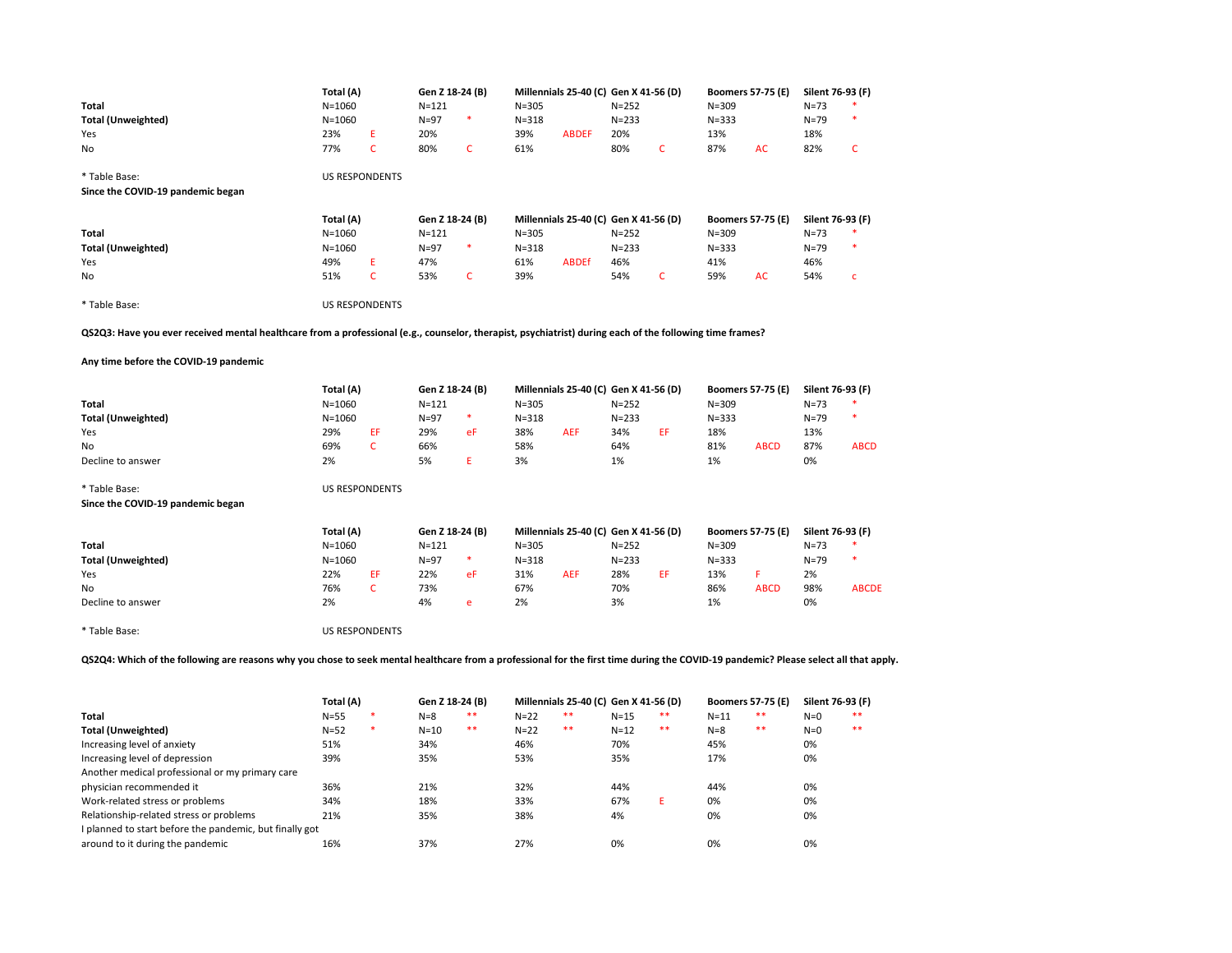| Total<br><b>Total (Unweighted)</b><br>Yes<br>No                                                                                                          | Total (A)<br>$N = 1060$<br>$N = 1060$<br>23%<br>77% | Ε<br>$\mathsf{C}$     | Gen Z 18-24 (B)<br>$N = 121$<br>$N=97$<br>20%<br>80% | $\ast$<br>$\mathsf{C}$ | $N = 305$<br>$N = 318$<br>39%<br>61% | Millennials 25-40 (C) Gen X 41-56 (D)<br><b>ABDEF</b> | $N = 252$<br>$N = 233$<br>20%<br>80% | $\mathsf{C}$ | $N = 309$<br>$N = 333$<br>13%<br>87% | <b>Boomers 57-75 (E)</b><br>AC | Silent 76-93 (F)<br>$N = 73$<br>$N = 79$<br>18%<br>82% | $\ast$<br>$\mathsf{C}$ |
|----------------------------------------------------------------------------------------------------------------------------------------------------------|-----------------------------------------------------|-----------------------|------------------------------------------------------|------------------------|--------------------------------------|-------------------------------------------------------|--------------------------------------|--------------|--------------------------------------|--------------------------------|--------------------------------------------------------|------------------------|
| * Table Base:<br>Since the COVID-19 pandemic began                                                                                                       |                                                     | <b>US RESPONDENTS</b> |                                                      |                        |                                      |                                                       |                                      |              |                                      |                                |                                                        |                        |
|                                                                                                                                                          | Total (A)                                           |                       | Gen Z 18-24 (B)                                      |                        |                                      | Millennials 25-40 (C) Gen X 41-56 (D)                 |                                      |              |                                      | <b>Boomers 57-75 (E)</b>       | Silent 76-93 (F)                                       |                        |
| Total                                                                                                                                                    | $N = 1060$                                          |                       | $N = 121$                                            |                        | $N = 305$                            |                                                       | $N = 252$                            |              | $N = 309$                            |                                | $N=73$                                                 |                        |
| <b>Total (Unweighted)</b>                                                                                                                                | $N = 1060$                                          |                       | $N=97$                                               | $\ast$                 | $N = 318$                            |                                                       | $N = 233$                            |              | $N = 333$                            |                                | $N = 79$                                               | $\ast$                 |
| Yes                                                                                                                                                      | 49%                                                 | Ε                     | 47%                                                  |                        | 61%                                  | <b>ABDEf</b>                                          | 46%                                  |              | 41%                                  |                                | 46%                                                    |                        |
| No                                                                                                                                                       | 51%                                                 | $\mathsf{C}$          | 53%                                                  | C                      | 39%                                  |                                                       | 54%                                  | C            | 59%                                  | AC                             | 54%                                                    | c                      |
| * Table Base:                                                                                                                                            |                                                     | <b>US RESPONDENTS</b> |                                                      |                        |                                      |                                                       |                                      |              |                                      |                                |                                                        |                        |
| QS2Q3: Have you ever received mental healthcare from a professional (e.g., counselor, therapist, psychiatrist) during each of the following time frames? |                                                     |                       |                                                      |                        |                                      |                                                       |                                      |              |                                      |                                |                                                        |                        |
| Any time before the COVID-19 pandemic                                                                                                                    |                                                     |                       |                                                      |                        |                                      |                                                       |                                      |              |                                      |                                |                                                        |                        |
|                                                                                                                                                          | Total (A)                                           |                       | Gen Z 18-24 (B)                                      |                        |                                      | Millennials 25-40 (C) Gen X 41-56 (D)                 |                                      |              |                                      | <b>Boomers 57-75 (E)</b>       | Silent 76-93 (F)                                       |                        |
| Total                                                                                                                                                    | $N = 1060$                                          |                       | $N = 121$                                            |                        | $N = 305$                            |                                                       | $N = 252$                            |              | $N = 309$                            |                                | $N = 73$                                               |                        |
| <b>Total (Unweighted)</b>                                                                                                                                | $N = 1060$                                          |                       | $N=97$                                               | $\ast$                 | $N = 318$                            |                                                       | $N = 233$                            |              | $N = 333$                            |                                | $N = 79$                                               | $\ast$                 |
| Yes                                                                                                                                                      | 29%                                                 | EF                    | 29%                                                  | eF                     | 38%                                  | <b>AEF</b>                                            | 34%                                  | EF           | 18%                                  |                                | 13%                                                    |                        |
| No                                                                                                                                                       | 69%                                                 | C                     | 66%                                                  |                        | 58%                                  |                                                       | 64%                                  |              | 81%                                  | <b>ABCD</b>                    | 87%                                                    | <b>ABCD</b>            |
| Decline to answer                                                                                                                                        | 2%                                                  |                       | 5%                                                   | Ε                      | 3%                                   |                                                       | 1%                                   |              | 1%                                   |                                | 0%                                                     |                        |
| * Table Base:                                                                                                                                            |                                                     | <b>US RESPONDENTS</b> |                                                      |                        |                                      |                                                       |                                      |              |                                      |                                |                                                        |                        |
|                                                                                                                                                          |                                                     |                       |                                                      |                        |                                      |                                                       |                                      |              |                                      |                                |                                                        |                        |
| Since the COVID-19 pandemic began                                                                                                                        |                                                     |                       |                                                      |                        |                                      |                                                       |                                      |              |                                      |                                |                                                        |                        |
|                                                                                                                                                          | Total (A)                                           |                       | Gen Z 18-24 (B)                                      |                        |                                      | Millennials 25-40 (C) Gen X 41-56 (D)                 |                                      |              |                                      | <b>Boomers 57-75 (E)</b>       | Silent 76-93 (F)                                       |                        |
| Total                                                                                                                                                    | $N = 1060$                                          |                       | $N = 121$                                            |                        | $N = 305$                            |                                                       | $N = 252$                            |              | $N = 309$                            |                                | $N=73$                                                 |                        |
| <b>Total (Unweighted)</b>                                                                                                                                | $N = 1060$                                          |                       | $N=97$                                               | $\ast$                 | $N = 318$                            |                                                       | $N = 233$                            |              | $N = 333$                            |                                | $N = 79$                                               | $\ast$                 |
| Yes                                                                                                                                                      | 22%                                                 | EF                    | 22%                                                  | eF                     | 31%                                  | <b>AEF</b>                                            | 28%                                  | EF           | 13%                                  | F.                             | 2%                                                     |                        |
| No                                                                                                                                                       | 76%                                                 | C                     | 73%                                                  |                        | 67%                                  |                                                       | 70%                                  |              | 86%                                  | <b>ABCD</b>                    | 98%                                                    | <b>ABCDE</b>           |
| Decline to answer                                                                                                                                        | 2%                                                  |                       | 4%                                                   | e                      | 2%                                   |                                                       | 3%                                   |              | 1%                                   |                                | 0%                                                     |                        |
| * Table Base:                                                                                                                                            |                                                     | <b>US RESPONDENTS</b> |                                                      |                        |                                      |                                                       |                                      |              |                                      |                                |                                                        |                        |

|                                                         | Total (A) |        | Gen Z 18-24 (B) |      |        | Millennials 25-40 (C) Gen X 41-56 (D) |          |    | <b>Boomers 57-75 (E)</b> |    | Silent 76-93 (F) |    |
|---------------------------------------------------------|-----------|--------|-----------------|------|--------|---------------------------------------|----------|----|--------------------------|----|------------------|----|
| Total                                                   | $N=55$    | ∗      | $N = 8$         | **   | $N=22$ | $* *$                                 | $N=15$   | ** | $N=11$                   | ** | $N=0$            | ** |
| <b>Total (Unweighted)</b>                               | $N = 52$  | $\ast$ | $N = 10$        | $**$ | $N=22$ | $**$                                  | $N = 12$ | ** | $N = 8$                  | ** | $N=0$            | ** |
| Increasing level of anxiety                             | 51%       |        | 34%             |      | 46%    |                                       | 70%      |    | 45%                      |    | 0%               |    |
| Increasing level of depression                          | 39%       |        | 35%             |      | 53%    |                                       | 35%      |    | 17%                      |    | 0%               |    |
| Another medical professional or my primary care         |           |        |                 |      |        |                                       |          |    |                          |    |                  |    |
| physician recommended it                                | 36%       |        | 21%             |      | 32%    |                                       | 44%      |    | 44%                      |    | 0%               |    |
| Work-related stress or problems                         | 34%       |        | 18%             |      | 33%    |                                       | 67%      |    | 0%                       |    | 0%               |    |
| Relationship-related stress or problems                 | 21%       |        | 35%             |      | 38%    |                                       | 4%       |    | 0%                       |    | 0%               |    |
| I planned to start before the pandemic, but finally got |           |        |                 |      |        |                                       |          |    |                          |    |                  |    |
| around to it during the pandemic                        | 16%       |        | 37%             |      | 27%    |                                       | 0%       |    | 0%                       |    | 0%               |    |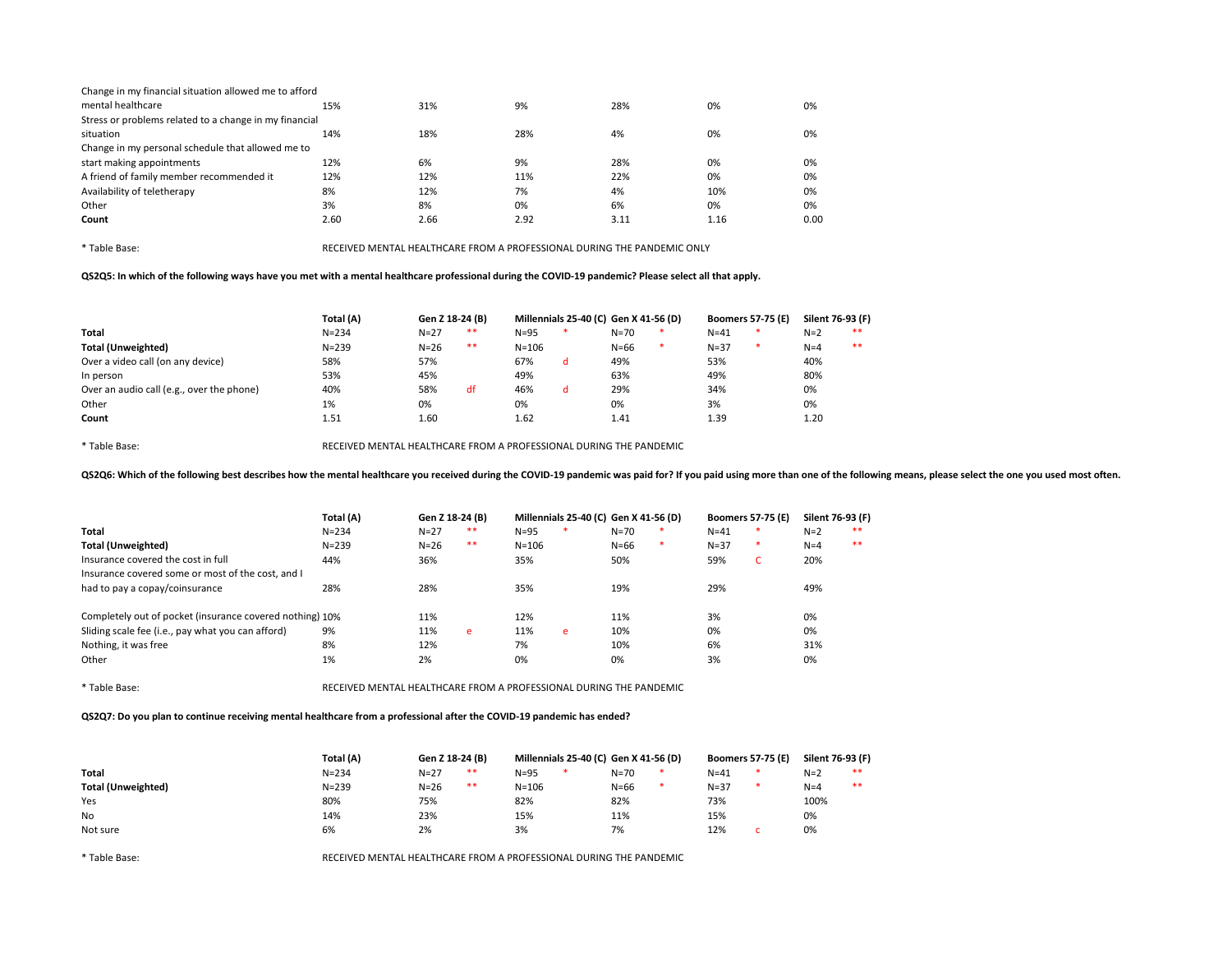| Change in my financial situation allowed me to afford  |      |      |      |      |      |      |
|--------------------------------------------------------|------|------|------|------|------|------|
| mental healthcare                                      | 15%  | 31%  | 9%   | 28%  | 0%   | 0%   |
| Stress or problems related to a change in my financial |      |      |      |      |      |      |
| situation                                              | 14%  | 18%  | 28%  | 4%   | 0%   | 0%   |
| Change in my personal schedule that allowed me to      |      |      |      |      |      |      |
| start making appointments                              | 12%  | 6%   | 9%   | 28%  | 0%   | 0%   |
| A friend of family member recommended it               | 12%  | 12%  | 11%  | 22%  | 0%   | 0%   |
| Availability of teletherapy                            | 8%   | 12%  | 7%   | 4%   | 10%  | 0%   |
| Other                                                  | 3%   | 8%   | 0%   | 6%   | 0%   | 0%   |
| Count                                                  | 2.60 | 2.66 | 2.92 | 3.11 | 1.16 | 0.00 |

QS2Q5: In which of the following ways have you met with a mental healthcare professional during the COVID-19 pandemic? Please select all that apply.

|                                           | Total (A) | Gen Z 18-24 (B) |    | Millennials 25-40 (C) Gen X 41-56 (D) |   |          |   | <b>Boomers 57-75 (E)</b> |   | Silent 76-93 (F) |    |
|-------------------------------------------|-----------|-----------------|----|---------------------------------------|---|----------|---|--------------------------|---|------------------|----|
| Total                                     | $N = 234$ | $N=27$          | ** | $N = 95$                              |   | $N = 70$ |   | $N = 41$                 | * | $N=2$            | ** |
| <b>Total (Unweighted)</b>                 | $N = 239$ | $N=26$          | ** | $N = 106$                             |   | $N = 66$ | × | $N = 37$                 | * | $N=4$            | ** |
| Over a video call (on any device)         | 58%       | 57%             |    | 67%                                   | d | 49%      |   | 53%                      |   | 40%              |    |
| In person                                 | 53%       | 45%             |    | 49%                                   |   | 63%      |   | 49%                      |   | 80%              |    |
| Over an audio call (e.g., over the phone) | 40%       | 58%             | df | 46%                                   | d | 29%      |   | 34%                      |   | 0%               |    |
| Other                                     | 1%        | 0%              |    | 0%                                    |   | 0%       |   | 3%                       |   | 0%               |    |
| Count                                     | 1.51      | 1.60            |    | 1.62                                  |   | 1.41     |   | 1.39                     |   | 1.20             |    |

\* Table Base: RECEIVED MENTAL HEALTHCARE FROM A PROFESSIONAL DURING THE PANDEMIC

QS2Q6: Which of the following best describes how the mental healthcare you received during the COVID-19 pandemic was paid for? If you paid using more than one of the following means, please select the one you used most oft

|                                                          | Total (A) | Gen Z 18-24 (B) |      | Millennials 25-40 (C) Gen X 41-56 (D) |        |          |   | <b>Boomers 57-75 (E)</b> |    | Silent 76-93 (F) |       |
|----------------------------------------------------------|-----------|-----------------|------|---------------------------------------|--------|----------|---|--------------------------|----|------------------|-------|
| Total                                                    | $N = 234$ | $N = 27$        | $**$ | $N=95$                                | $\ast$ | $N = 70$ |   | $N = 41$                 | *  | $N=2$            | $**$  |
| <b>Total (Unweighted)</b>                                | $N = 239$ | $N=26$          | **   | $N = 106$                             |        | $N = 66$ | ∗ | $N=37$                   | *  | $N=4$            | $***$ |
| Insurance covered the cost in full                       | 44%       | 36%             |      | 35%                                   |        | 50%      |   | 59%                      | C. | 20%              |       |
| Insurance covered some or most of the cost, and I        |           |                 |      |                                       |        |          |   |                          |    |                  |       |
| had to pay a copay/coinsurance                           | 28%       | 28%             |      | 35%                                   |        | 19%      |   | 29%                      |    | 49%              |       |
| Completely out of pocket (insurance covered nothing) 10% |           | 11%             |      | 12%                                   |        | 11%      |   | 3%                       |    | 0%               |       |
| Sliding scale fee (i.e., pay what you can afford)        | 9%        | 11%             | e    | 11%                                   | e      | 10%      |   | 0%                       |    | 0%               |       |
| Nothing, it was free                                     | 8%        | 12%             |      | 7%                                    |        | 10%      |   | 6%                       |    | 31%              |       |
| Other                                                    | 1%        | 2%              |      | 0%                                    |        | 0%       |   | 3%                       |    | 0%               |       |

\* Table Base: RECEIVED MENTAL HEALTHCARE FROM A PROFESSIONAL DURING THE PANDEMIC

QS2Q7: Do you plan to continue receiving mental healthcare from a professional after the COVID-19 pandemic has ended?

|                           | Total (A) | Gen Z 18-24 (B) |       | Millennials 25-40 (C) Gen X 41-56 (D) |  |          |  | <b>Boomers 57-75 (E)</b> | Silent 76-93 (F) |    |
|---------------------------|-----------|-----------------|-------|---------------------------------------|--|----------|--|--------------------------|------------------|----|
| Total                     | $N = 234$ | $N=27$          | $***$ | $N = 95$                              |  | $N = 70$ |  | $N = 41$                 | $N=2$            | ** |
| <b>Total (Unweighted)</b> | $N = 239$ | $N=26$          | $***$ | $N = 106$                             |  | $N = 66$ |  | $N = 37$                 | $N=4$            | ** |
| Yes                       | 80%       | 75%             |       | 82%                                   |  | 82%      |  | 73%                      | 100%             |    |
| No                        | 14%       | 23%             |       | 15%                                   |  | 11%      |  | 15%                      | 0%               |    |
| Not sure                  | 6%        | 2%              |       | 3%                                    |  | 7%       |  | 12%                      | 0%               |    |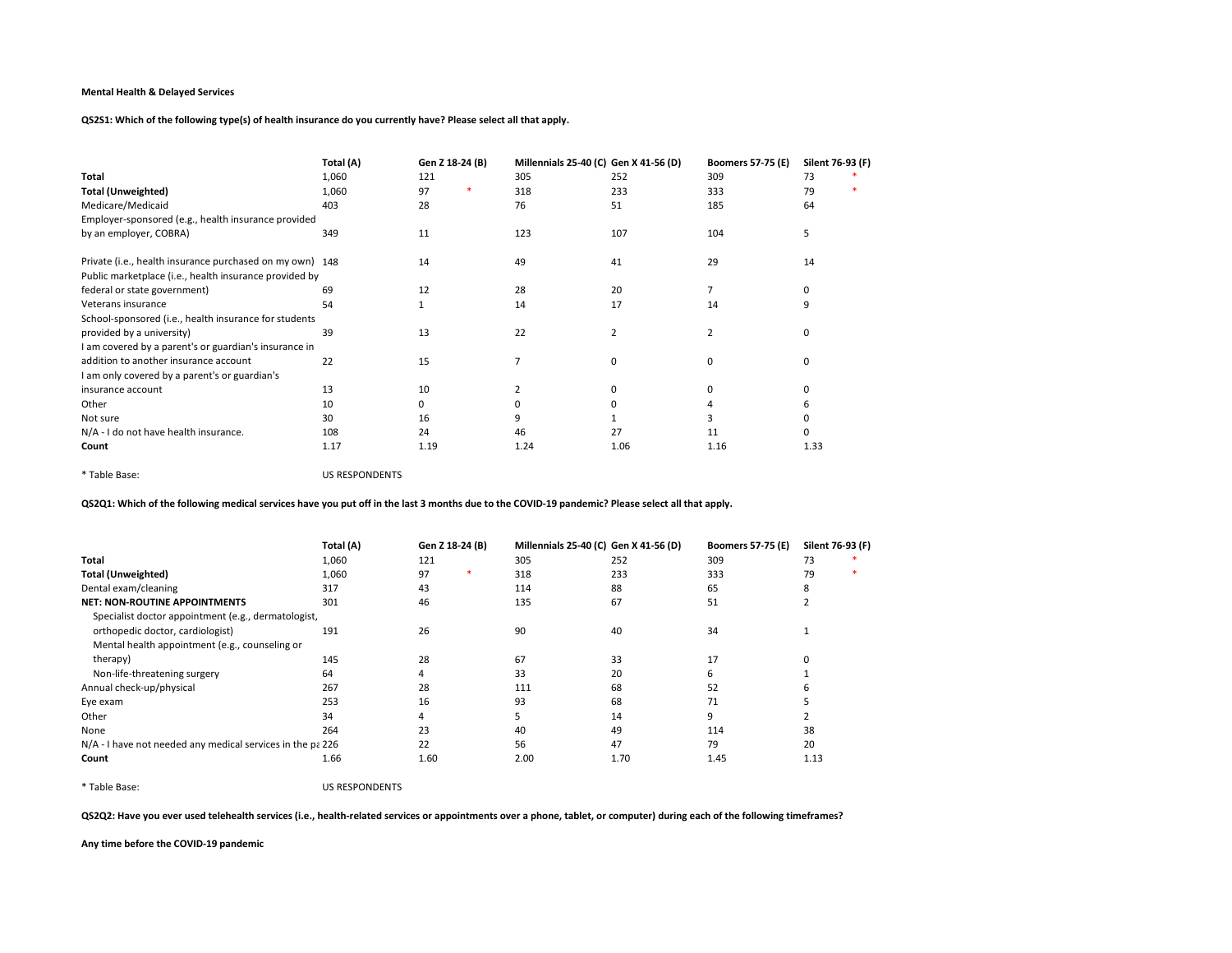QS2S1: Which of the following type(s) of health insurance do you currently have? Please select all that apply.

|                                                          | Total (A) | Gen Z 18-24 (B) |  | Millennials 25-40 (C) Gen X 41-56 (D) |      | <b>Boomers 57-75 (E)</b> | Silent 76-93 (F) |  |
|----------------------------------------------------------|-----------|-----------------|--|---------------------------------------|------|--------------------------|------------------|--|
| Total                                                    | 1,060     | 121             |  | 305                                   | 252  | 309                      | 73               |  |
| <b>Total (Unweighted)</b>                                | 1,060     | 97              |  | 318                                   | 233  | 333                      | 79               |  |
| Medicare/Medicaid                                        | 403       | 28              |  | 76                                    | 51   | 185                      | 64               |  |
| Employer-sponsored (e.g., health insurance provided      |           |                 |  |                                       |      |                          |                  |  |
| by an employer, COBRA)                                   | 349       | 11              |  | 123                                   | 107  | 104                      | 5                |  |
| Private (i.e., health insurance purchased on my own) 148 |           | 14              |  | 49                                    | 41   | 29                       | 14               |  |
| Public marketplace (i.e., health insurance provided by   |           |                 |  |                                       |      |                          |                  |  |
| federal or state government)                             | 69        | 12              |  | 28                                    | 20   |                          | 0                |  |
| Veterans insurance                                       | 54        | 1               |  | 14                                    | 17   | 14                       | 9                |  |
| School-sponsored (i.e., health insurance for students    |           |                 |  |                                       |      |                          |                  |  |
| provided by a university)                                | 39        | 13              |  | 22                                    | 2    | 2                        | 0                |  |
| I am covered by a parent's or guardian's insurance in    |           |                 |  |                                       |      |                          |                  |  |
| addition to another insurance account                    | 22        | 15              |  | $\overline{7}$                        | 0    | $\Omega$                 | 0                |  |
| I am only covered by a parent's or guardian's            |           |                 |  |                                       |      |                          |                  |  |
| insurance account                                        | 13        | 10              |  |                                       | 0    | ŋ                        | 0                |  |
| Other                                                    | 10        | 0               |  |                                       | 0    |                          | 6                |  |
| Not sure                                                 | 30        | 16              |  |                                       |      |                          | 0                |  |
| N/A - I do not have health insurance.                    | 108       | 24              |  | 46                                    | 27   | 11                       | 0                |  |
| Count                                                    | 1.17      | 1.19            |  | 1.24                                  | 1.06 | 1.16                     | 1.33             |  |

\* Table Base: US RESPONDENTS

QS2Q1: Which of the following medical services have you put off in the last 3 months due to the COVID-19 pandemic? Please select all that apply.

|                                                            | Total (A) | Gen Z 18-24 (B) | Millennials 25-40 (C) Gen X 41-56 (D) |      | <b>Boomers 57-75 (E)</b> | Silent 76-93 (F) |
|------------------------------------------------------------|-----------|-----------------|---------------------------------------|------|--------------------------|------------------|
| Total                                                      | 1,060     | 121             | 305                                   | 252  | 309                      | 73               |
| <b>Total (Unweighted)</b>                                  | 1,060     | 97<br>∗         | 318                                   | 233  | 333                      | 79               |
| Dental exam/cleaning                                       | 317       | 43              | 114                                   | 88   | 65                       | 8                |
| <b>NET: NON-ROUTINE APPOINTMENTS</b>                       | 301       | 46              | 135                                   | 67   | 51                       |                  |
| Specialist doctor appointment (e.g., dermatologist,        |           |                 |                                       |      |                          |                  |
| orthopedic doctor, cardiologist)                           | 191       | 26              | 90                                    | 40   | 34                       |                  |
| Mental health appointment (e.g., counseling or             |           |                 |                                       |      |                          |                  |
| therapy)                                                   | 145       | 28              | 67                                    | 33   | 17                       |                  |
| Non-life-threatening surgery                               | 64        | 4               | 33                                    | 20   | 6                        |                  |
| Annual check-up/physical                                   | 267       | 28              | 111                                   | 68   | 52                       | h                |
| Eye exam                                                   | 253       | 16              | 93                                    | 68   | 71                       |                  |
| Other                                                      | 34        | 4               |                                       | 14   | 9                        |                  |
| None                                                       | 264       | 23              | 40                                    | 49   | 114                      | 38               |
| N/A - I have not needed any medical services in the pa 226 |           | 22              | 56                                    | 47   | 79                       | 20               |
| Count                                                      | 1.66      | 1.60            | 2.00                                  | 1.70 | 1.45                     | 1.13             |

\* Table Base: US RESPONDENTS

QS2Q2: Have you ever used telehealth services (i.e., health-related services or appointments over a phone, tablet, or computer) during each of the following timeframes?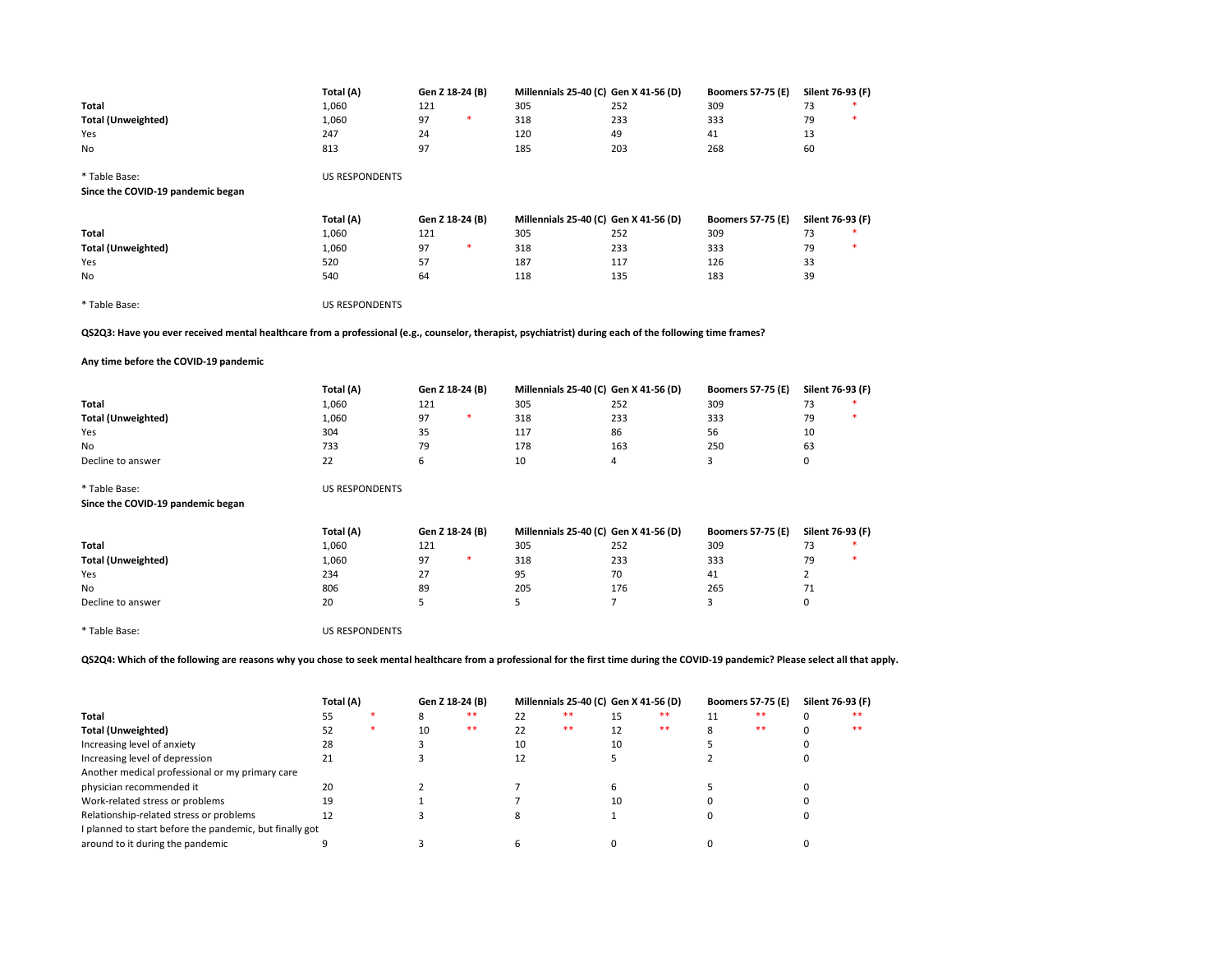|                                                                                                                                                                                      | Total (A)             | Gen Z 18-24 (B) |        | Millennials 25-40 (C) Gen X 41-56 (D) |                | <b>Boomers 57-75 (E)</b> | Silent 76-93 (F) |    |
|--------------------------------------------------------------------------------------------------------------------------------------------------------------------------------------|-----------------------|-----------------|--------|---------------------------------------|----------------|--------------------------|------------------|----|
|                                                                                                                                                                                      | 1,060                 |                 |        | 305                                   | 252            | 309                      | 73               |    |
| Total                                                                                                                                                                                |                       | 121             | $\ast$ |                                       |                |                          | 79               |    |
| <b>Total (Unweighted)</b>                                                                                                                                                            | 1,060                 | 97              |        | 318                                   | 233            | 333                      |                  |    |
| Yes                                                                                                                                                                                  | 247                   | 24              |        | 120                                   | 49             | 41                       | 13               |    |
| No                                                                                                                                                                                   | 813                   | 97              |        | 185                                   | 203            | 268                      | 60               |    |
| * Table Base:                                                                                                                                                                        | <b>US RESPONDENTS</b> |                 |        |                                       |                |                          |                  |    |
| Since the COVID-19 pandemic began                                                                                                                                                    |                       |                 |        |                                       |                |                          |                  |    |
|                                                                                                                                                                                      | Total (A)             | Gen Z 18-24 (B) |        | Millennials 25-40 (C) Gen X 41-56 (D) |                | <b>Boomers 57-75 (E)</b> | Silent 76-93 (F) |    |
| Total                                                                                                                                                                                | 1,060                 | 121             |        | 305                                   | 252            | 309                      | 73               |    |
| <b>Total (Unweighted)</b>                                                                                                                                                            | 1,060                 | 97              | $\ast$ | 318                                   | 233            | 333                      | 79               | ٠  |
|                                                                                                                                                                                      | 520                   | 57              |        | 187                                   | 117            | 126                      | 33               |    |
| Yes                                                                                                                                                                                  |                       |                 |        |                                       |                |                          |                  |    |
| No                                                                                                                                                                                   | 540                   | 64              |        | 118                                   | 135            | 183                      | 39               |    |
| * Table Base:                                                                                                                                                                        | <b>US RESPONDENTS</b> |                 |        |                                       |                |                          |                  |    |
| QS2Q3: Have you ever received mental healthcare from a professional (e.g., counselor, therapist, psychiatrist) during each of the following time frames?                             |                       |                 |        |                                       |                |                          |                  |    |
| Any time before the COVID-19 pandemic                                                                                                                                                |                       |                 |        |                                       |                |                          |                  |    |
|                                                                                                                                                                                      | Total (A)             | Gen Z 18-24 (B) |        | Millennials 25-40 (C) Gen X 41-56 (D) |                | <b>Boomers 57-75 (E)</b> | Silent 76-93 (F) |    |
| Total                                                                                                                                                                                | 1,060                 | 121             |        | 305                                   | 252            | 309                      | 73               |    |
| <b>Total (Unweighted)</b>                                                                                                                                                            | 1,060                 | 97              | $\ast$ | 318                                   | 233            | 333                      | 79               |    |
| Yes                                                                                                                                                                                  | 304                   | 35              |        | 117                                   | 86             | 56                       | 10               |    |
| No                                                                                                                                                                                   | 733                   | 79              |        | 178                                   | 163            | 250                      | 63               |    |
| Decline to answer                                                                                                                                                                    | 22                    | 6               |        | 10                                    | 4              | 3                        | 0                |    |
| * Table Base:                                                                                                                                                                        | <b>US RESPONDENTS</b> |                 |        |                                       |                |                          |                  |    |
| Since the COVID-19 pandemic began                                                                                                                                                    |                       |                 |        |                                       |                |                          |                  |    |
|                                                                                                                                                                                      | Total (A)             | Gen Z 18-24 (B) |        | Millennials 25-40 (C) Gen X 41-56 (D) |                | <b>Boomers 57-75 (E)</b> | Silent 76-93 (F) |    |
| Total                                                                                                                                                                                | 1,060                 | 121             |        | 305                                   | 252            | 309                      | 73               |    |
| <b>Total (Unweighted)</b>                                                                                                                                                            | 1,060                 | 97              | $\ast$ | 318                                   | 233            | 333                      | 79               |    |
| Yes                                                                                                                                                                                  | 234                   | 27              |        | 95                                    | 70             | 41                       | $\overline{2}$   |    |
| No.                                                                                                                                                                                  | 806                   | 89              |        | 205                                   | 176            | 265                      | 71               |    |
| Decline to answer                                                                                                                                                                    | 20                    | 5               |        | 5                                     | $\overline{7}$ | 3                        | 0                |    |
|                                                                                                                                                                                      |                       |                 |        |                                       |                |                          |                  |    |
| * Table Base:                                                                                                                                                                        | <b>US RESPONDENTS</b> |                 |        |                                       |                |                          |                  |    |
| QS2Q4: Which of the following are reasons why you chose to seek mental healthcare from a professional for the first time during the COVID-19 pandemic? Please select all that apply. |                       |                 |        |                                       |                |                          |                  |    |
|                                                                                                                                                                                      | Total (A)             | Gen Z 18-24 (B) |        | Millennials 25-40 (C) Gen X 41-56 (D) |                | <b>Boomers 57-75 (E)</b> | Silent 76-93 (F) |    |
| Total                                                                                                                                                                                | 55                    | 8               | $***$  | $***$<br>22                           | $***$<br>15    | $***$<br>11              | 0                | ** |

| Total                                                   |    |    | $**$ |    | ** | $**$ |       | $***$ |
|---------------------------------------------------------|----|----|------|----|----|------|-------|-------|
| Total (Unweighted)                                      |    | 10 | $**$ |    | ** | **   | $***$ | $***$ |
| Increasing level of anxiety                             | 28 |    |      | 10 |    |      |       |       |
| Increasing level of depression                          |    |    |      |    |    |      |       |       |
| Another medical professional or my primary care         |    |    |      |    |    |      |       |       |
| physician recommended it                                | 20 |    |      |    |    |      |       |       |
| Work-related stress or problems                         | 19 |    |      |    |    |      |       |       |
| Relationship-related stress or problems                 |    |    |      |    |    |      |       |       |
| I planned to start before the pandemic, but finally got |    |    |      |    |    |      |       |       |
| around to it during the pandemic                        |    |    |      |    |    |      |       |       |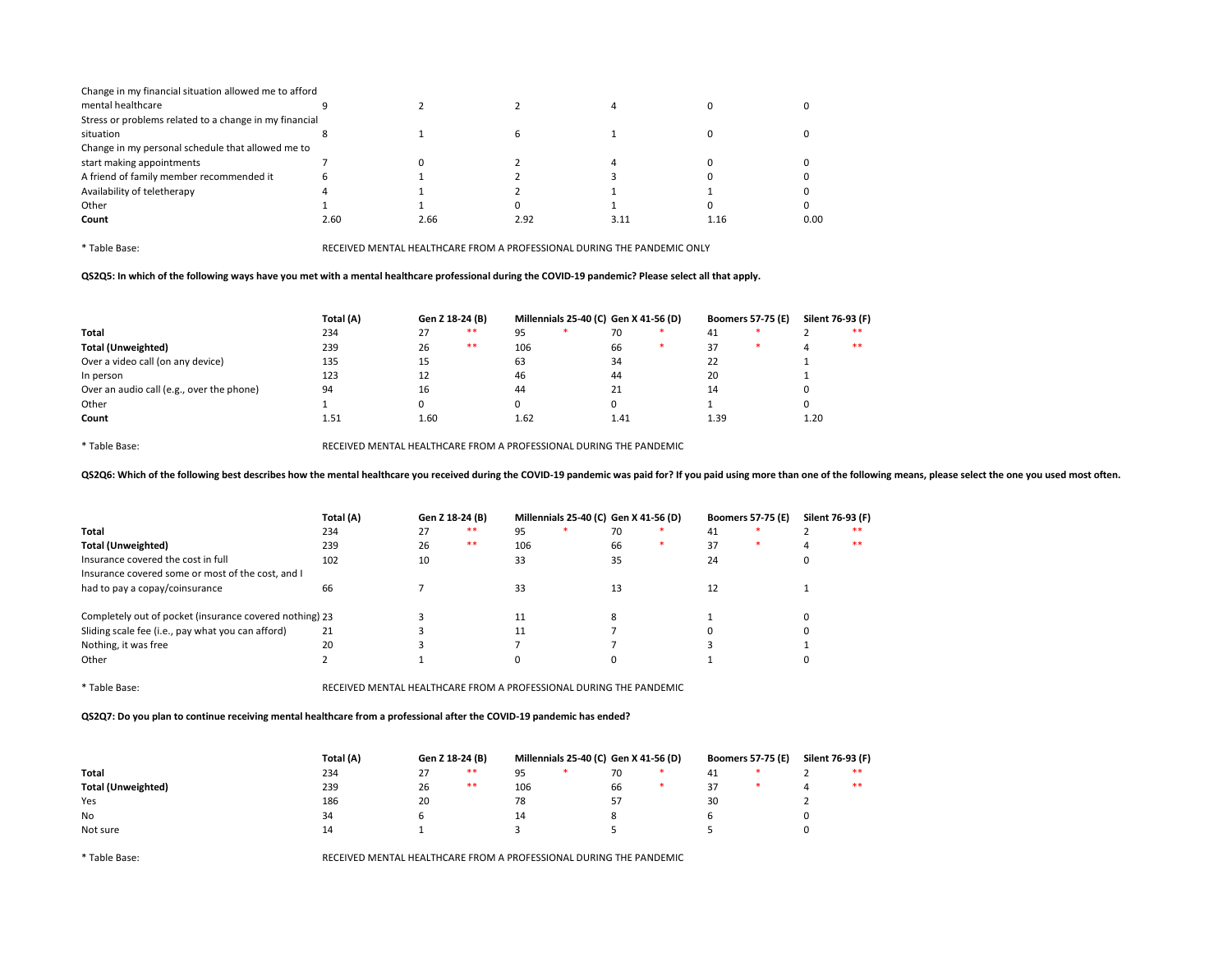| Change in my financial situation allowed me to afford  |      |      |      |      |      |      |
|--------------------------------------------------------|------|------|------|------|------|------|
| mental healthcare                                      |      |      |      |      |      |      |
| Stress or problems related to a change in my financial |      |      |      |      |      |      |
| situation                                              |      |      |      |      |      |      |
| Change in my personal schedule that allowed me to      |      |      |      |      |      |      |
| start making appointments                              |      |      |      |      |      |      |
| A friend of family member recommended it               |      |      |      |      |      |      |
| Availability of teletherapy                            |      |      |      |      |      |      |
| Other                                                  |      |      |      |      |      |      |
| Count                                                  | 2.60 | 2.66 | 2.92 | 3.11 | 1.16 | 0.00 |

QS2Q5: In which of the following ways have you met with a mental healthcare professional during the COVID-19 pandemic? Please select all that apply.

|                                           | Total (A)<br>Gen Z 18-24 (B) |      |      | Millennials 25-40 (C) Gen X 41-56 (D) |  |      |  | <b>Boomers 57-75 (E)</b> | Silent 76-93 (F) |      |       |
|-------------------------------------------|------------------------------|------|------|---------------------------------------|--|------|--|--------------------------|------------------|------|-------|
| Total                                     | 234                          | 27   | **   | 95                                    |  | 70   |  | 41                       |                  |      | **    |
| <b>Total (Unweighted)</b>                 | 239                          | 26   | $**$ | 106                                   |  | 66   |  | 37                       |                  | 4    | $***$ |
| Over a video call (on any device)         | 135                          | 15   |      | 63                                    |  | 34   |  | 22                       |                  |      |       |
| In person                                 | 123                          | 12   |      | 46                                    |  | 44   |  | 20                       |                  |      |       |
| Over an audio call (e.g., over the phone) | 94                           | 16   |      | 44                                    |  | 21   |  | 14                       |                  | U    |       |
| Other                                     |                              | 0    |      |                                       |  | O    |  |                          |                  | 0    |       |
| Count                                     | 1.51                         | 1.60 |      | 1.62                                  |  | 1.41 |  | 1.39                     |                  | 1.20 |       |

\* Table Base: RECEIVED MENTAL HEALTHCARE FROM A PROFESSIONAL DURING THE PANDEMIC

QS2Q6: Which of the following best describes how the mental healthcare you received during the COVID-19 pandemic was paid for? If you paid using more than one of the following means, please select the one you used most oft

|                                                         | Total (A) | Gen Z 18-24 (B) |       | Millennials 25-40 (C) Gen X 41-56 (D) |  |    |        | <b>Boomers 57-75 (E)</b> | Silent 76-93 (F) |   |       |
|---------------------------------------------------------|-----------|-----------------|-------|---------------------------------------|--|----|--------|--------------------------|------------------|---|-------|
| Total                                                   | 234       | 27              | $***$ | 95                                    |  | 70 |        | 41                       |                  |   | $**$  |
| <b>Total (Unweighted)</b>                               | 239       | 26              | $**$  | 106                                   |  | 66 | $\ast$ | 37                       |                  | 4 | $***$ |
| Insurance covered the cost in full                      | 102       | 10              |       | 33                                    |  | 35 |        | 24                       |                  |   |       |
| Insurance covered some or most of the cost, and I       |           |                 |       |                                       |  |    |        |                          |                  |   |       |
| had to pay a copay/coinsurance                          | 66        |                 |       | 33                                    |  | 13 |        | 12                       |                  |   |       |
| Completely out of pocket (insurance covered nothing) 23 |           |                 |       |                                       |  |    |        |                          |                  |   |       |
| Sliding scale fee (i.e., pay what you can afford)       | 21        |                 |       | 11                                    |  |    |        |                          |                  |   |       |
| Nothing, it was free                                    | 20        |                 |       |                                       |  |    |        |                          |                  |   |       |
| Other                                                   |           |                 |       |                                       |  |    |        |                          |                  |   |       |

\* Table Base: RECEIVED MENTAL HEALTHCARE FROM A PROFESSIONAL DURING THE PANDEMIC

QS2Q7: Do you plan to continue receiving mental healthcare from a professional after the COVID-19 pandemic has ended?

|                           | Total (A) | Gen Z 18-24 (B) |    |     | Millennials 25-40 (C) Gen X 41-56 (D) |    | <b>Boomers 57-75 (E)</b> | Silent 76-93 (F) |    |
|---------------------------|-----------|-----------------|----|-----|---------------------------------------|----|--------------------------|------------------|----|
| Total                     | 234       | つつ              | ** | 95  |                                       | 70 | 41                       |                  | ** |
| <b>Total (Unweighted)</b> | 239       | 26              | ** | 106 |                                       | 66 | 27                       |                  | ** |
| Yes                       | 186       | 20              |    | 78  |                                       | 57 | 30                       |                  |    |
| <b>No</b>                 | 34        |                 |    | 14  |                                       |    |                          |                  |    |
| Not sure                  | 14        |                 |    |     |                                       |    |                          |                  |    |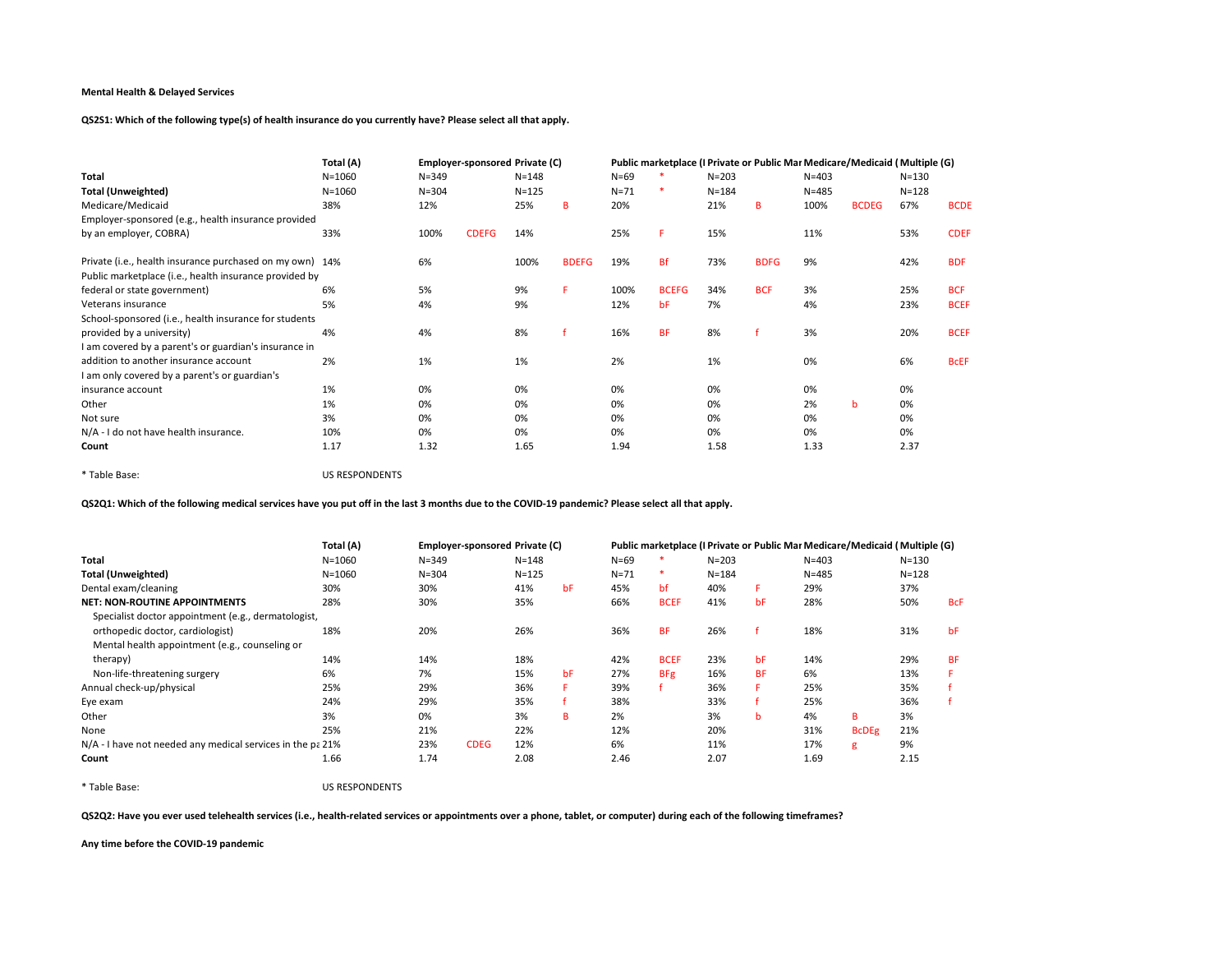QS2S1: Which of the following type(s) of health insurance do you currently have? Please select all that apply.

|                                                          | Total (A)  |           | Employer-sponsored Private (C) |           |              |          |              |           |             |           | Public marketplace (I Private or Public Mai Medicare/Medicaid   Multiple (G) |           |             |
|----------------------------------------------------------|------------|-----------|--------------------------------|-----------|--------------|----------|--------------|-----------|-------------|-----------|------------------------------------------------------------------------------|-----------|-------------|
| Total                                                    | $N = 1060$ | $N = 349$ |                                | $N = 148$ |              | $N = 69$ |              | $N = 203$ |             | $N = 403$ |                                                                              | $N = 130$ |             |
| <b>Total (Unweighted)</b>                                | $N = 1060$ | $N = 304$ |                                | $N = 125$ |              | $N = 71$ | ∗            | $N = 184$ |             | $N = 485$ |                                                                              | $N = 128$ |             |
| Medicare/Medicaid                                        | 38%        | 12%       |                                | 25%       | B            | 20%      |              | 21%       | в           | 100%      | <b>BCDEG</b>                                                                 | 67%       | <b>BCDE</b> |
| Employer-sponsored (e.g., health insurance provided      |            |           |                                |           |              |          |              |           |             |           |                                                                              |           |             |
| by an employer, COBRA)                                   | 33%        | 100%      | <b>CDEFG</b>                   | 14%       |              | 25%      |              | 15%       |             | 11%       |                                                                              | 53%       | <b>CDEF</b> |
| Private (i.e., health insurance purchased on my own) 14% |            | 6%        |                                | 100%      | <b>BDEFG</b> | 19%      | <b>Bf</b>    | 73%       | <b>BDFG</b> | 9%        |                                                                              | 42%       | <b>BDF</b>  |
| Public marketplace (i.e., health insurance provided by   |            |           |                                |           |              |          |              |           |             |           |                                                                              |           |             |
| federal or state government)                             | 6%         | 5%        |                                | 9%        | F            | 100%     | <b>BCEFG</b> | 34%       | <b>BCF</b>  | 3%        |                                                                              | 25%       | <b>BCF</b>  |
| Veterans insurance                                       | 5%         | 4%        |                                | 9%        |              | 12%      | bF           | 7%        |             | 4%        |                                                                              | 23%       | <b>BCEF</b> |
| School-sponsored (i.e., health insurance for students    |            |           |                                |           |              |          |              |           |             |           |                                                                              |           |             |
| provided by a university)                                | 4%         | 4%        |                                | 8%        |              | 16%      | <b>BF</b>    | 8%        |             | 3%        |                                                                              | 20%       | <b>BCEF</b> |
| I am covered by a parent's or guardian's insurance in    |            |           |                                |           |              |          |              |           |             |           |                                                                              |           |             |
| addition to another insurance account                    | 2%         | 1%        |                                | 1%        |              | 2%       |              | 1%        |             | 0%        |                                                                              | 6%        | <b>BCEF</b> |
| I am only covered by a parent's or guardian's            |            |           |                                |           |              |          |              |           |             |           |                                                                              |           |             |
| insurance account                                        | 1%         | 0%        |                                | 0%        |              | 0%       |              | 0%        |             | 0%        |                                                                              | 0%        |             |
| Other                                                    | 1%         | 0%        |                                | 0%        |              | 0%       |              | 0%        |             | 2%        | b                                                                            | 0%        |             |
| Not sure                                                 | 3%         | 0%        |                                | 0%        |              | 0%       |              | 0%        |             | 0%        |                                                                              | 0%        |             |
| N/A - I do not have health insurance.                    | 10%        | 0%        |                                | 0%        |              | 0%       |              | 0%        |             | 0%        |                                                                              | 0%        |             |
| Count                                                    | 1.17       | 1.32      |                                | 1.65      |              | 1.94     |              | 1.58      |             | 1.33      |                                                                              | 2.37      |             |

\* Table Base: US RESPONDENTS

QS2Q1: Which of the following medical services have you put off in the last 3 months due to the COVID-19 pandemic? Please select all that apply.

|                                                            | Total (A)  | Employer-sponsored Private (C) |             |           |    |          | Public marketplace (I Private or Public Mai Medicare/Medicaid   Multiple (G) |           |           |           |              |           |            |
|------------------------------------------------------------|------------|--------------------------------|-------------|-----------|----|----------|------------------------------------------------------------------------------|-----------|-----------|-----------|--------------|-----------|------------|
| Total                                                      | $N = 1060$ | $N = 349$                      |             | $N = 148$ |    | $N = 69$ |                                                                              | $N = 203$ |           | $N = 403$ |              | $N = 130$ |            |
| <b>Total (Unweighted)</b>                                  | $N = 1060$ | $N = 304$                      |             | $N = 125$ |    | $N = 71$ | $\ast$                                                                       | $N = 184$ |           | $N = 485$ |              | $N = 128$ |            |
| Dental exam/cleaning                                       | 30%        | 30%                            |             | 41%       | bF | 45%      | bf                                                                           | 40%       |           | 29%       |              | 37%       |            |
| <b>NET: NON-ROUTINE APPOINTMENTS</b>                       | 28%        | 30%                            |             | 35%       |    | 66%      | <b>BCEF</b>                                                                  | 41%       | bF        | 28%       |              | 50%       | <b>BcF</b> |
| Specialist doctor appointment (e.g., dermatologist,        |            |                                |             |           |    |          |                                                                              |           |           |           |              |           |            |
| orthopedic doctor, cardiologist)                           | 18%        | 20%                            |             | 26%       |    | 36%      | <b>BF</b>                                                                    | 26%       |           | 18%       |              | 31%       | bF         |
| Mental health appointment (e.g., counseling or             |            |                                |             |           |    |          |                                                                              |           |           |           |              |           |            |
| therapy)                                                   | 14%        | 14%                            |             | 18%       |    | 42%      | <b>BCEF</b>                                                                  | 23%       | bF        | 14%       |              | 29%       | <b>BF</b>  |
| Non-life-threatening surgery                               | 6%         | 7%                             |             | 15%       | bF | 27%      | <b>BFg</b>                                                                   | 16%       | <b>BF</b> | 6%        |              | 13%       |            |
| Annual check-up/physical                                   | 25%        | 29%                            |             | 36%       |    | 39%      |                                                                              | 36%       |           | 25%       |              | 35%       |            |
| Eye exam                                                   | 24%        | 29%                            |             | 35%       |    | 38%      |                                                                              | 33%       |           | 25%       |              | 36%       |            |
| Other                                                      | 3%         | 0%                             |             | 3%        | B  | 2%       |                                                                              | 3%        | b         | 4%        | B            | 3%        |            |
| None                                                       | 25%        | 21%                            |             | 22%       |    | 12%      |                                                                              | 20%       |           | 31%       | <b>BcDEg</b> | 21%       |            |
| N/A - I have not needed any medical services in the pa 21% |            | 23%                            | <b>CDEG</b> | 12%       |    | 6%       |                                                                              | 11%       |           | 17%       | g            | 9%        |            |
| Count                                                      | 1.66       | 1.74                           |             | 2.08      |    | 2.46     |                                                                              | 2.07      |           | 1.69      |              | 2.15      |            |

\* Table Base: US RESPONDENTS

QS2Q2: Have you ever used telehealth services (i.e., health-related services or appointments over a phone, tablet, or computer) during each of the following timeframes?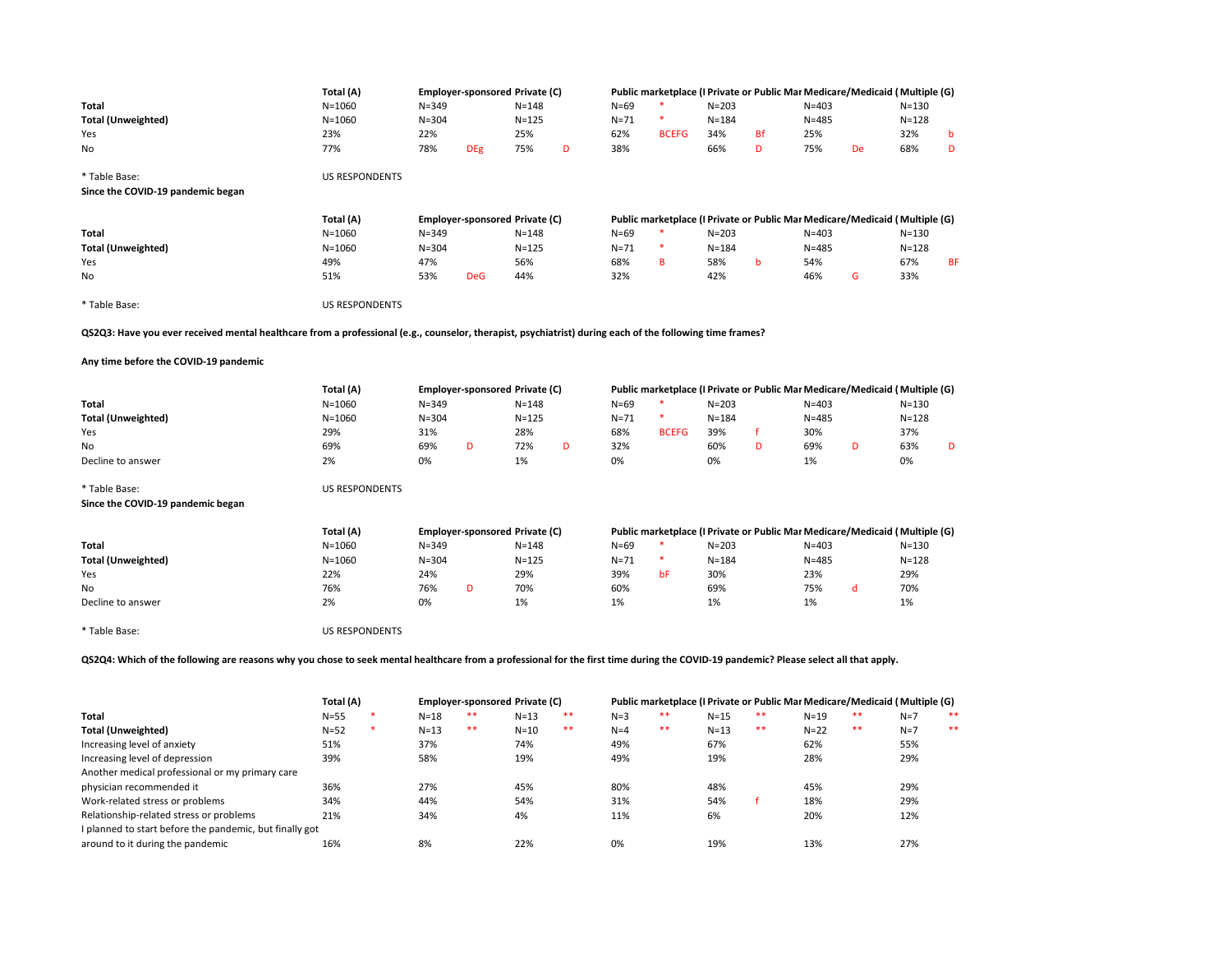|                                                                                                                                                                                      | Total (A)             |           | <b>Employer-sponsored Private (C)</b> |           |    |          |              |           |           |           | Public marketplace (I Private or Public Mar Medicare/Medicaid ( Multiple (G) |           |           |
|--------------------------------------------------------------------------------------------------------------------------------------------------------------------------------------|-----------------------|-----------|---------------------------------------|-----------|----|----------|--------------|-----------|-----------|-----------|------------------------------------------------------------------------------|-----------|-----------|
| Total                                                                                                                                                                                | $N = 1060$            | $N = 349$ |                                       | $N = 148$ |    | $N = 69$ | $\ast$       | $N = 203$ |           | $N = 403$ |                                                                              | $N = 130$ |           |
| <b>Total (Unweighted)</b>                                                                                                                                                            | $N = 1060$            | $N = 304$ |                                       | $N = 125$ |    | $N = 71$ |              | $N = 184$ |           | $N = 485$ |                                                                              | $N = 128$ |           |
| Yes                                                                                                                                                                                  | 23%                   | 22%       |                                       | 25%       |    | 62%      | <b>BCEFG</b> | 34%       | <b>Bf</b> | 25%       |                                                                              | 32%       | b         |
| No                                                                                                                                                                                   | 77%                   | 78%       | <b>DEg</b>                            | 75%       | D  | 38%      |              | 66%       | D         | 75%       | <b>De</b>                                                                    | 68%       | D         |
| * Table Base:                                                                                                                                                                        | <b>US RESPONDENTS</b> |           |                                       |           |    |          |              |           |           |           |                                                                              |           |           |
| Since the COVID-19 pandemic began                                                                                                                                                    |                       |           |                                       |           |    |          |              |           |           |           |                                                                              |           |           |
|                                                                                                                                                                                      | Total (A)             |           | Employer-sponsored Private (C)        |           |    |          |              |           |           |           | Public marketplace (I Private or Public Mar Medicare/Medicaid ( Multiple (G) |           |           |
| Total                                                                                                                                                                                | $N = 1060$            | $N = 349$ |                                       | $N = 148$ |    | $N=69$   |              | $N = 203$ |           | $N = 403$ |                                                                              | $N = 130$ |           |
| <b>Total (Unweighted)</b>                                                                                                                                                            | $N = 1060$            | $N = 304$ |                                       | $N = 125$ |    | $N = 71$ | $\ast$       | $N = 184$ |           | $N = 485$ |                                                                              | $N = 128$ |           |
| Yes                                                                                                                                                                                  | 49%                   | 47%       |                                       | 56%       |    | 68%      | B            | 58%       | b         | 54%       |                                                                              | 67%       | <b>BF</b> |
| No                                                                                                                                                                                   | 51%                   | 53%       | <b>DeG</b>                            | 44%       |    | 32%      |              | 42%       |           | 46%       | G                                                                            | 33%       |           |
| * Table Base:                                                                                                                                                                        | <b>US RESPONDENTS</b> |           |                                       |           |    |          |              |           |           |           |                                                                              |           |           |
| QS2Q3: Have you ever received mental healthcare from a professional (e.g., counselor, therapist, psychiatrist) during each of the following time frames?                             |                       |           |                                       |           |    |          |              |           |           |           |                                                                              |           |           |
| Any time before the COVID-19 pandemic                                                                                                                                                |                       |           |                                       |           |    |          |              |           |           |           |                                                                              |           |           |
|                                                                                                                                                                                      | Total (A)             |           | Employer-sponsored Private (C)        |           |    |          |              |           |           |           | Public marketplace (I Private or Public Mar Medicare/Medicaid ( Multiple (G) |           |           |
| Total                                                                                                                                                                                | $N = 1060$            | $N = 349$ |                                       | $N = 148$ |    | $N = 69$ | $\ast$       | $N = 203$ |           | $N = 403$ |                                                                              | $N = 130$ |           |
| <b>Total (Unweighted)</b>                                                                                                                                                            | $N = 1060$            | $N = 304$ |                                       | $N = 125$ |    | $N = 71$ |              | $N = 184$ |           | $N = 485$ |                                                                              | $N = 128$ |           |
| Yes                                                                                                                                                                                  | 29%                   | 31%       |                                       | 28%       |    | 68%      | <b>BCEFG</b> | 39%       | f         | 30%       |                                                                              | 37%       |           |
| No                                                                                                                                                                                   | 69%                   | 69%       | D                                     | 72%       | D  | 32%      |              | 60%       | D         | 69%       | D                                                                            | 63%       | D         |
| Decline to answer                                                                                                                                                                    | 2%                    | 0%        |                                       | 1%        |    | 0%       |              | 0%        |           | 1%        |                                                                              | 0%        |           |
| * Table Base:                                                                                                                                                                        | <b>US RESPONDENTS</b> |           |                                       |           |    |          |              |           |           |           |                                                                              |           |           |
| Since the COVID-19 pandemic began                                                                                                                                                    |                       |           |                                       |           |    |          |              |           |           |           |                                                                              |           |           |
|                                                                                                                                                                                      | Total (A)             |           | Employer-sponsored Private (C)        |           |    |          |              |           |           |           | Public marketplace (I Private or Public Mar Medicare/Medicaid ( Multiple (G) |           |           |
| Total                                                                                                                                                                                | $N = 1060$            | $N = 349$ |                                       | $N = 148$ |    | $N=69$   | $\ast$       | $N = 203$ |           | $N = 403$ |                                                                              | $N = 130$ |           |
| <b>Total (Unweighted)</b>                                                                                                                                                            | $N = 1060$            | $N = 304$ |                                       | $N = 125$ |    | $N = 71$ | *            | $N = 184$ |           | $N = 485$ |                                                                              | $N = 128$ |           |
| Yes                                                                                                                                                                                  | 22%                   | 24%       |                                       | 29%       |    | 39%      | bF           | 30%       |           | 23%       |                                                                              | 29%       |           |
| No                                                                                                                                                                                   | 76%                   | 76%       | D                                     | 70%       |    | 60%      |              | 69%       |           | 75%       | d                                                                            | 70%       |           |
| Decline to answer                                                                                                                                                                    | 2%                    | 0%        |                                       | 1%        |    | 1%       |              | 1%        |           | 1%        |                                                                              | 1%        |           |
| * Table Base:                                                                                                                                                                        | <b>US RESPONDENTS</b> |           |                                       |           |    |          |              |           |           |           |                                                                              |           |           |
| QS2Q4: Which of the following are reasons why you chose to seek mental healthcare from a professional for the first time during the COVID-19 pandemic? Please select all that apply. |                       |           |                                       |           |    |          |              |           |           |           |                                                                              |           |           |
|                                                                                                                                                                                      | Total (A)             |           | Employer-sponsored Private (C)        |           |    |          |              |           |           |           | Public marketplace (I Private or Public Mar Medicare/Medicaid ( Multiple (G) |           |           |
| Total                                                                                                                                                                                | $N = 55$              | $N = 18$  |                                       | $N=13$    |    | $N = 3$  | $***$        | $N=15$    | $***$     | $N=19$    | **                                                                           | $N=7$     | $***$     |
| <b>Total (Unweighted)</b>                                                                                                                                                            | $N = 52$              | $N=13$    | $***$                                 | $N=10$    | ** | $N = 4$  | $***$        | $N=13$    | $***$     | $N=22$    | $***$                                                                        | $N=7$     | $***$     |

|                                                         |          |          |       |        |    |       |    |          |       |        |      | .     |
|---------------------------------------------------------|----------|----------|-------|--------|----|-------|----|----------|-------|--------|------|-------|
| Total (Unweighted)                                      | $N = 52$ | $N = 13$ | $***$ | $N=10$ | ** | $N=4$ | ** | $N = 13$ | $***$ | $N=22$ | $**$ | $N=7$ |
| Increasing level of anxiety                             | 51%      | 37%      |       | 74%    |    | 49%   |    | 67%      |       | 62%    |      | 55%   |
| Increasing level of depression                          | 39%      | 58%      |       | 19%    |    | 49%   |    | 19%      |       | 28%    |      | 29%   |
| Another medical professional or my primary care         |          |          |       |        |    |       |    |          |       |        |      |       |
| physician recommended it                                | 36%      | 27%      |       | 45%    |    | 80%   |    | 48%      |       | 45%    |      | 29%   |
| Work-related stress or problems                         | 34%      | 44%      |       | 54%    |    | 31%   |    | 54%      |       | 18%    |      | 29%   |
| Relationship-related stress or problems                 | 21%      | 34%      |       | 4%     |    | 11%   |    | 6%       |       | 20%    |      | 12%   |
| I planned to start before the pandemic, but finally got |          |          |       |        |    |       |    |          |       |        |      |       |
| around to it during the pandemic                        | 16%      | 8%       |       | 22%    |    | 0%    |    | 19%      |       | 13%    |      | 27%   |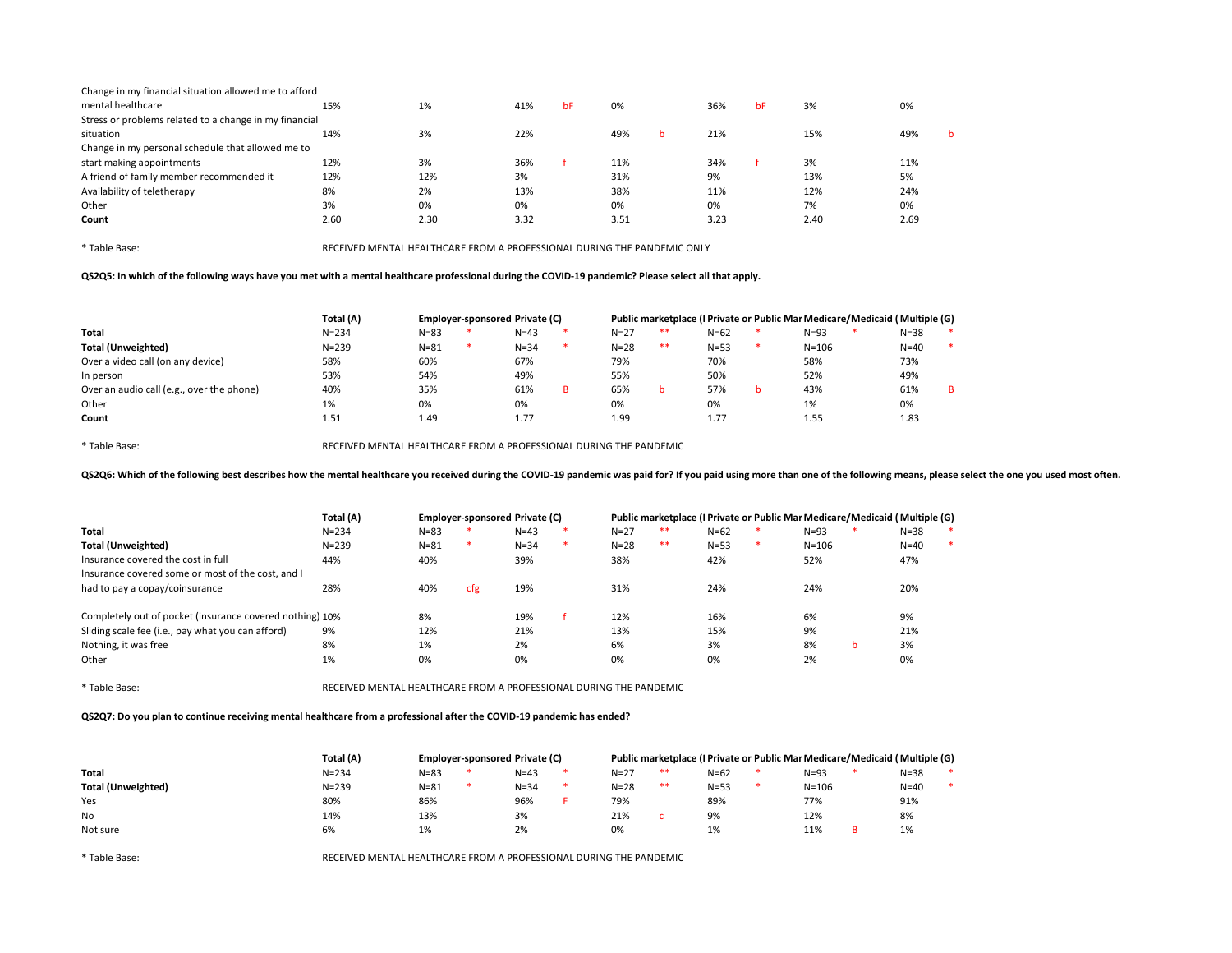| Change in my financial situation allowed me to afford  |      |      |      |    |      |   |      |    |      |      |   |
|--------------------------------------------------------|------|------|------|----|------|---|------|----|------|------|---|
| mental healthcare                                      | 15%  | 1%   | 41%  | bF | 0%   |   | 36%  | bF | 3%   | 0%   |   |
| Stress or problems related to a change in my financial |      |      |      |    |      |   |      |    |      |      |   |
| situation                                              | 14%  | 3%   | 22%  |    | 49%  | b | 21%  |    | 15%  | 49%  | h |
| Change in my personal schedule that allowed me to      |      |      |      |    |      |   |      |    |      |      |   |
| start making appointments                              | 12%  | 3%   | 36%  |    | 11%  |   | 34%  |    | 3%   | 11%  |   |
| A friend of family member recommended it               | 12%  | 12%  | 3%   |    | 31%  |   | 9%   |    | 13%  | 5%   |   |
| Availability of teletherapy                            | 8%   | 2%   | 13%  |    | 38%  |   | 11%  |    | 12%  | 24%  |   |
| Other                                                  | 3%   | 0%   | 0%   |    | 0%   |   | 0%   |    | 7%   | 0%   |   |
| Count                                                  | 2.60 | 2.30 | 3.32 |    | 3.51 |   | 3.23 |    | 2.40 | 2.69 |   |
|                                                        |      |      |      |    |      |   |      |    |      |      |   |

QS2Q5: In which of the following ways have you met with a mental healthcare professional during the COVID-19 pandemic? Please select all that apply.

|                                           | Total (A) | Employer-sponsored Private (C) |  |          |  |          |       |          |   | Public marketplace (I Private or Public Mar Medicare/Medicaid ( Multiple (G) |          |        |
|-------------------------------------------|-----------|--------------------------------|--|----------|--|----------|-------|----------|---|------------------------------------------------------------------------------|----------|--------|
| <b>Total</b>                              | $N = 234$ | $N = 83$                       |  | $N=43$   |  | $N=27$   | **    | $N = 62$ |   | $N = 93$                                                                     | $N = 38$ | $\ast$ |
| Total (Unweighted)                        | $N = 239$ | $N = 81$                       |  | $N = 34$ |  | $N = 28$ | $***$ | $N = 53$ |   | $N = 106$                                                                    | $N=40$   | $\ast$ |
| Over a video call (on any device)         | 58%       | 60%                            |  | 67%      |  | 79%      |       | 70%      |   | 58%                                                                          | 73%      |        |
| In person                                 | 53%       | 54%                            |  | 49%      |  | 55%      |       | 50%      |   | 52%                                                                          | 49%      |        |
| Over an audio call (e.g., over the phone) | 40%       | 35%                            |  | 61%      |  | 65%      |       | 57%      | b | 43%                                                                          | 61%      | B.     |
| Other                                     | 1%        | 0%                             |  | 0%       |  | 0%       |       | 0%       |   | 1%                                                                           | 0%       |        |
| Count                                     | 1.51      | 1.49                           |  | 1.77     |  | 1.99     |       | 1.77     |   | 1.55                                                                         | 1.83     |        |

\* Table Base: RECEIVED MENTAL HEALTHCARE FROM A PROFESSIONAL DURING THE PANDEMIC

QS2Q6: Which of the following best describes how the mental healthcare you received during the COVID-19 pandemic was paid for? If you paid using more than one of the following means, please select the one you used most oft

|                                                          | Total (A) | Employer-sponsored Private (C) |        |          |   |          | Public marketplace (I Private or Public Mai Medicare/Medicaid   Multiple (G) |          |   |           |   |          |        |
|----------------------------------------------------------|-----------|--------------------------------|--------|----------|---|----------|------------------------------------------------------------------------------|----------|---|-----------|---|----------|--------|
| Total                                                    | $N = 234$ | $N = 83$                       |        | $N=43$   |   | $N=27$   | **                                                                           | $N = 62$ |   | $N = 93$  |   | $N = 38$ | $\ast$ |
| <b>Total (Unweighted)</b>                                | $N = 239$ | $N = 81$                       | $\ast$ | $N = 34$ | × | $N = 28$ | **                                                                           | $N = 53$ | * | $N = 106$ |   | $N=40$   | $\ast$ |
| Insurance covered the cost in full                       | 44%       | 40%                            |        | 39%      |   | 38%      |                                                                              | 42%      |   | 52%       |   | 47%      |        |
| Insurance covered some or most of the cost, and I        |           |                                |        |          |   |          |                                                                              |          |   |           |   |          |        |
| had to pay a copay/coinsurance                           | 28%       | 40%                            | cfg    | 19%      |   | 31%      |                                                                              | 24%      |   | 24%       |   | 20%      |        |
| Completely out of pocket (insurance covered nothing) 10% |           | 8%                             |        | 19%      |   | 12%      |                                                                              | 16%      |   | 6%        |   | 9%       |        |
| Sliding scale fee (i.e., pay what you can afford)        | 9%        | 12%                            |        | 21%      |   | 13%      |                                                                              | 15%      |   | 9%        |   | 21%      |        |
| Nothing, it was free                                     | 8%        | 1%                             |        | 2%       |   | 6%       |                                                                              | 3%       |   | 8%        | b | 3%       |        |
| Other                                                    | 1%        | 0%                             |        | 0%       |   | 0%       |                                                                              | 0%       |   | 2%        |   | 0%       |        |

\* Table Base: RECEIVED MENTAL HEALTHCARE FROM A PROFESSIONAL DURING THE PANDEMIC

QS2Q7: Do you plan to continue receiving mental healthcare from a professional after the COVID-19 pandemic has ended?

|                    | Total (A) | <b>Employer-sponsored Private (C)</b> |          |          | Public marketplace (I Private or Public Mar Medicare/Medicaid   Multiple (G) |          |           |          |        |
|--------------------|-----------|---------------------------------------|----------|----------|------------------------------------------------------------------------------|----------|-----------|----------|--------|
| Total              | $N = 234$ | $N = 83$                              | $N = 43$ | $N = 27$ | $**$                                                                         | $N = 62$ | $N = 93$  | $N = 38$ | $\ast$ |
| Total (Unweighted) | $N = 239$ | $N = 81$                              | $N = 34$ | $N = 28$ | **                                                                           | $N = 53$ | $N = 106$ | $N=40$   | $\ast$ |
| Yes                | 80%       | 86%                                   | 96%      | 79%      |                                                                              | 89%      | 77%       | 91%      |        |
| No                 | 14%       | 13%                                   | 3%       | 21%      |                                                                              | 9%       | 12%       | 8%       |        |
| Not sure           | 6%        | 1%                                    | 2%       | 0%       |                                                                              | 1%       | 11%       | 1%       |        |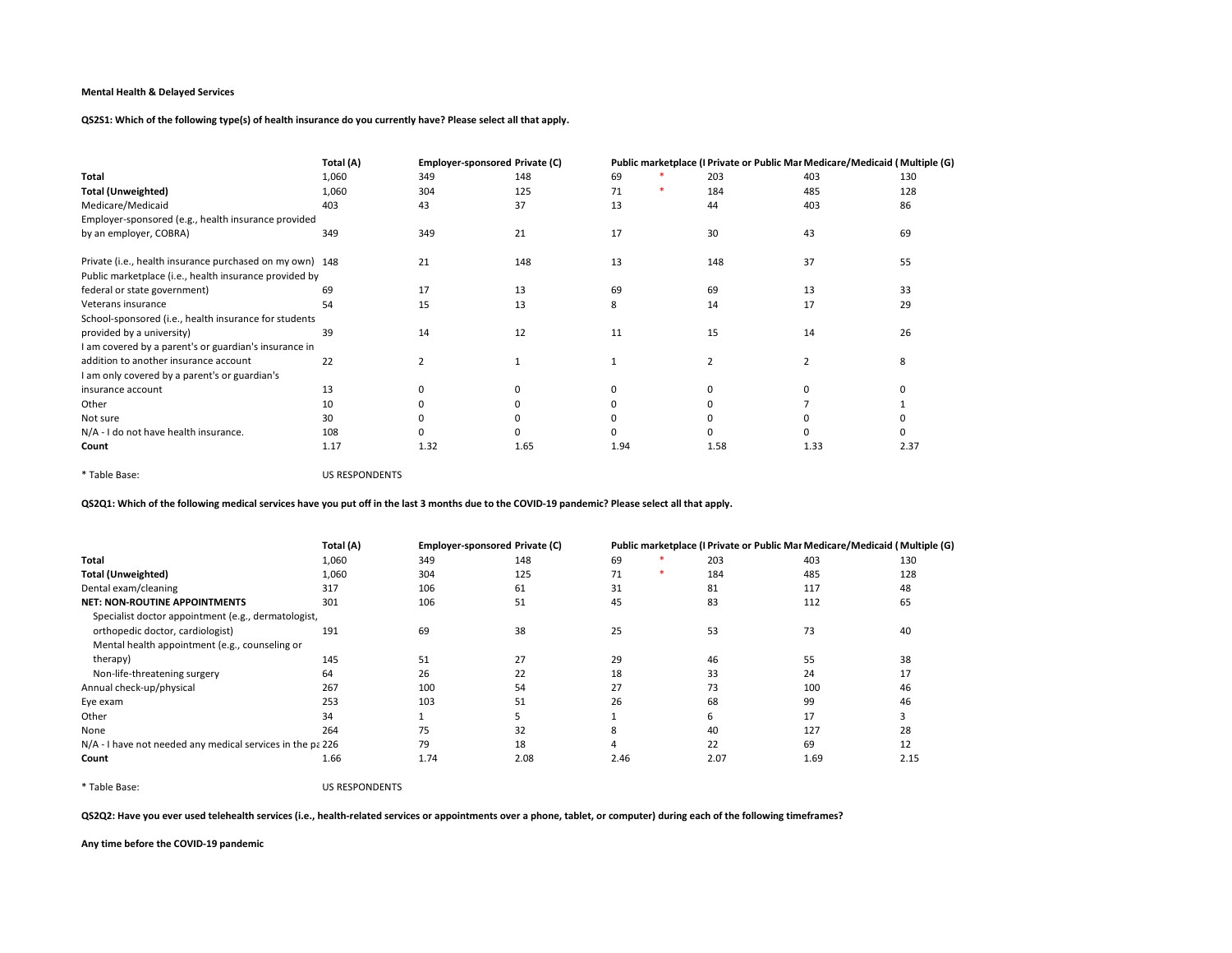QS2S1: Which of the following type(s) of health insurance do you currently have? Please select all that apply.

|                                                          | Total (A) | Employer-sponsored Private (C) |      |      | Public marketplace (I Private or Public Mar Medicare/Medicaid ( Multiple (G) |      |      |
|----------------------------------------------------------|-----------|--------------------------------|------|------|------------------------------------------------------------------------------|------|------|
| Total                                                    | 1,060     | 349                            | 148  | 69   | 203                                                                          | 403  | 130  |
| <b>Total (Unweighted)</b>                                | 1,060     | 304                            | 125  | 71   | 184                                                                          | 485  | 128  |
| Medicare/Medicaid                                        | 403       | 43                             | 37   | 13   | 44                                                                           | 403  | 86   |
| Employer-sponsored (e.g., health insurance provided      |           |                                |      |      |                                                                              |      |      |
| by an employer, COBRA)                                   | 349       | 349                            | 21   | 17   | 30                                                                           | 43   | 69   |
| Private (i.e., health insurance purchased on my own) 148 |           | 21                             | 148  | 13   | 148                                                                          | 37   | 55   |
| Public marketplace (i.e., health insurance provided by   |           |                                |      |      |                                                                              |      |      |
| federal or state government)                             | 69        | 17                             | 13   | 69   | 69                                                                           | 13   | 33   |
| Veterans insurance                                       | 54        | 15                             | 13   | 8    | 14                                                                           | 17   | 29   |
| School-sponsored (i.e., health insurance for students    |           |                                |      |      |                                                                              |      |      |
| provided by a university)                                | 39        | 14                             | 12   | 11   | 15                                                                           | 14   | 26   |
| I am covered by a parent's or guardian's insurance in    |           |                                |      |      |                                                                              |      |      |
| addition to another insurance account                    | 22        | 2                              |      |      |                                                                              |      | 8    |
| I am only covered by a parent's or guardian's            |           |                                |      |      |                                                                              |      |      |
| insurance account                                        | 13        | <sup>0</sup>                   |      |      |                                                                              |      |      |
| Other                                                    | 10        |                                |      |      |                                                                              |      |      |
| Not sure                                                 | 30        |                                |      |      |                                                                              |      |      |
| N/A - I do not have health insurance.                    | 108       |                                |      |      |                                                                              |      |      |
| Count                                                    | 1.17      | 1.32                           | 1.65 | 1.94 | 1.58                                                                         | 1.33 | 2.37 |

\* Table Base: US RESPONDENTS

QS2Q1: Which of the following medical services have you put off in the last 3 months due to the COVID-19 pandemic? Please select all that apply.

|                                                            | Total (A) |      | <b>Employer-sponsored Private (C)</b> |      |      | Public marketplace (I Private or Public Mai Medicare/Medicaid ( Multiple (G) |      |
|------------------------------------------------------------|-----------|------|---------------------------------------|------|------|------------------------------------------------------------------------------|------|
| Total                                                      | 1,060     | 349  | 148                                   | 69   | 203  | 403                                                                          | 130  |
| <b>Total (Unweighted)</b>                                  | 1,060     | 304  | 125                                   | 71   | 184  | 485                                                                          | 128  |
| Dental exam/cleaning                                       | 317       | 106  | 61                                    | 31   | 81   | 117                                                                          | 48   |
| <b>NET: NON-ROUTINE APPOINTMENTS</b>                       | 301       | 106  | 51                                    | 45   | 83   | 112                                                                          | 65   |
| Specialist doctor appointment (e.g., dermatologist,        |           |      |                                       |      |      |                                                                              |      |
| orthopedic doctor, cardiologist)                           | 191       | 69   | 38                                    | 25   | 53   | 73                                                                           | 40   |
| Mental health appointment (e.g., counseling or             |           |      |                                       |      |      |                                                                              |      |
| therapy)                                                   | 145       | 51   | 27                                    | 29   | 46   | 55                                                                           | 38   |
| Non-life-threatening surgery                               | 64        | 26   | 22                                    | 18   | 33   | 24                                                                           | 17   |
| Annual check-up/physical                                   | 267       | 100  | 54                                    | 27   | 73   | 100                                                                          | 46   |
| Eye exam                                                   | 253       | 103  | 51                                    | 26   | 68   | 99                                                                           | 46   |
| Other                                                      | 34        |      |                                       |      | ь    | 17                                                                           |      |
| None                                                       | 264       | 75   | 32                                    | 8    | 40   | 127                                                                          | 28   |
| N/A - I have not needed any medical services in the pa 226 |           | 79   | 18                                    |      | 22   | 69                                                                           | 12   |
| Count                                                      | 1.66      | 1.74 | 2.08                                  | 2.46 | 2.07 | 1.69                                                                         | 2.15 |

\* Table Base: US RESPONDENTS

QS2Q2: Have you ever used telehealth services (i.e., health-related services or appointments over a phone, tablet, or computer) during each of the following timeframes?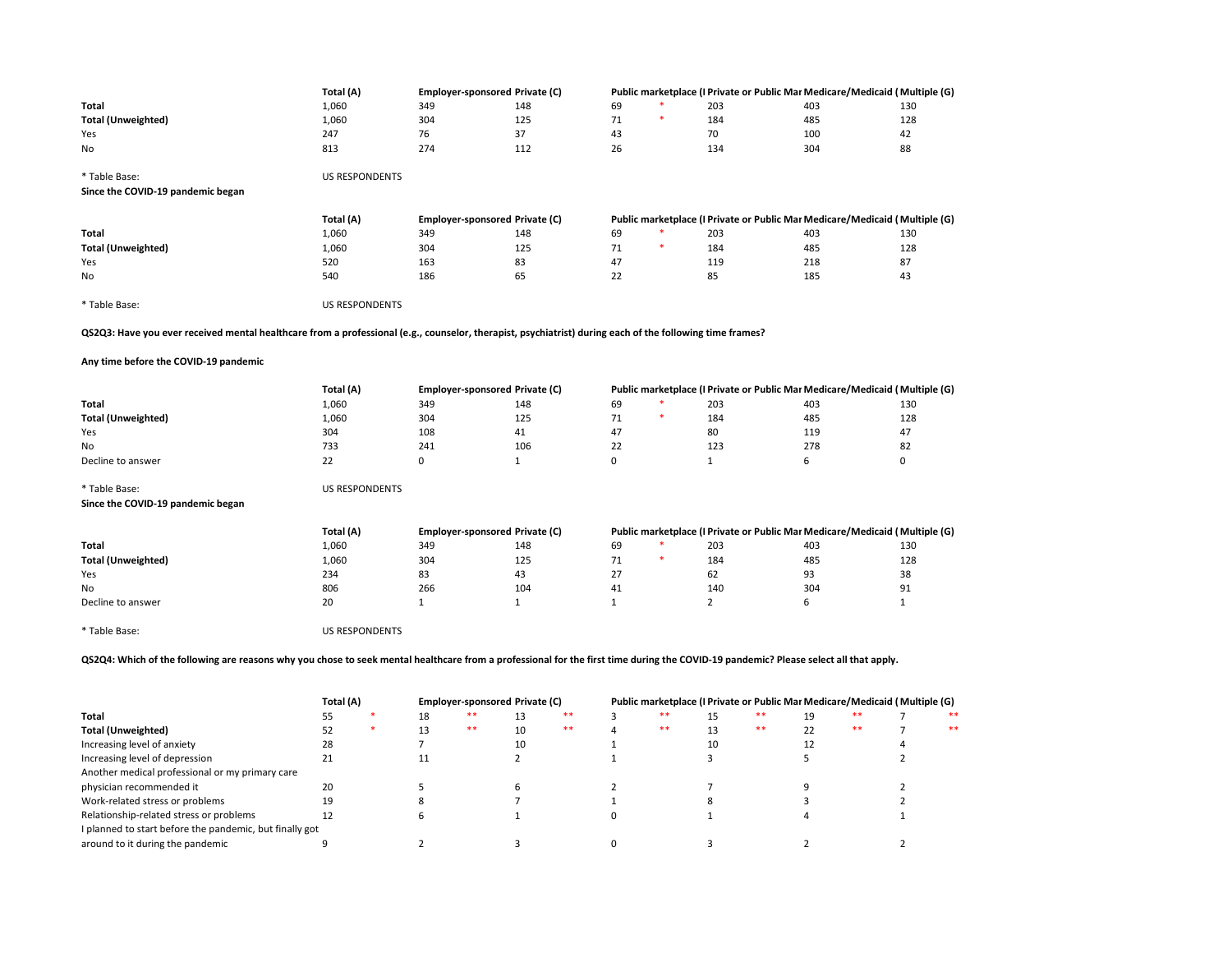|                                                                                                                                                                                      | Total (A)             |     | <b>Employer-sponsored Private (C)</b> |              |              |        |                | Public marketplace (I Private or Public Mar Medicare/Medicaid ( Multiple (G) |          |      |                                                                              |
|--------------------------------------------------------------------------------------------------------------------------------------------------------------------------------------|-----------------------|-----|---------------------------------------|--------------|--------------|--------|----------------|------------------------------------------------------------------------------|----------|------|------------------------------------------------------------------------------|
| Total                                                                                                                                                                                | 1,060                 | 349 | 148                                   |              | 69           |        | 203            |                                                                              | 403      |      | 130                                                                          |
| <b>Total (Unweighted)</b>                                                                                                                                                            | 1,060                 | 304 | 125                                   |              | 71           |        | 184            |                                                                              | 485      |      | 128                                                                          |
| Yes                                                                                                                                                                                  | 247                   | 76  | 37                                    |              | 43           |        | 70             |                                                                              | 100      |      | 42                                                                           |
| No                                                                                                                                                                                   | 813                   | 274 | 112                                   |              | 26           |        | 134            |                                                                              | 304      |      | 88                                                                           |
|                                                                                                                                                                                      |                       |     |                                       |              |              |        |                |                                                                              |          |      |                                                                              |
| * Table Base:                                                                                                                                                                        | <b>US RESPONDENTS</b> |     |                                       |              |              |        |                |                                                                              |          |      |                                                                              |
| Since the COVID-19 pandemic began                                                                                                                                                    |                       |     |                                       |              |              |        |                |                                                                              |          |      |                                                                              |
|                                                                                                                                                                                      |                       |     |                                       |              |              |        |                |                                                                              |          |      |                                                                              |
|                                                                                                                                                                                      | Total (A)             |     | Employer-sponsored Private (C)        |              |              |        |                |                                                                              |          |      | Public marketplace (I Private or Public Mar Medicare/Medicaid ( Multiple (G) |
| Total                                                                                                                                                                                | 1,060                 | 349 | 148                                   |              | 69           |        | 203            |                                                                              | 403      |      | 130                                                                          |
| <b>Total (Unweighted)</b>                                                                                                                                                            | 1,060                 | 304 | 125                                   |              | 71           |        | 184            |                                                                              | 485      |      | 128                                                                          |
| Yes                                                                                                                                                                                  | 520                   | 163 | 83                                    |              | 47           |        | 119            |                                                                              | 218      |      | 87                                                                           |
| No                                                                                                                                                                                   | 540                   | 186 | 65                                    |              | 22           |        | 85             |                                                                              | 185      |      | 43                                                                           |
|                                                                                                                                                                                      |                       |     |                                       |              |              |        |                |                                                                              |          |      |                                                                              |
| * Table Base:                                                                                                                                                                        | <b>US RESPONDENTS</b> |     |                                       |              |              |        |                |                                                                              |          |      |                                                                              |
|                                                                                                                                                                                      |                       |     |                                       |              |              |        |                |                                                                              |          |      |                                                                              |
| QS2Q3: Have you ever received mental healthcare from a professional (e.g., counselor, therapist, psychiatrist) during each of the following time frames?                             |                       |     |                                       |              |              |        |                |                                                                              |          |      |                                                                              |
|                                                                                                                                                                                      |                       |     |                                       |              |              |        |                |                                                                              |          |      |                                                                              |
| Any time before the COVID-19 pandemic                                                                                                                                                |                       |     |                                       |              |              |        |                |                                                                              |          |      |                                                                              |
|                                                                                                                                                                                      |                       |     |                                       |              |              |        |                |                                                                              |          |      |                                                                              |
|                                                                                                                                                                                      | Total (A)             |     | Employer-sponsored Private (C)        |              |              |        |                |                                                                              |          |      | Public marketplace (I Private or Public Mar Medicare/Medicaid ( Multiple (G) |
| Total                                                                                                                                                                                | 1,060                 | 349 | 148                                   |              | 69           |        | 203            |                                                                              | 403      |      | 130                                                                          |
| <b>Total (Unweighted)</b>                                                                                                                                                            | 1,060                 | 304 | 125                                   |              | 71           | $\ast$ | 184            |                                                                              | 485      |      | 128                                                                          |
| Yes                                                                                                                                                                                  | 304                   | 108 | 41                                    |              | 47           |        | 80             |                                                                              | 119      |      | 47                                                                           |
| No                                                                                                                                                                                   | 733                   | 241 | 106                                   |              | 22           |        | 123            |                                                                              | 278      |      | 82                                                                           |
| Decline to answer                                                                                                                                                                    | 22                    | 0   | $\mathbf{1}$                          | 0            |              |        | $\mathbf{1}$   |                                                                              | 6        |      | 0                                                                            |
|                                                                                                                                                                                      |                       |     |                                       |              |              |        |                |                                                                              |          |      |                                                                              |
| * Table Base:                                                                                                                                                                        | <b>US RESPONDENTS</b> |     |                                       |              |              |        |                |                                                                              |          |      |                                                                              |
| Since the COVID-19 pandemic began                                                                                                                                                    |                       |     |                                       |              |              |        |                |                                                                              |          |      |                                                                              |
|                                                                                                                                                                                      |                       |     |                                       |              |              |        |                |                                                                              |          |      |                                                                              |
|                                                                                                                                                                                      | Total (A)             |     | Employer-sponsored Private (C)        |              |              |        |                | Public marketplace (I Private or Public Mar Medicare/Medicaid ( Multiple (G) |          |      |                                                                              |
| Total                                                                                                                                                                                | 1,060                 | 349 | 148                                   |              | 69           | $\ast$ | 203            |                                                                              | 403      |      | 130                                                                          |
| <b>Total (Unweighted)</b>                                                                                                                                                            | 1,060                 | 304 | 125                                   |              | 71           |        | 184            |                                                                              | 485      |      | 128                                                                          |
| Yes                                                                                                                                                                                  | 234                   | 83  | 43                                    |              | 27           |        | 62             |                                                                              | 93       |      | 38                                                                           |
| No                                                                                                                                                                                   | 806                   | 266 | 104                                   |              | 41           |        | 140            |                                                                              | 304      |      | 91                                                                           |
| Decline to answer                                                                                                                                                                    | 20                    | 1   | $\mathbf{1}$                          |              | $\mathbf{1}$ |        | $\overline{2}$ |                                                                              | 6        |      | $\mathbf{1}$                                                                 |
|                                                                                                                                                                                      |                       |     |                                       |              |              |        |                |                                                                              |          |      |                                                                              |
| * Table Base:                                                                                                                                                                        | <b>US RESPONDENTS</b> |     |                                       |              |              |        |                |                                                                              |          |      |                                                                              |
|                                                                                                                                                                                      |                       |     |                                       |              |              |        |                |                                                                              |          |      |                                                                              |
| QS2Q4: Which of the following are reasons why you chose to seek mental healthcare from a professional for the first time during the COVID-19 pandemic? Please select all that apply. |                       |     |                                       |              |              |        |                |                                                                              |          |      |                                                                              |
|                                                                                                                                                                                      |                       |     |                                       |              |              |        |                |                                                                              |          |      |                                                                              |
|                                                                                                                                                                                      |                       |     |                                       |              |              |        |                |                                                                              |          |      |                                                                              |
|                                                                                                                                                                                      | Total (A)             |     | Employer-sponsored Private (C)        |              |              |        |                |                                                                              |          |      | Public marketplace (I Private or Public Mar Medicare/Medicaid ( Multiple (G) |
|                                                                                                                                                                                      | $\ast$<br>55          | 18  | $***$<br>13                           | $***$<br>3   |              | $* *$  |                | **                                                                           |          |      | **<br>7                                                                      |
| Total                                                                                                                                                                                | $\ast$                | 13  | $***$<br>10                           | $***$<br>4   |              | $***$  | 15             | **                                                                           | 19<br>22 | $**$ | $***$<br>$\overline{7}$                                                      |
| <b>Total (Unweighted)</b>                                                                                                                                                            | 52                    | 7   |                                       |              |              |        | 13             |                                                                              |          |      |                                                                              |
| Increasing level of anxiety                                                                                                                                                          | 28                    |     | 10                                    |              | $\mathbf{1}$ |        | 10             |                                                                              | 12       |      | 4                                                                            |
| Increasing level of depression                                                                                                                                                       | 21                    | 11  | $\overline{2}$                        | $\mathbf{1}$ |              |        | 3              |                                                                              | 5        |      | $\overline{2}$                                                               |

physician recommended it 20 5 6 2 7 9 2

Relationship-related stress or problems and the control of the control of the control of the control of the control of the control of the control of the control of the control of the control of the control of the control o

around to it during the pandemic and the control of the set of the set of the set of the set of the set of the set of the set of the set of the set of the set of the set of the set of the set of the set of the set of the s

Work-related stress or problems 19 19 8 7 1 1 8 3 2 3 2 3 3 4 3 3 3 3 3 4 3 3 4 3 3 4 3 3 3 4 3 3 4 3 3 4 3 3 4 3 4 3 3 4 3 3 4 3 4 3 3 4 3 4 3 4 3 4 3 4 3 4 3 4 3 4 3 4 3 4 3 4 3 4 3 4 3 4 3 4 3 4 3 4 3 4 3 4 3 4 3 4 3 4

Increasing level of depression 21 Another medical professional or my primary care

I planned to start before the pandemic, but finally got